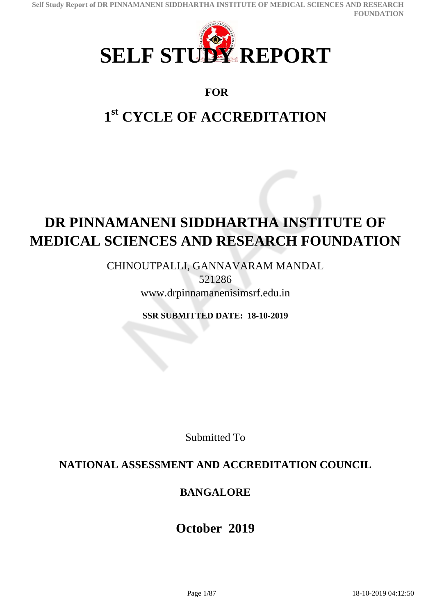

## **FOR**

# **1 st CYCLE OF ACCREDITATION**

# **DR PINNAMANENI SIDDHARTHA INSTITUTE OF MEDICAL SCIENCES AND RESEARCH FOUNDATION**

CHINOUTPALLI, GANNAVARAM MANDAL 521286 www.drpinnamanenisimsrf.edu.in

**SSR SUBMITTED DATE: 18-10-2019**

Submitted To

## **NATIONAL ASSESSMENT AND ACCREDITATION COUNCIL**

## **BANGALORE**

# **October 2019**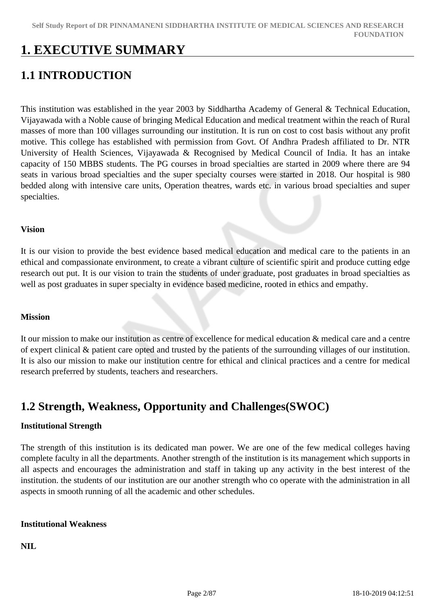# **1. EXECUTIVE SUMMARY**

# **1.1 INTRODUCTION**

This institution was established in the year 2003 by Siddhartha Academy of General & Technical Education, Vijayawada with a Noble cause of bringing Medical Education and medical treatment within the reach of Rural masses of more than 100 villages surrounding our institution. It is run on cost to cost basis without any profit motive. This college has established with permission from Govt. Of Andhra Pradesh affiliated to Dr. NTR University of Health Sciences, Vijayawada & Recognised by Medical Council of India. It has an intake capacity of 150 MBBS students. The PG courses in broad specialties are started in 2009 where there are 94 seats in various broad specialties and the super specialty courses were started in 2018. Our hospital is 980 bedded along with intensive care units, Operation theatres, wards etc. in various broad specialties and super specialties.

## **Vision**

It is our vision to provide the best evidence based medical education and medical care to the patients in an ethical and compassionate environment, to create a vibrant culture of scientific spirit and produce cutting edge research out put. It is our vision to train the students of under graduate, post graduates in broad specialties as well as post graduates in super specialty in evidence based medicine, rooted in ethics and empathy.

## **Mission**

It our mission to make our institution as centre of excellence for medical education & medical care and a centre of expert clinical & patient care opted and trusted by the patients of the surrounding villages of our institution. It is also our mission to make our institution centre for ethical and clinical practices and a centre for medical research preferred by students, teachers and researchers.

## **1.2 Strength, Weakness, Opportunity and Challenges(SWOC)**

## **Institutional Strength**

The strength of this institution is its dedicated man power. We are one of the few medical colleges having complete faculty in all the departments. Another strength of the institution is its management which supports in all aspects and encourages the administration and staff in taking up any activity in the best interest of the institution. the students of our institution are our another strength who co operate with the administration in all aspects in smooth running of all the academic and other schedules.

## **Institutional Weakness**

## **NIL**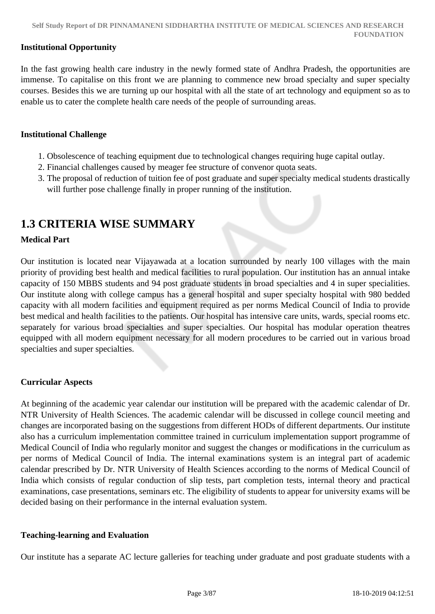#### **Institutional Opportunity**

In the fast growing health care industry in the newly formed state of Andhra Pradesh, the opportunities are immense. To capitalise on this front we are planning to commence new broad specialty and super specialty courses. Besides this we are turning up our hospital with all the state of art technology and equipment so as to enable us to cater the complete health care needs of the people of surrounding areas.

#### **Institutional Challenge**

- 1. Obsolescence of teaching equipment due to technological changes requiring huge capital outlay.
- 2. Financial challenges caused by meager fee structure of convenor quota seats.
- 3. The proposal of reduction of tuition fee of post graduate and super specialty medical students drastically will further pose challenge finally in proper running of the institution.

## **1.3 CRITERIA WISE SUMMARY**

#### **Medical Part**

Our institution is located near Vijayawada at a location surrounded by nearly 100 villages with the main priority of providing best health and medical facilities to rural population. Our institution has an annual intake capacity of 150 MBBS students and 94 post graduate students in broad specialties and 4 in super specialities. Our institute along with college campus has a general hospital and super specialty hospital with 980 bedded capacity with all modern facilities and equipment required as per norms Medical Council of India to provide best medical and health facilities to the patients. Our hospital has intensive care units, wards, special rooms etc. separately for various broad specialties and super specialties. Our hospital has modular operation theatres equipped with all modern equipment necessary for all modern procedures to be carried out in various broad specialties and super specialties.

#### **Curricular Aspects**

At beginning of the academic year calendar our institution will be prepared with the academic calendar of Dr. NTR University of Health Sciences. The academic calendar will be discussed in college council meeting and changes are incorporated basing on the suggestions from different HODs of different departments. Our institute also has a curriculum implementation committee trained in curriculum implementation support programme of Medical Council of India who regularly monitor and suggest the changes or modifications in the curriculum as per norms of Medical Council of India. The internal examinations system is an integral part of academic calendar prescribed by Dr. NTR University of Health Sciences according to the norms of Medical Council of India which consists of regular conduction of slip tests, part completion tests, internal theory and practical examinations, case presentations, seminars etc. The eligibility of students to appear for university exams will be decided basing on their performance in the internal evaluation system.

#### **Teaching-learning and Evaluation**

Our institute has a separate AC lecture galleries for teaching under graduate and post graduate students with a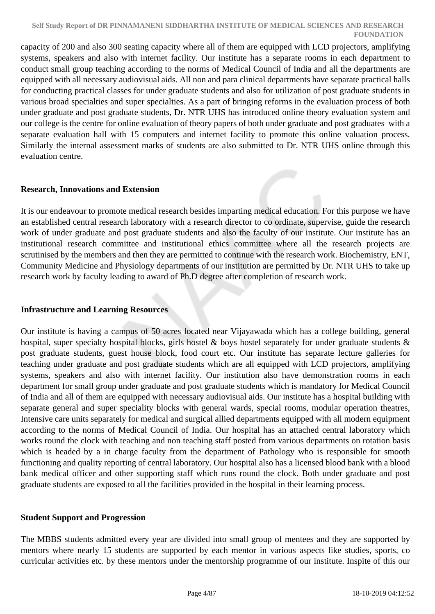capacity of 200 and also 300 seating capacity where all of them are equipped with LCD projectors, amplifying systems, speakers and also with internet facility. Our institute has a separate rooms in each department to conduct small group teaching according to the norms of Medical Council of India and all the departments are equipped with all necessary audiovisual aids. All non and para clinical departments have separate practical halls for conducting practical classes for under graduate students and also for utilization of post graduate students in various broad specialties and super specialties. As a part of bringing reforms in the evaluation process of both under graduate and post graduate students, Dr. NTR UHS has introduced online theory evaluation system and our college is the centre for online evaluation of theory papers of both under graduate and post graduates with a separate evaluation hall with 15 computers and internet facility to promote this online valuation process. Similarly the internal assessment marks of students are also submitted to Dr. NTR UHS online through this evaluation centre.

## **Research, Innovations and Extension**

It is our endeavour to promote medical research besides imparting medical education. For this purpose we have an established central research laboratory with a research director to co ordinate, supervise, guide the research work of under graduate and post graduate students and also the faculty of our institute. Our institute has an institutional research committee and institutional ethics committee where all the research projects are scrutinised by the members and then they are permitted to continue with the research work. Biochemistry, ENT, Community Medicine and Physiology departments of our institution are permitted by Dr. NTR UHS to take up research work by faculty leading to award of Ph.D degree after completion of research work.

## **Infrastructure and Learning Resources**

Our institute is having a campus of 50 acres located near Vijayawada which has a college building, general hospital, super specialty hospital blocks, girls hostel & boys hostel separately for under graduate students & post graduate students, guest house block, food court etc. Our institute has separate lecture galleries for teaching under graduate and post graduate students which are all equipped with LCD projectors, amplifying systems, speakers and also with internet facility. Our institution also have demonstration rooms in each department for small group under graduate and post graduate students which is mandatory for Medical Council of India and all of them are equipped with necessary audiovisual aids. Our institute has a hospital building with separate general and super speciality blocks with general wards, special rooms, modular operation theatres, Intensive care units separately for medical and surgical allied departments equipped with all modern equipment according to the norms of Medical Council of India. Our hospital has an attached central laboratory which works round the clock with teaching and non teaching staff posted from various departments on rotation basis which is headed by a in charge faculty from the department of Pathology who is responsible for smooth functioning and quality reporting of central laboratory. Our hospital also has a licensed blood bank with a blood bank medical officer and other supporting staff which runs round the clock. Both under graduate and post graduate students are exposed to all the facilities provided in the hospital in their learning process.

## **Student Support and Progression**

The MBBS students admitted every year are divided into small group of mentees and they are supported by mentors where nearly 15 students are supported by each mentor in various aspects like studies, sports, co curricular activities etc. by these mentors under the mentorship programme of our institute. Inspite of this our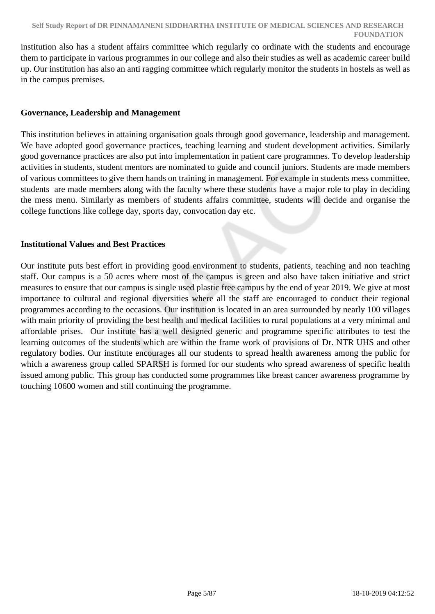institution also has a student affairs committee which regularly co ordinate with the students and encourage them to participate in various programmes in our college and also their studies as well as academic career build up. Our institution has also an anti ragging committee which regularly monitor the students in hostels as well as in the campus premises.

## **Governance, Leadership and Management**

This institution believes in attaining organisation goals through good governance, leadership and management. We have adopted good governance practices, teaching learning and student development activities. Similarly good governance practices are also put into implementation in patient care programmes. To develop leadership activities in students, student mentors are nominated to guide and council juniors. Students are made members of various committees to give them hands on training in management. For example in students mess committee, students are made members along with the faculty where these students have a major role to play in deciding the mess menu. Similarly as members of students affairs committee, students will decide and organise the college functions like college day, sports day, convocation day etc.

## **Institutional Values and Best Practices**

Our institute puts best effort in providing good environment to students, patients, teaching and non teaching staff. Our campus is a 50 acres where most of the campus is green and also have taken initiative and strict measures to ensure that our campus is single used plastic free campus by the end of year 2019. We give at most importance to cultural and regional diversities where all the staff are encouraged to conduct their regional programmes according to the occasions. Our institution is located in an area surrounded by nearly 100 villages with main priority of providing the best health and medical facilities to rural populations at a very minimal and affordable prises. Our institute has a well designed generic and programme specific attributes to test the learning outcomes of the students which are within the frame work of provisions of Dr. NTR UHS and other regulatory bodies. Our institute encourages all our students to spread health awareness among the public for which a awareness group called SPARSH is formed for our students who spread awareness of specific health issued among public. This group has conducted some programmes like breast cancer awareness programme by touching 10600 women and still continuing the programme.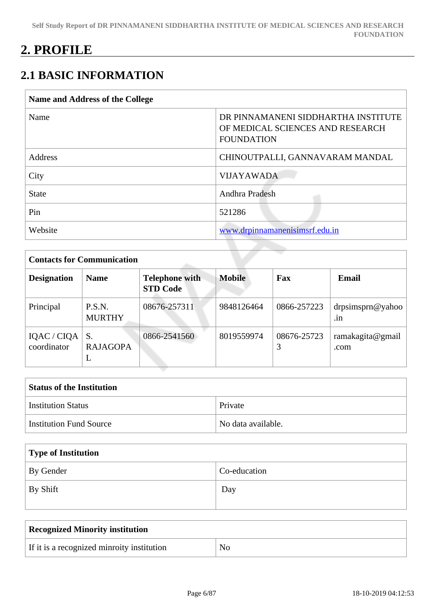# **2. PROFILE**

# **2.1 BASIC INFORMATION**

| Name and Address of the College |                                                                                              |
|---------------------------------|----------------------------------------------------------------------------------------------|
| Name                            | DR PINNAMANENI SIDDHARTHA INSTITUTE<br>OF MEDICAL SCIENCES AND RESEARCH<br><b>FOUNDATION</b> |
| <b>Address</b>                  | CHINOUTPALLI, GANNAVARAM MANDAL                                                              |
| City                            | <b>VIJAYAWADA</b>                                                                            |
| <b>State</b>                    | Andhra Pradesh                                                                               |
| Pin                             | 521286                                                                                       |
| Website                         | www.drpinnamanenisimsrf.edu.in                                                               |

|                            | <b>Contacts for Communication</b> |                                          |               |             |                                            |  |
|----------------------------|-----------------------------------|------------------------------------------|---------------|-------------|--------------------------------------------|--|
| <b>Designation</b>         | <b>Name</b>                       | <b>Telephone with</b><br><b>STD Code</b> | <b>Mobile</b> | Fax         | <b>Email</b>                               |  |
| Principal                  | P.S.N.<br><b>MURTHY</b>           | 08676-257311                             | 9848126464    | 0866-257223 | drpsimsprn@yahoo<br>$\cdot$ <sub>1</sub> n |  |
| IQAC / CIQA<br>coordinator | S.<br><b>RAJAGOPA</b><br>┶        | 0866-2541560                             | 8019559974    | 08676-25723 | ramakagita@gmail<br>.com                   |  |

| <b>Status of the Institution</b> |                    |  |
|----------------------------------|--------------------|--|
| <b>Institution Status</b>        | Private            |  |
| Institution Fund Source          | No data available. |  |

| Type of Institution |              |
|---------------------|--------------|
| By Gender           | Co-education |
| By Shift            | Day          |

| <b>Recognized Minority institution</b>     |    |
|--------------------------------------------|----|
| If it is a recognized minroity institution | No |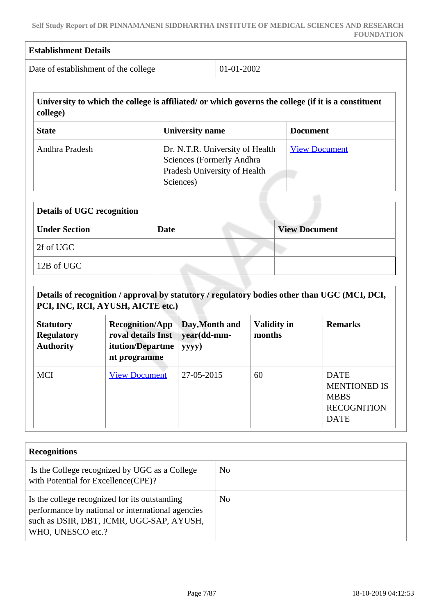| <b>Establishment Details</b>         |                                                                                                     |                      |
|--------------------------------------|-----------------------------------------------------------------------------------------------------|----------------------|
| Date of establishment of the college | $01-01-2002$                                                                                        |                      |
| college)                             | University to which the college is affiliated/ or which governs the college (if it is a constituent |                      |
| <b>State</b>                         | <b>University name</b>                                                                              | <b>Document</b>      |
| Andhra Pradesh                       | Dr. N.T.R. University of Health<br>Sciences (Formerly Andhra)                                       | <b>View Document</b> |

| <b>Details of UGC recognition</b> |             |                      |  |  |
|-----------------------------------|-------------|----------------------|--|--|
| <b>Under Section</b>              | <b>Date</b> | <b>View Document</b> |  |  |
| 2f of UGC                         |             |                      |  |  |
| 12B of UGC                        |             |                      |  |  |

Pradesh University of Health

Sciences)

 **Details of recognition / approval by statutory / regulatory bodies other than UGC (MCI, DCI, PCI, INC, RCI, AYUSH, AICTE etc.)**

| <b>Statutory</b><br><b>Regulatory</b><br><b>Authority</b> | <b>Recognition/App</b><br>roval details Inst<br>itution/Departme<br>nt programme | Day, Month and<br>year(dd-mm-<br>yyyy) | <b>Validity in</b><br>months | <b>Remarks</b>                                                                         |
|-----------------------------------------------------------|----------------------------------------------------------------------------------|----------------------------------------|------------------------------|----------------------------------------------------------------------------------------|
| <b>MCI</b>                                                | <b>View Document</b>                                                             | 27-05-2015                             | 60                           | <b>DATE</b><br><b>MENTIONED IS</b><br><b>MBBS</b><br><b>RECOGNITION</b><br><b>DATE</b> |

| <b>Recognitions</b>                                                                                                                                                 |                |
|---------------------------------------------------------------------------------------------------------------------------------------------------------------------|----------------|
| Is the College recognized by UGC as a College<br>with Potential for Excellence(CPE)?                                                                                | No.            |
| Is the college recognized for its outstanding<br>performance by national or international agencies<br>such as DSIR, DBT, ICMR, UGC-SAP, AYUSH,<br>WHO, UNESCO etc.? | N <sub>0</sub> |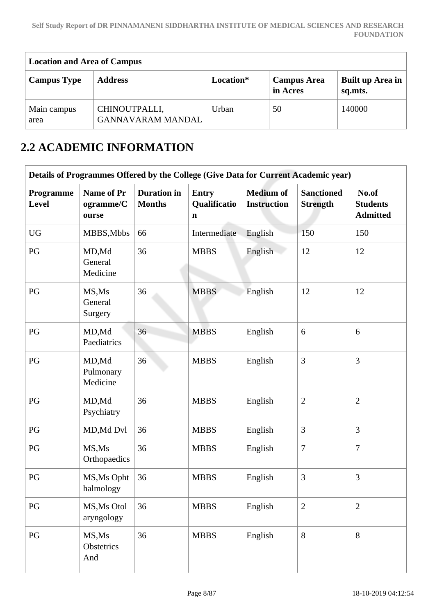| <b>Location and Area of Campus</b> |                                           |           |                                |                                    |  |
|------------------------------------|-------------------------------------------|-----------|--------------------------------|------------------------------------|--|
| <b>Campus Type</b>                 | <b>Address</b>                            | Location* | <b>Campus Area</b><br>in Acres | <b>Built up Area in</b><br>sq.mts. |  |
| Main campus<br>area                | CHINOUTPALLI,<br><b>GANNAVARAM MANDAL</b> | Urban     | 50                             | 140000                             |  |

# **2.2 ACADEMIC INFORMATION**

| Details of Programmes Offered by the College (Give Data for Current Academic year) |                                         |                                     |                                             |                                        |                                      |                                             |
|------------------------------------------------------------------------------------|-----------------------------------------|-------------------------------------|---------------------------------------------|----------------------------------------|--------------------------------------|---------------------------------------------|
| Programme<br><b>Level</b>                                                          | <b>Name of Pr</b><br>ogramme/C<br>ourse | <b>Duration</b> in<br><b>Months</b> | <b>Entry</b><br>Qualificatio<br>$\mathbf n$ | <b>Medium of</b><br><b>Instruction</b> | <b>Sanctioned</b><br><b>Strength</b> | No.of<br><b>Students</b><br><b>Admitted</b> |
| <b>UG</b>                                                                          | MBBS, Mbbs                              | 66                                  | Intermediate                                | English                                | 150                                  | 150                                         |
| PG                                                                                 | MD,Md<br>General<br>Medicine            | 36                                  | <b>MBBS</b>                                 | English                                | 12                                   | 12                                          |
| PG                                                                                 | MS, Ms<br>General<br>Surgery            | 36                                  | <b>MBBS</b>                                 | English                                | 12                                   | 12                                          |
| PG                                                                                 | MD,Md<br>Paediatrics                    | 36                                  | <b>MBBS</b>                                 | English                                | 6                                    | 6                                           |
| PG                                                                                 | MD,Md<br>Pulmonary<br>Medicine          | 36                                  | <b>MBBS</b>                                 | English                                | 3                                    | 3                                           |
| PG                                                                                 | MD,Md<br>Psychiatry                     | 36                                  | <b>MBBS</b>                                 | English                                | $\overline{2}$                       | $\overline{2}$                              |
| PG                                                                                 | MD, Md Dvl                              | 36                                  | <b>MBBS</b>                                 | English                                | 3                                    | 3                                           |
| PG                                                                                 | MS, Ms<br>Orthopaedics                  | 36                                  | <b>MBBS</b>                                 | English                                | $\overline{7}$                       | $\tau$                                      |
| PG                                                                                 | MS, Ms Opht<br>halmology                | 36                                  | <b>MBBS</b>                                 | English                                | 3                                    | 3                                           |
| PG                                                                                 | MS, Ms Otol<br>aryngology               | 36                                  | <b>MBBS</b>                                 | English                                | $\mathfrak{2}$                       | $\overline{2}$                              |
| PG                                                                                 | MS, Ms<br>Obstetrics<br>And             | 36                                  | <b>MBBS</b>                                 | English                                | 8                                    | 8                                           |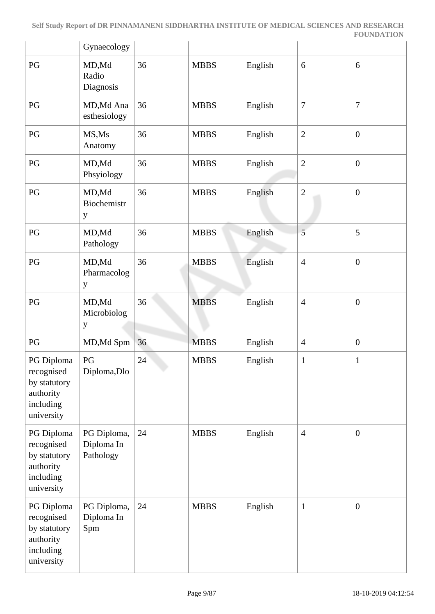|                                                                                  | Gynaecology                            |    |             |         |                |                  |
|----------------------------------------------------------------------------------|----------------------------------------|----|-------------|---------|----------------|------------------|
| PG                                                                               | MD,Md<br>Radio<br>Diagnosis            | 36 | <b>MBBS</b> | English | 6              | 6                |
| PG                                                                               | MD, Md Ana<br>esthesiology             | 36 | <b>MBBS</b> | English | $\overline{7}$ | 7                |
| $\mathbf{P}\mathbf{G}$                                                           | MS, Ms<br>Anatomy                      | 36 | <b>MBBS</b> | English | $\mathbf{2}$   | $\boldsymbol{0}$ |
| PG                                                                               | MD,Md<br>Phsyiology                    | 36 | <b>MBBS</b> | English | $\mathbf{2}$   | $\boldsymbol{0}$ |
| PG                                                                               | MD,Md<br>Biochemistr<br>y              | 36 | <b>MBBS</b> | English | $\mathbf{2}$   | $\boldsymbol{0}$ |
| PG                                                                               | MD,Md<br>Pathology                     | 36 | <b>MBBS</b> | English | 5              | 5                |
| PG                                                                               | MD,Md<br>Pharmacolog<br>y              | 36 | <b>MBBS</b> | English | $\overline{4}$ | $\boldsymbol{0}$ |
| PG                                                                               | MD,Md<br>Microbiolog<br>y              | 36 | <b>MBBS</b> | English | $\overline{4}$ | $\boldsymbol{0}$ |
| PG                                                                               | MD, Md Spm                             | 36 | <b>MBBS</b> | English | $\overline{4}$ | $\boldsymbol{0}$ |
| PG Diploma<br>recognised<br>by statutory<br>authority<br>including<br>university | PG<br>Diploma, Dlo                     | 24 | <b>MBBS</b> | English | $\mathbf{1}$   | $\mathbf{1}$     |
| PG Diploma<br>recognised<br>by statutory<br>authority<br>including<br>university | PG Diploma,<br>Diploma In<br>Pathology | 24 | <b>MBBS</b> | English | $\overline{4}$ | $\boldsymbol{0}$ |
| PG Diploma<br>recognised<br>by statutory<br>authority<br>including<br>university | PG Diploma,<br>Diploma In<br>Spm       | 24 | <b>MBBS</b> | English | $\mathbf{1}$   | $\boldsymbol{0}$ |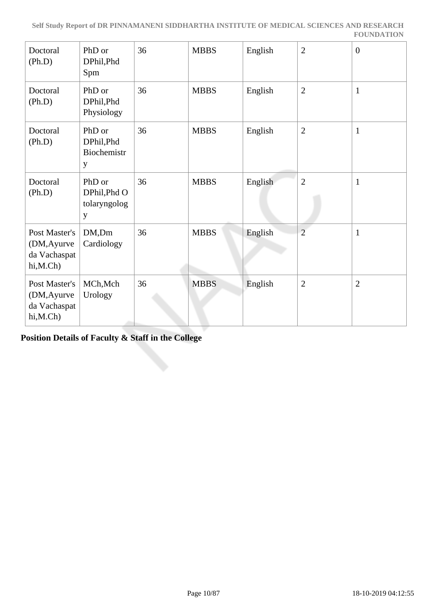| Doctoral<br>(Ph.D)                                         | PhD or<br>DPhil, Phd<br>Spm                 | 36 | <b>MBBS</b> | English | $\overline{2}$ | $\overline{0}$ |
|------------------------------------------------------------|---------------------------------------------|----|-------------|---------|----------------|----------------|
| Doctoral<br>(Ph.D)                                         | PhD or<br>DPhil, Phd<br>Physiology          | 36 | <b>MBBS</b> | English | $\overline{2}$ | $\mathbf{1}$   |
| Doctoral<br>(Ph.D)                                         | PhD or<br>DPhil, Phd<br>Biochemistr<br>y    | 36 | <b>MBBS</b> | English | $\overline{2}$ | $\mathbf{1}$   |
| Doctoral<br>(Ph.D)                                         | PhD or<br>DPhil, Phd O<br>tolaryngolog<br>y | 36 | <b>MBBS</b> | English | $\overline{2}$ | $\mathbf{1}$   |
| Post Master's<br>(DM, Ayurve<br>da Vachaspat<br>hi, M. Ch) | DM,Dm<br>Cardiology                         | 36 | <b>MBBS</b> | English | $\overline{2}$ | $\mathbf{1}$   |
| Post Master's<br>(DM, Ayurve<br>da Vachaspat<br>hi, M. Ch) | MCh, Mch<br>Urology                         | 36 | <b>MBBS</b> | English | $\overline{2}$ | $\overline{2}$ |

**Position Details of Faculty & Staff in the College**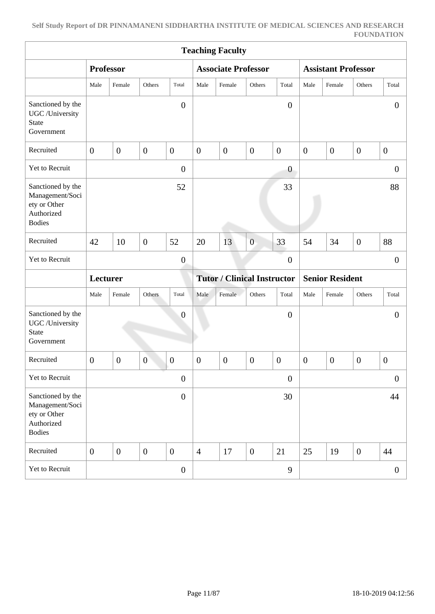| <b>Teaching Faculty</b>                                                             |                  |                  |                  |                  |                  |                                    |                  |                  |                        |                            |                  |                  |
|-------------------------------------------------------------------------------------|------------------|------------------|------------------|------------------|------------------|------------------------------------|------------------|------------------|------------------------|----------------------------|------------------|------------------|
|                                                                                     | <b>Professor</b> |                  |                  |                  |                  | <b>Associate Professor</b>         |                  |                  |                        | <b>Assistant Professor</b> |                  |                  |
|                                                                                     | Male             | Female           | Others           | Total            | Male             | Female                             | Others           | Total            | Male                   | Female                     | Others           | Total            |
| Sanctioned by the<br>UGC /University<br><b>State</b><br>Government                  |                  | $\boldsymbol{0}$ |                  |                  |                  | $\overline{0}$                     |                  |                  | $\overline{0}$         |                            |                  |                  |
| Recruited                                                                           | $\boldsymbol{0}$ | $\boldsymbol{0}$ | $\boldsymbol{0}$ | $\boldsymbol{0}$ | $\boldsymbol{0}$ | $\boldsymbol{0}$                   | $\boldsymbol{0}$ | $\boldsymbol{0}$ | $\overline{0}$         | $\boldsymbol{0}$           | $\boldsymbol{0}$ | $\boldsymbol{0}$ |
| Yet to Recruit                                                                      |                  |                  |                  | $\overline{0}$   |                  |                                    |                  | $\boldsymbol{0}$ |                        |                            |                  | $\theta$         |
| Sanctioned by the<br>Management/Soci<br>ety or Other<br>Authorized<br><b>Bodies</b> |                  |                  |                  | 52               |                  |                                    |                  | 33               |                        |                            |                  | 88               |
| Recruited                                                                           | 42               | 10               | $\boldsymbol{0}$ | 52               | 20               | 13                                 | $\boldsymbol{0}$ | 33               | 54                     | 34                         | $\boldsymbol{0}$ | 88               |
| Yet to Recruit                                                                      |                  |                  |                  | $\overline{0}$   |                  |                                    |                  | $\boldsymbol{0}$ |                        |                            |                  | $\overline{0}$   |
|                                                                                     | Lecturer         |                  |                  |                  |                  | <b>Tutor / Clinical Instructor</b> |                  |                  | <b>Senior Resident</b> |                            |                  |                  |
|                                                                                     | Male             | Female           | Others           | Total            | Male             | Female                             | Others           | Total            | Male                   | Female                     | Others           | Total            |
| Sanctioned by the<br>UGC /University<br><b>State</b><br>Government                  |                  |                  |                  | $\overline{0}$   |                  |                                    |                  | $\boldsymbol{0}$ |                        |                            |                  | $\mathbf{0}$     |
| Recruited                                                                           | $\overline{0}$   | $\overline{0}$   | $\overline{0}$   | $\boldsymbol{0}$ | $\overline{0}$   | $\overline{0}$                     | $\overline{0}$   | $\boldsymbol{0}$ | $\overline{0}$         | $\boldsymbol{0}$           | $\boldsymbol{0}$ | $\mathbf{0}$     |
| Yet to Recruit                                                                      |                  |                  |                  | $\boldsymbol{0}$ |                  |                                    |                  | $\boldsymbol{0}$ |                        |                            |                  | $\overline{0}$   |
| Sanctioned by the<br>Management/Soci<br>ety or Other<br>Authorized<br><b>Bodies</b> |                  |                  |                  | $\boldsymbol{0}$ |                  |                                    |                  | 30               |                        |                            |                  | 44               |
| Recruited                                                                           | $\overline{0}$   | $\boldsymbol{0}$ | $\boldsymbol{0}$ | $\boldsymbol{0}$ | $\overline{4}$   | 17                                 | $\boldsymbol{0}$ | 21               | 25                     | 19                         | $\overline{0}$   | 44               |
| Yet to Recruit                                                                      |                  |                  |                  | $\boldsymbol{0}$ |                  |                                    |                  | 9                |                        |                            |                  | $\overline{0}$   |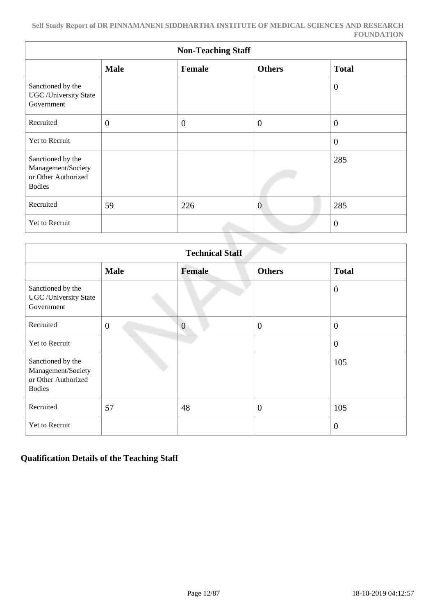| <b>Non-Teaching Staff</b>                                                       |                |                |                |                  |  |  |  |
|---------------------------------------------------------------------------------|----------------|----------------|----------------|------------------|--|--|--|
|                                                                                 | <b>Male</b>    | Female         | <b>Others</b>  | <b>Total</b>     |  |  |  |
| Sanctioned by the<br><b>UGC</b> / University State<br>Government                |                |                |                | $\boldsymbol{0}$ |  |  |  |
| Recruited                                                                       | $\overline{0}$ | $\overline{0}$ | $\overline{0}$ | $\boldsymbol{0}$ |  |  |  |
| Yet to Recruit                                                                  |                |                |                | $\overline{0}$   |  |  |  |
| Sanctioned by the<br>Management/Society<br>or Other Authorized<br><b>Bodies</b> |                |                |                | 285              |  |  |  |
| Recruited                                                                       | 59             | 226            | $\overline{0}$ | 285              |  |  |  |
| Yet to Recruit                                                                  |                |                |                | $\overline{0}$   |  |  |  |

| <b>Technical Staff</b>                                                          |                |                |                  |                  |  |  |  |
|---------------------------------------------------------------------------------|----------------|----------------|------------------|------------------|--|--|--|
|                                                                                 | <b>Male</b>    | <b>Female</b>  | <b>Others</b>    | <b>Total</b>     |  |  |  |
| Sanctioned by the<br><b>UGC</b> / University State<br>Government                |                |                |                  | $\overline{0}$   |  |  |  |
| Recruited                                                                       | $\overline{0}$ | $\overline{0}$ | $\boldsymbol{0}$ | $\boldsymbol{0}$ |  |  |  |
| Yet to Recruit                                                                  |                |                |                  | $\boldsymbol{0}$ |  |  |  |
| Sanctioned by the<br>Management/Society<br>or Other Authorized<br><b>Bodies</b> |                |                |                  | 105              |  |  |  |
| Recruited                                                                       | 57             | 48             | $\boldsymbol{0}$ | 105              |  |  |  |
| Yet to Recruit                                                                  |                |                |                  | $\mathbf{0}$     |  |  |  |

## **Qualification Details of the Teaching Staff**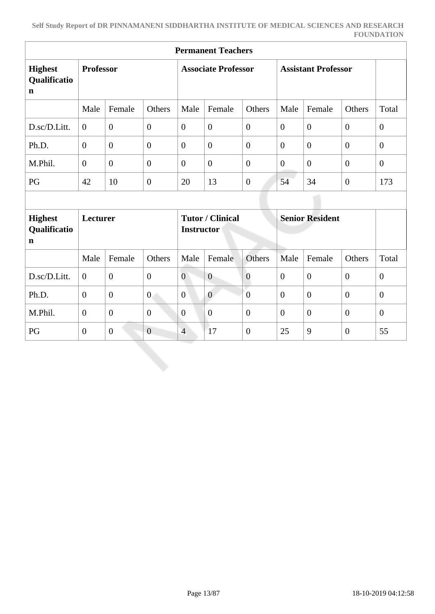| <b>Permanent Teachers</b>                     |                  |                  |                            |                   |                         |                            |                        |                |                |                |
|-----------------------------------------------|------------------|------------------|----------------------------|-------------------|-------------------------|----------------------------|------------------------|----------------|----------------|----------------|
| <b>Highest</b><br>Qualificatio<br>$\mathbf n$ | <b>Professor</b> |                  | <b>Associate Professor</b> |                   |                         | <b>Assistant Professor</b> |                        |                |                |                |
|                                               | Male             | Female           | Others                     | Male              | Female                  | Others                     | Male                   | Female         | Others         | Total          |
| D.sc/D.Litt.                                  | $\Omega$         | $\overline{0}$   | $\overline{0}$             | $\overline{0}$    | $\theta$                | $\overline{0}$             | $\theta$               | $\overline{0}$ | $\overline{0}$ | $\overline{0}$ |
| Ph.D.                                         | $\overline{0}$   | $\overline{0}$   | $\overline{0}$             | $\theta$          | $\boldsymbol{0}$        | $\theta$                   | $\overline{0}$         | $\overline{0}$ | $\overline{0}$ | $\overline{0}$ |
| M.Phil.                                       | $\overline{0}$   | $\boldsymbol{0}$ | $\overline{0}$             | $\overline{0}$    | $\overline{0}$          | $\mathbf{0}$               | $\overline{0}$         | $\mathbf{0}$   | $\overline{0}$ | $\overline{0}$ |
| PG                                            | 42               | 10               | $\overline{0}$             | 20                | 13                      | $\theta$                   | 54                     | 34             | $\overline{0}$ | 173            |
|                                               |                  |                  |                            |                   |                         |                            |                        |                |                |                |
| <b>Highest</b><br>Qualificatio<br>$\mathbf n$ | Lecturer         |                  |                            | <b>Instructor</b> | <b>Tutor / Clinical</b> |                            | <b>Senior Resident</b> |                |                |                |
|                                               | Male             | Female           | Others                     | Male              | Female                  | Others                     | Male                   | Female         | Others         | Total          |
| D.sc/D.Litt.                                  | $\theta$         | $\overline{0}$   | $\overline{0}$             | $\overline{0}$    | $\boldsymbol{0}$        | $\mathbf{0}$               | $\overline{0}$         | $\overline{0}$ | $\overline{0}$ | $\overline{0}$ |
| Ph.D.                                         | $\overline{0}$   | $\boldsymbol{0}$ | $\overline{0}$             | $\overline{0}$    | $\boldsymbol{0}$        | $\overline{0}$             | $\overline{0}$         | $\mathbf{0}$   | $\overline{0}$ | $\overline{0}$ |
| M.Phil.                                       | $\overline{0}$   | $\overline{0}$   | $\overline{0}$             | $\overline{0}$    | $\boldsymbol{0}$        | $\overline{0}$             | $\boldsymbol{0}$       | $\overline{0}$ | $\mathbf{0}$   | $\mathbf{0}$   |
| PG                                            | $\overline{0}$   | $\overline{0}$   | $\overline{0}$             | $\overline{4}$    | 17                      | $\mathbf{0}$               | 25                     | 9              | $\overline{0}$ | 55             |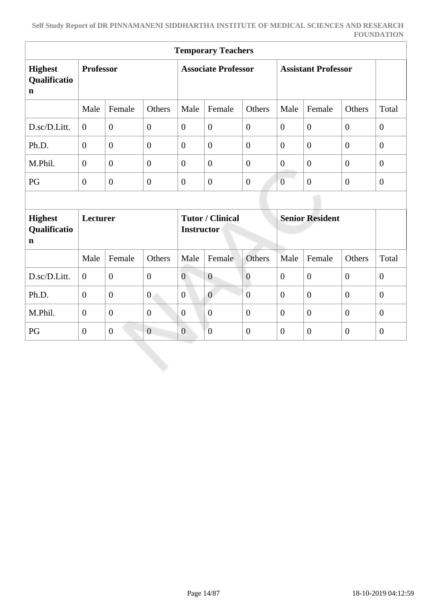| <b>Temporary Teachers</b>                     |                  |                  |                            |                |                                                                        |                            |                |                |                  |                  |
|-----------------------------------------------|------------------|------------------|----------------------------|----------------|------------------------------------------------------------------------|----------------------------|----------------|----------------|------------------|------------------|
| <b>Highest</b><br>Qualificatio<br>$\mathbf n$ | <b>Professor</b> |                  | <b>Associate Professor</b> |                |                                                                        | <b>Assistant Professor</b> |                |                |                  |                  |
|                                               | Male             | Female           | Others                     | Male           | Female                                                                 | Others                     | Male           | Female         | Others           | Total            |
| D.sc/D.Litt.                                  | $\overline{0}$   | $\boldsymbol{0}$ | $\overline{0}$             | $\overline{0}$ | $\overline{0}$                                                         | $\mathbf{0}$               | $\overline{0}$ | $\mathbf{0}$   | $\mathbf{0}$     | $\boldsymbol{0}$ |
| Ph.D.                                         | $\overline{0}$   | $\overline{0}$   | $\overline{0}$             | $\overline{0}$ | $\boldsymbol{0}$                                                       | $\overline{0}$             | $\overline{0}$ | $\mathbf{0}$   | $\mathbf{0}$     | $\overline{0}$   |
| M.Phil.                                       | $\overline{0}$   | $\boldsymbol{0}$ | $\overline{0}$             | $\overline{0}$ | $\overline{0}$                                                         | $\mathbf{0}$               | $\overline{0}$ | $\mathbf{0}$   | $\overline{0}$   | $\overline{0}$   |
| PG                                            | $\overline{0}$   | $\overline{0}$   | $\overline{0}$             | $\overline{0}$ | $\overline{0}$                                                         | $\mathbf{0}$               | $\mathbf{0}$   | $\mathbf{0}$   | $\overline{0}$   | $\overline{0}$   |
|                                               |                  |                  |                            |                |                                                                        |                            |                |                |                  |                  |
| <b>Highest</b><br>Qualificatio<br>$\mathbf n$ | <b>Lecturer</b>  |                  |                            |                | <b>Tutor / Clinical</b><br><b>Senior Resident</b><br><b>Instructor</b> |                            |                |                |                  |                  |
|                                               | Male             | Female           | Others                     | Male           | Female                                                                 | Others                     | Male           | Female         | Others           | Total            |
| D.sc/D.Litt.                                  | $\overline{0}$   | $\boldsymbol{0}$ | $\overline{0}$             | $\overline{0}$ | $\overline{0}$                                                         | $\boldsymbol{0}$           | $\overline{0}$ | $\overline{0}$ | $\overline{0}$   | $\overline{0}$   |
| Ph.D.                                         | $\overline{0}$   | $\boldsymbol{0}$ | $\overline{0}$             | $\overline{0}$ | $\overline{0}$                                                         | $\overline{0}$             | $\overline{0}$ | $\overline{0}$ | $\boldsymbol{0}$ | $\overline{0}$   |
| M.Phil.                                       | $\overline{0}$   | $\overline{0}$   | $\overline{0}$             | $\overline{0}$ | $\boldsymbol{0}$                                                       | $\mathbf{0}$               | $\overline{0}$ | $\overline{0}$ | $\overline{0}$   | $\overline{0}$   |
| PG                                            | $\overline{0}$   | $\overline{0}$   | $\overline{0}$             | $\overline{0}$ | $\boldsymbol{0}$                                                       | $\overline{0}$             | $\overline{0}$ | $\overline{0}$ | $\overline{0}$   | $\theta$         |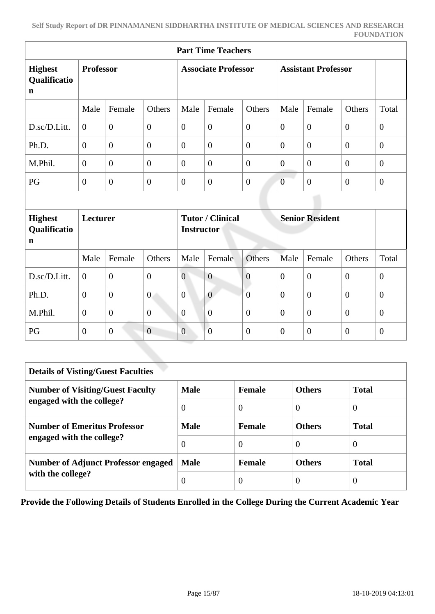| <b>Part Time Teachers</b>                     |                  |                  |                |                            |                                              |                  |                            |                        |                  |                  |
|-----------------------------------------------|------------------|------------------|----------------|----------------------------|----------------------------------------------|------------------|----------------------------|------------------------|------------------|------------------|
| <b>Highest</b><br>Qualificatio<br>$\mathbf n$ | <b>Professor</b> |                  |                | <b>Associate Professor</b> |                                              |                  | <b>Assistant Professor</b> |                        |                  |                  |
|                                               | Male             | Female           | Others         | Male                       | Female                                       | Others           | Male                       | Female                 | Others           | Total            |
| D.sc/D.Litt.                                  | $\overline{0}$   | $\mathbf{0}$     | $\overline{0}$ | $\overline{0}$             | $\overline{0}$                               | $\overline{0}$   | $\boldsymbol{0}$           | $\boldsymbol{0}$       | $\overline{0}$   | $\overline{0}$   |
| Ph.D.                                         | $\overline{0}$   | $\overline{0}$   | $\overline{0}$ | $\overline{0}$             | $\boldsymbol{0}$                             | $\theta$         | $\overline{0}$             | $\overline{0}$         | $\overline{0}$   | $\overline{0}$   |
| M.Phil.                                       | $\overline{0}$   | $\overline{0}$   | $\overline{0}$ | $\overline{0}$             | $\overline{0}$                               | $\overline{0}$   | $\overline{0}$             | $\overline{0}$         | $\boldsymbol{0}$ | $\overline{0}$   |
| PG                                            | $\theta$         | $\boldsymbol{0}$ | $\overline{0}$ | $\overline{0}$             | $\overline{0}$                               | $\overline{0}$   | $\overline{0}$             | $\overline{0}$         | $\overline{0}$   | $\overline{0}$   |
|                                               |                  |                  |                |                            |                                              |                  |                            |                        |                  |                  |
| <b>Highest</b><br>Qualificatio<br>$\mathbf n$ | Lecturer         |                  |                |                            | <b>Tutor / Clinical</b><br><b>Instructor</b> |                  |                            | <b>Senior Resident</b> |                  |                  |
|                                               | Male             | Female           | Others         | Male                       | Female                                       | Others           | Male                       | Female                 | Others           | Total            |
| D.sc/D.Litt.                                  | $\theta$         | $\overline{0}$   | $\overline{0}$ | $\overline{0}$             | $\overline{0}$                               | $\boldsymbol{0}$ | $\overline{0}$             | $\overline{0}$         | $\overline{0}$   | $\overline{0}$   |
| Ph.D.                                         | $\overline{0}$   | $\overline{0}$   | $\overline{0}$ | $\overline{0}$             | $\overline{0}$                               | $\overline{0}$   | $\overline{0}$             | $\overline{0}$         | $\overline{0}$   | $\overline{0}$   |
| M.Phil.                                       | $\overline{0}$   | $\overline{0}$   | $\mathbf{0}$   | $\overline{0}$             | $\boldsymbol{0}$                             | $\boldsymbol{0}$ | $\overline{0}$             | $\boldsymbol{0}$       | $\boldsymbol{0}$ | $\boldsymbol{0}$ |
| PG                                            | $\overline{0}$   | $\overline{0}$   | $\overline{0}$ | $\overline{0}$             | $\overline{0}$                               | $\overline{0}$   | $\overline{0}$             | $\overline{0}$         | $\overline{0}$   | $\boldsymbol{0}$ |

| <b>Details of Visting/Guest Faculties</b>  |             |               |               |                |
|--------------------------------------------|-------------|---------------|---------------|----------------|
| <b>Number of Visiting/Guest Faculty</b>    | <b>Male</b> | <b>Female</b> | <b>Others</b> | <b>Total</b>   |
| engaged with the college?                  | $\theta$    | $\theta$      | $\theta$      | $\overline{0}$ |
| <b>Number of Emeritus Professor</b>        | <b>Male</b> | <b>Female</b> | <b>Others</b> | <b>Total</b>   |
| engaged with the college?                  | $\Omega$    | $\theta$      | $\theta$      | $\overline{0}$ |
| <b>Number of Adjunct Professor engaged</b> | <b>Male</b> | <b>Female</b> | <b>Others</b> | <b>Total</b>   |
| with the college?                          | O           | 0             | 0             | $\theta$       |

**Provide the Following Details of Students Enrolled in the College During the Current Academic Year**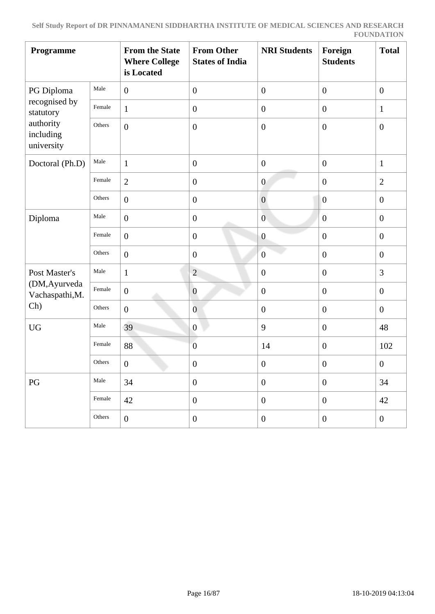| Programme                            |        | <b>From the State</b><br><b>Where College</b><br>is Located | <b>From Other</b><br><b>States of India</b> | <b>NRI Students</b> | Foreign<br><b>Students</b> | <b>Total</b>     |
|--------------------------------------|--------|-------------------------------------------------------------|---------------------------------------------|---------------------|----------------------------|------------------|
| PG Diploma                           | Male   | $\boldsymbol{0}$                                            | $\boldsymbol{0}$                            | $\boldsymbol{0}$    | $\boldsymbol{0}$           | $\boldsymbol{0}$ |
| recognised by<br>statutory           | Female | $\mathbf{1}$                                                | $\boldsymbol{0}$                            | $\boldsymbol{0}$    | $\boldsymbol{0}$           | $\mathbf{1}$     |
| authority<br>including<br>university | Others | $\overline{0}$                                              | $\boldsymbol{0}$                            | $\boldsymbol{0}$    | $\boldsymbol{0}$           | $\overline{0}$   |
| Doctoral (Ph.D)                      | Male   | $\mathbf{1}$                                                | $\overline{0}$                              | $\boldsymbol{0}$    | $\boldsymbol{0}$           | $\mathbf{1}$     |
|                                      | Female | $\overline{2}$                                              | $\boldsymbol{0}$                            | $\boldsymbol{0}$    | $\boldsymbol{0}$           | $\mathbf{2}$     |
|                                      | Others | $\overline{0}$                                              | $\boldsymbol{0}$                            | $\mathbf{0}$        | $\boldsymbol{0}$           | $\boldsymbol{0}$ |
| Diploma                              | Male   | $\overline{0}$                                              | $\boldsymbol{0}$                            | $\overline{0}$      | $\boldsymbol{0}$           | $\mathbf{0}$     |
|                                      | Female | $\overline{0}$                                              | $\boldsymbol{0}$                            | $\overline{0}$      | $\boldsymbol{0}$           | $\boldsymbol{0}$ |
|                                      | Others | $\overline{0}$                                              | $\boldsymbol{0}$                            | $\overline{0}$      | $\boldsymbol{0}$           | $\boldsymbol{0}$ |
| Post Master's                        | Male   | $\mathbf{1}$                                                | $\overline{2}$                              | $\boldsymbol{0}$    | $\boldsymbol{0}$           | 3                |
| (DM, Ayurveda<br>Vachaspathi, M.     | Female | $\overline{0}$                                              | $\boldsymbol{0}$                            | $\boldsymbol{0}$    | $\boldsymbol{0}$           | $\boldsymbol{0}$ |
| Ch)                                  | Others | $\overline{0}$                                              | $\boldsymbol{0}$                            | $\boldsymbol{0}$    | $\boldsymbol{0}$           | $\mathbf{0}$     |
| <b>UG</b>                            | Male   | 39                                                          | $\boldsymbol{0}$                            | 9                   | $\boldsymbol{0}$           | 48               |
|                                      | Female | 88                                                          | $\boldsymbol{0}$                            | 14                  | $\boldsymbol{0}$           | 102              |
|                                      | Others | $\boldsymbol{0}$                                            | $\boldsymbol{0}$                            | $\mathbf{0}$        | $\overline{0}$             | $\boldsymbol{0}$ |
| $\mathbf{P}\mathbf{G}$               | Male   | 34                                                          | $\mathbf{0}$                                | $\overline{0}$      | $\overline{0}$             | 34               |
|                                      | Female | 42                                                          | $\boldsymbol{0}$                            | $\overline{0}$      | $\overline{0}$             | 42               |
|                                      | Others | $\boldsymbol{0}$                                            | $\boldsymbol{0}$                            | $\boldsymbol{0}$    | $\boldsymbol{0}$           | $\overline{0}$   |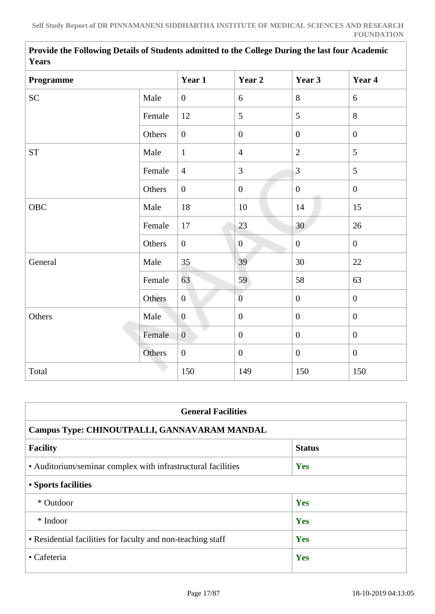| a caro    |        |                  |                  |                  |                |
|-----------|--------|------------------|------------------|------------------|----------------|
| Programme |        | Year 1           | Year 2           | Year 3           | Year 4         |
| <b>SC</b> | Male   | $\overline{0}$   | 6                | 8                | 6              |
|           | Female | 12               | 5                | 5                | 8              |
|           | Others | $\overline{0}$   | $\boldsymbol{0}$ | $\boldsymbol{0}$ | $\overline{0}$ |
| <b>ST</b> | Male   | $\mathbf{1}$     | $\overline{4}$   | $\overline{2}$   | 5              |
|           | Female | $\overline{4}$   | 3                | 3                | 5              |
|           | Others | $\overline{0}$   | $\boldsymbol{0}$ | $\boldsymbol{0}$ | $\overline{0}$ |
| OBC       | Male   | 18               | 10               | 14               | 15             |
|           | Female | $17\,$           | 23               | 30               | 26             |
|           | Others | $\boldsymbol{0}$ | $\mathbf{0}$     | $\boldsymbol{0}$ | $\overline{0}$ |
| General   | Male   | 35               | 39               | 30               | $22\,$         |
|           | Female | 63               | 59               | 58               | 63             |
|           | Others | $\overline{0}$   | $\overline{0}$   | $\boldsymbol{0}$ | $\overline{0}$ |
| Others    | Male   | $\overline{0}$   | $\overline{0}$   | $\mathbf{0}$     | $\overline{0}$ |
|           | Female | $\overline{0}$   | $\boldsymbol{0}$ | $\overline{0}$   | $\mathbf{0}$   |
|           | Others | $\boldsymbol{0}$ | $\boldsymbol{0}$ | $\boldsymbol{0}$ | $\overline{0}$ |
| Total     |        | 150              | 149              | 150              | 150            |

**Provide the Following Details of Students admitted to the College During the last four Academic Years**

| <b>General Facilities</b>                                    |               |  |  |  |  |  |  |
|--------------------------------------------------------------|---------------|--|--|--|--|--|--|
| Campus Type: CHINOUTPALLI, GANNAVARAM MANDAL                 |               |  |  |  |  |  |  |
| <b>Facility</b>                                              | <b>Status</b> |  |  |  |  |  |  |
| • Auditorium/seminar complex with infrastructural facilities | Yes           |  |  |  |  |  |  |
| • Sports facilities                                          |               |  |  |  |  |  |  |
| * Outdoor                                                    | Yes           |  |  |  |  |  |  |
| * Indoor                                                     | Yes           |  |  |  |  |  |  |
| • Residential facilities for faculty and non-teaching staff  | Yes           |  |  |  |  |  |  |
| • Cafeteria                                                  | Yes           |  |  |  |  |  |  |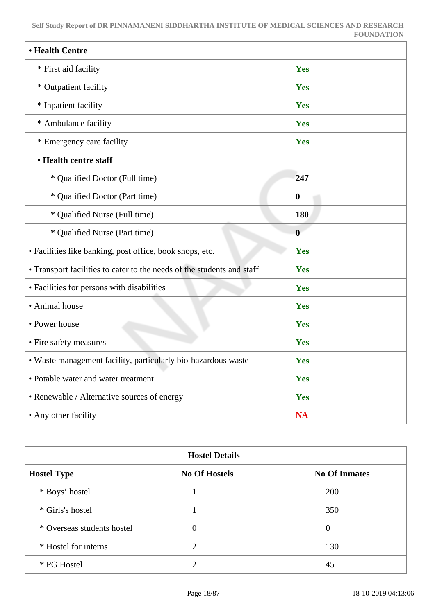**Self Study Report of DR PINNAMANENI SIDDHARTHA INSTITUTE OF MEDICAL SCIENCES AND RESEARCH FOUNDATION**

| • Health Centre                                                        |                  |  |  |  |  |  |
|------------------------------------------------------------------------|------------------|--|--|--|--|--|
| * First aid facility                                                   | Yes              |  |  |  |  |  |
| * Outpatient facility                                                  | Yes              |  |  |  |  |  |
| * Inpatient facility                                                   | Yes              |  |  |  |  |  |
| * Ambulance facility                                                   | Yes              |  |  |  |  |  |
| * Emergency care facility                                              | Yes              |  |  |  |  |  |
| • Health centre staff                                                  |                  |  |  |  |  |  |
| * Qualified Doctor (Full time)                                         | 247              |  |  |  |  |  |
| * Qualified Doctor (Part time)                                         | $\boldsymbol{0}$ |  |  |  |  |  |
| * Qualified Nurse (Full time)                                          | 180              |  |  |  |  |  |
| * Qualified Nurse (Part time)                                          | $\boldsymbol{0}$ |  |  |  |  |  |
| • Facilities like banking, post office, book shops, etc.               | Yes              |  |  |  |  |  |
| • Transport facilities to cater to the needs of the students and staff | Yes              |  |  |  |  |  |
| • Facilities for persons with disabilities                             | Yes              |  |  |  |  |  |
| • Animal house                                                         | Yes              |  |  |  |  |  |
| • Power house                                                          | Yes              |  |  |  |  |  |
| • Fire safety measures                                                 | Yes              |  |  |  |  |  |
| • Waste management facility, particularly bio-hazardous waste          | Yes              |  |  |  |  |  |
| • Potable water and water treatment                                    | Yes              |  |  |  |  |  |
| • Renewable / Alternative sources of energy                            | Yes              |  |  |  |  |  |
| • Any other facility                                                   | <b>NA</b>        |  |  |  |  |  |

| <b>Hostel Details</b>      |                      |                      |  |
|----------------------------|----------------------|----------------------|--|
| <b>Hostel Type</b>         | <b>No Of Hostels</b> | <b>No Of Inmates</b> |  |
| * Boys' hostel             |                      | 200                  |  |
| * Girls's hostel           |                      | 350                  |  |
| * Overseas students hostel | 0                    | $\Omega$             |  |
| * Hostel for interns       | 2                    | 130                  |  |
| * PG Hostel                | ി                    | 45                   |  |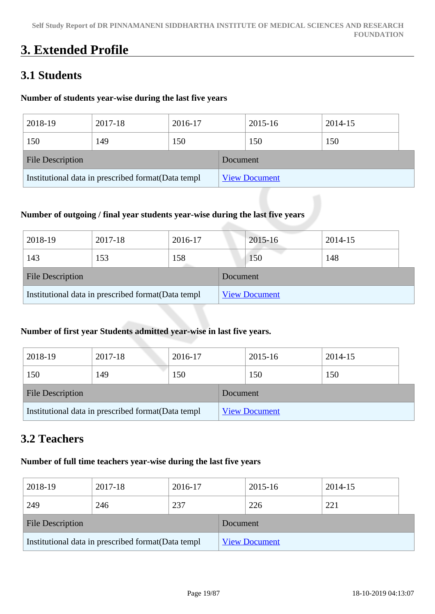# **3. Extended Profile**

## **3.1 Students**

## **Number of students year-wise during the last five years**

| 2018-19                                             | 2017-18 | 2016-17 |                      | 2015-16 | 2014-15 |  |
|-----------------------------------------------------|---------|---------|----------------------|---------|---------|--|
| 150                                                 | 149     | 150     |                      | 150     | 150     |  |
| <b>File Description</b>                             |         |         | Document             |         |         |  |
| Institutional data in prescribed format (Data templ |         |         | <b>View Document</b> |         |         |  |

## **Number of outgoing / final year students year-wise during the last five years**

| 2018-19                                             | 2017-18 | 2016-17 |                      | 2015-16 | 2014-15 |
|-----------------------------------------------------|---------|---------|----------------------|---------|---------|
| 143                                                 | 153     | 158     |                      | 150     | 148     |
| <b>File Description</b>                             |         |         | Document             |         |         |
| Institutional data in prescribed format (Data templ |         |         | <b>View Document</b> |         |         |

## **Number of first year Students admitted year-wise in last five years.**

| 2018-19                                             | 2017-18 | 2016-17 |                      | 2015-16 | 2014-15 |  |
|-----------------------------------------------------|---------|---------|----------------------|---------|---------|--|
| 150                                                 | 149     | 150     |                      | 150     | 150     |  |
| <b>File Description</b>                             |         |         | Document             |         |         |  |
| Institutional data in prescribed format (Data templ |         |         | <b>View Document</b> |         |         |  |

## **3.2 Teachers**

## **Number of full time teachers year-wise during the last five years**

| 2018-19                                             | 2017-18 | 2016-17  |                      | 2015-16 | 2014-15 |
|-----------------------------------------------------|---------|----------|----------------------|---------|---------|
| 249                                                 | 246     | 237      |                      | 226     | 221     |
| <b>File Description</b>                             |         | Document |                      |         |         |
| Institutional data in prescribed format (Data templ |         |          | <b>View Document</b> |         |         |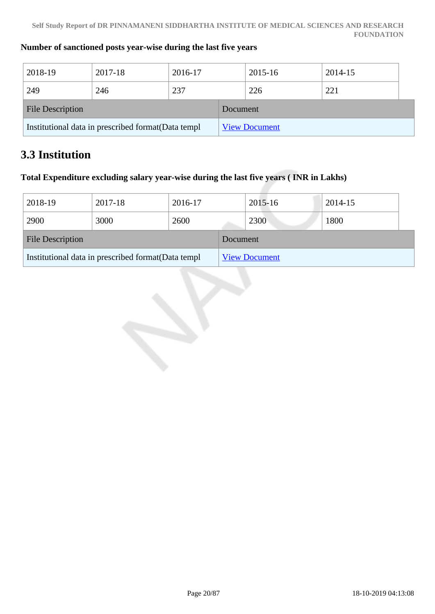## **Number of sanctioned posts year-wise during the last five years**

| 2018-19                                             | 2017-18 | 2016-17  |                      | 2015-16 | 2014-15 |
|-----------------------------------------------------|---------|----------|----------------------|---------|---------|
| 249                                                 | 246     | 237      |                      | 226     | 221     |
| <b>File Description</b>                             |         | Document |                      |         |         |
| Institutional data in prescribed format (Data templ |         |          | <b>View Document</b> |         |         |

# **3.3 Institution**

## **Total Expenditure excluding salary year-wise during the last five years ( INR in Lakhs)**

| 2018-19                                             | 2017-18 | 2016-17 |                      | 2015-16 | 2014-15 |  |
|-----------------------------------------------------|---------|---------|----------------------|---------|---------|--|
| 2900                                                | 3000    | 2600    |                      | 2300    | 1800    |  |
| <b>File Description</b>                             |         |         | Document             |         |         |  |
| Institutional data in prescribed format (Data templ |         |         | <b>View Document</b> |         |         |  |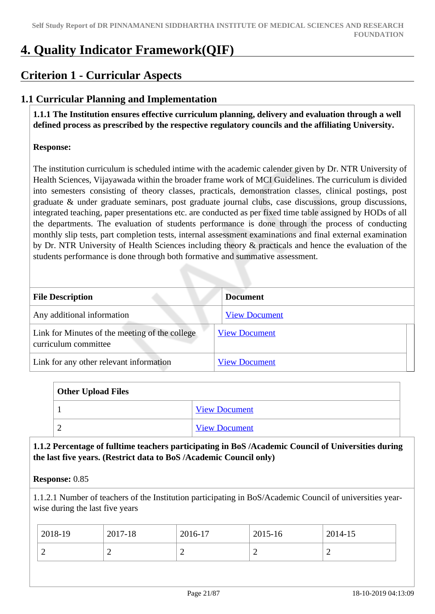# **4. Quality Indicator Framework(QIF)**

## **Criterion 1 - Curricular Aspects**

## **1.1 Curricular Planning and Implementation**

 **1.1.1 The Institution ensures effective curriculum planning, delivery and evaluation through a well defined process as prescribed by the respective regulatory councils and the affiliating University.**

## **Response:**

The institution curriculum is scheduled intime with the academic calender given by Dr. NTR University of Health Sciences, Vijayawada within the broader frame work of MCI Guidelines. The curriculum is divided into semesters consisting of theory classes, practicals, demonstration classes, clinical postings, post graduate & under graduate seminars, post graduate journal clubs, case discussions, group discussions, integrated teaching, paper presentations etc. are conducted as per fixed time table assigned by HODs of all the departments. The evaluation of students performance is done through the process of conducting monthly slip tests, part completion tests, internal assessment examinations and final external examination by Dr. NTR University of Health Sciences including theory & practicals and hence the evaluation of the students performance is done through both formative and summative assessment.

| <b>File Description</b>                                                | <b>Document</b>      |
|------------------------------------------------------------------------|----------------------|
| Any additional information                                             | <b>View Document</b> |
| Link for Minutes of the meeting of the college<br>curriculum committee | <b>View Document</b> |
| Link for any other relevant information                                | <b>View Document</b> |

| <b>Other Upload Files</b> |                      |
|---------------------------|----------------------|
|                           | <b>View Document</b> |
| ∸                         | <b>View Document</b> |

 **1.1.2 Percentage of fulltime teachers participating in BoS /Academic Council of Universities during the last five years. (Restrict data to BoS /Academic Council only)**

## **Response:** 0.85

1.1.2.1 Number of teachers of the Institution participating in BoS/Academic Council of universities yearwise during the last five years

| 2018-19 | 2017-18 | 2016-17 | 2015-16 | 2014-15 |
|---------|---------|---------|---------|---------|
| ∽       | ∼       | ∽       | ∼       | ∼       |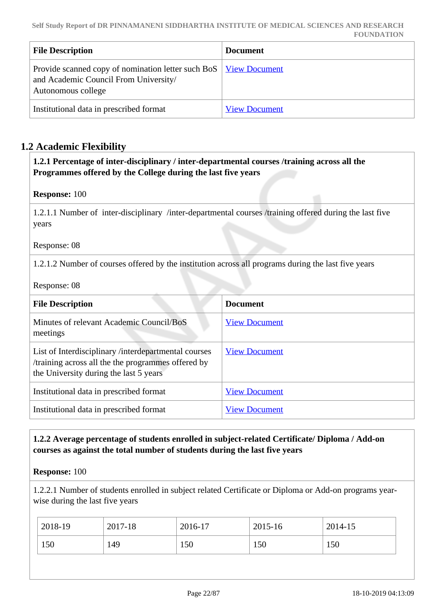| <b>File Description</b>                                                                                                           | <b>Document</b>      |
|-----------------------------------------------------------------------------------------------------------------------------------|----------------------|
| Provide scanned copy of nomination letter such BoS   View Document<br>and Academic Council From University/<br>Autonomous college |                      |
| Institutional data in prescribed format                                                                                           | <b>View Document</b> |

## **1.2 Academic Flexibility**

 **1.2.1 Percentage of inter-disciplinary / inter-departmental courses /training across all the Programmes offered by the College during the last five years** 

## **Response:** 100

1.2.1.1 Number of inter-disciplinary /inter-departmental courses /training offered during the last five years

Response: 08

1.2.1.2 Number of courses offered by the institution across all programs during the last five years

Response: 08

| <b>File Description</b>                                                                                                                              | <b>Document</b>      |
|------------------------------------------------------------------------------------------------------------------------------------------------------|----------------------|
| Minutes of relevant Academic Council/BoS<br>meetings                                                                                                 | <b>View Document</b> |
| List of Interdisciplinary /interdepartmental courses<br>/training across all the the programmes offered by<br>the University during the last 5 years | <b>View Document</b> |
| Institutional data in prescribed format                                                                                                              | <b>View Document</b> |
| Institutional data in prescribed format                                                                                                              | <b>View Document</b> |

## **1.2.2 Average percentage of students enrolled in subject-related Certificate/ Diploma / Add-on courses as against the total number of students during the last five years**

**Response:** 100

1.2.2.1 Number of students enrolled in subject related Certificate or Diploma or Add-on programs yearwise during the last five years

| 2018-19 | 2017-18 | 2016-17 | 2015-16 | 2014-15 |
|---------|---------|---------|---------|---------|
| 150     | 149     | 150     | 150     | 150     |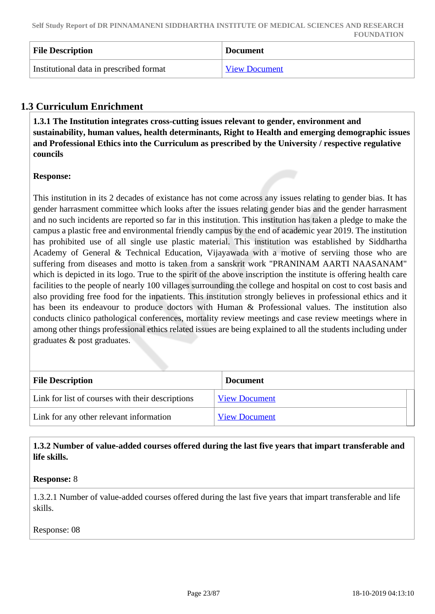| <b>File Description</b>                 | <b>Document</b> |
|-----------------------------------------|-----------------|
| Institutional data in prescribed format | View Document   |

## **1.3 Curriculum Enrichment**

 **1.3.1 The Institution integrates cross-cutting issues relevant to gender, environment and sustainability, human values, health determinants, Right to Health and emerging demographic issues and Professional Ethics into the Curriculum as prescribed by the University / respective regulative councils**

## **Response:**

This institution in its 2 decades of existance has not come across any issues relating to gender bias. It has gender harrasment committee which looks after the issues relating gender bias and the gender harrasment and no such incidents are reported so far in this institution. This institution has taken a pledge to make the campus a plastic free and environmental friendly campus by the end of academic year 2019. The institution has prohibited use of all single use plastic material. This institution was established by Siddhartha Academy of General & Technical Education, Vijayawada with a motive of serviing those who are suffering from diseases and motto is taken from a sanskrit work "PRANINAM AARTI NAASANAM" which is depicted in its logo. True to the spirit of the above inscription the institute is offering health care facilities to the people of nearly 100 villages surrounding the college and hospital on cost to cost basis and also providing free food for the inpatients. This institution strongly believes in professional ethics and it has been its endeavour to produce doctors with Human & Professional values. The institution also conducts clinico pathological conferences, mortality review meetings and case review meetings where in among other things professional ethics related issues are being explained to all the students including under graduates & post graduates.

| <b>File Description</b>                          | <b>Document</b>      |  |
|--------------------------------------------------|----------------------|--|
| Link for list of courses with their descriptions | <b>View Document</b> |  |
| Link for any other relevant information          | <b>View Document</b> |  |

 **1.3.2 Number of value-added courses offered during the last five years that impart transferable and life skills.**

## **Response:** 8

1.3.2.1 Number of value-added courses offered during the last five years that impart transferable and life skills.

#### Response: 08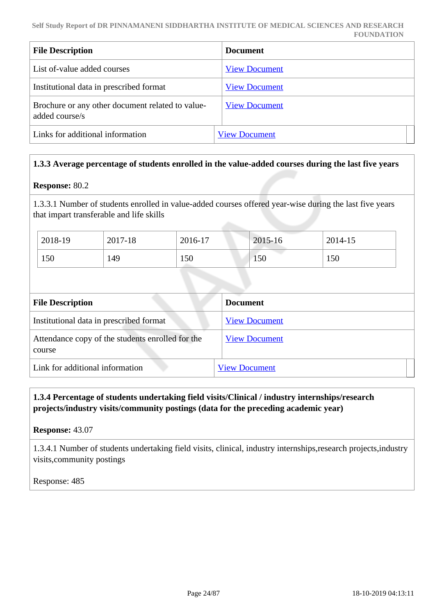| <b>File Description</b>                                            | <b>Document</b>      |
|--------------------------------------------------------------------|----------------------|
| List of-value added courses                                        | <b>View Document</b> |
| Institutional data in prescribed format                            | <b>View Document</b> |
| Brochure or any other document related to value-<br>added course/s | <b>View Document</b> |
| Links for additional information                                   | <b>View Document</b> |

## **1.3.3 Average percentage of students enrolled in the value-added courses during the last five years**

## **Response:** 80.2

1.3.3.1 Number of students enrolled in value-added courses offered year-wise during the last five years that impart transferable and life skills

| 2018-19 | 2017-18 | 2016-17 | 2015-16 | 2014-15 |
|---------|---------|---------|---------|---------|
| 150     | 149     | 150     | 150     | 150     |

| <b>File Description</b>                                    | <b>Document</b>      |
|------------------------------------------------------------|----------------------|
| Institutional data in prescribed format                    | <b>View Document</b> |
| Attendance copy of the students enrolled for the<br>course | <b>View Document</b> |
| Link for additional information                            | <b>View Document</b> |

 **1.3.4 Percentage of students undertaking field visits/Clinical / industry internships/research projects/industry visits/community postings (data for the preceding academic year)**

**Response:** 43.07

1.3.4.1 Number of students undertaking field visits, clinical, industry internships,research projects,industry visits,community postings

Response: 485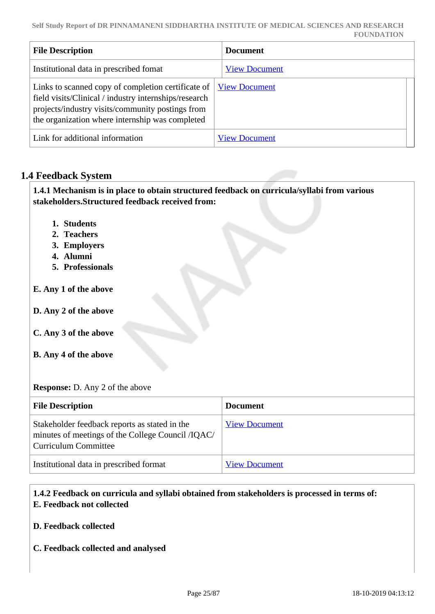| <b>File Description</b>                                                                                                                                                                                                                                           | <b>Document</b>      |
|-------------------------------------------------------------------------------------------------------------------------------------------------------------------------------------------------------------------------------------------------------------------|----------------------|
| Institutional data in prescribed fomat                                                                                                                                                                                                                            | <b>View Document</b> |
| Links to scanned copy of completion certificate of $\sqrt{\frac{V_{\text{icw}}}{V_{\text{icw}}}}$<br>field visits/Clinical / industry internships/research<br>projects/industry visits/community postings from<br>the organization where internship was completed |                      |
| Link for additional information                                                                                                                                                                                                                                   | <b>View Document</b> |

## **1.4 Feedback System**

 **1.4.1 Mechanism is in place to obtain structured feedback on curricula/syllabi from various stakeholders.Structured feedback received from:**

- **1. Students**
- **2. Teachers**
- **3. Employers**
- **4. Alumni**
- **5. Professionals**
- **E. Any 1 of the above**
- **D. Any 2 of the above**
- **C. Any 3 of the above**
- **B. Any 4 of the above**

## **Response:** D. Any 2 of the above

| <b>File Description</b>                                                                                                           | <b>Document</b>      |
|-----------------------------------------------------------------------------------------------------------------------------------|----------------------|
| Stakeholder feedback reports as stated in the<br>minutes of meetings of the College Council /IQAC/<br><b>Curriculum Committee</b> | <b>View Document</b> |
| Institutional data in prescribed format                                                                                           | <b>View Document</b> |

## **1.4.2 Feedback on curricula and syllabi obtained from stakeholders is processed in terms of: E. Feedback not collected**

- **D. Feedback collected**
- **C. Feedback collected and analysed**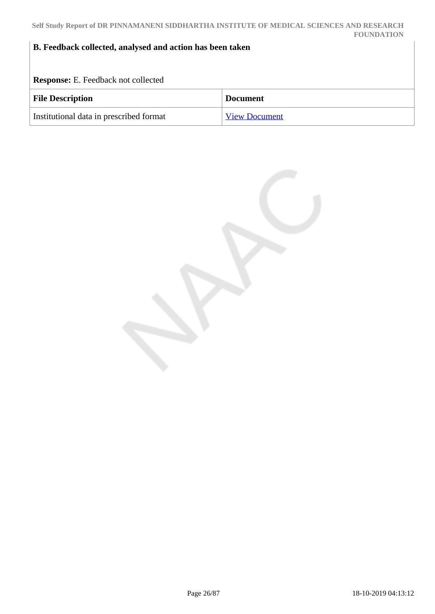## **B. Feedback collected, analysed and action has been taken**

**Response:** E. Feedback not collected

| <b>File Description</b>                 | <b>Document</b>      |
|-----------------------------------------|----------------------|
| Institutional data in prescribed format | <b>View Document</b> |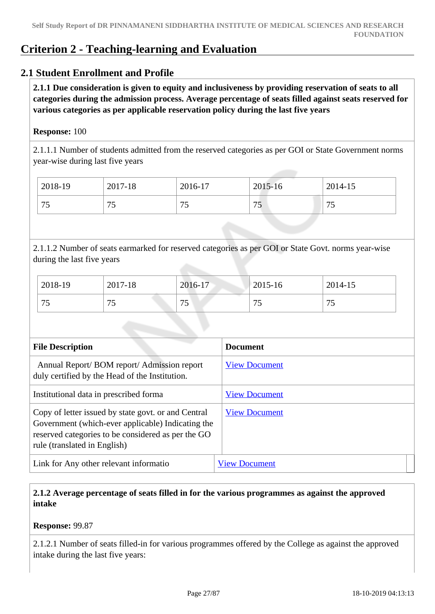## **Criterion 2 - Teaching-learning and Evaluation**

## **2.1 Student Enrollment and Profile**

 **2.1.1 Due consideration is given to equity and inclusiveness by providing reservation of seats to all categories during the admission process. Average percentage of seats filled against seats reserved for various categories as per applicable reservation policy during the last five years**

#### **Response:** 100

2.1.1.1 Number of students admitted from the reserved categories as per GOI or State Government norms year-wise during last five years

| 2018-19 | 2017-18                  | 2016-17 | 2015-16 | 2014-15                  |
|---------|--------------------------|---------|---------|--------------------------|
| 75      | $\overline{\phantom{0}}$ | 75      | 75      | $\overline{\phantom{a}}$ |
| ر ،     | ה ו                      | ر ،     |         | ັ                        |

2.1.1.2 Number of seats earmarked for reserved categories as per GOI or State Govt. norms year-wise during the last five years

| 2018-19 | 2017-18 | 2016-17 | $2015 - 16$              | 2014-15 |
|---------|---------|---------|--------------------------|---------|
| 75      | 75      | 75      | $\overline{\phantom{a}}$ | $\pi$   |
| ر ر     | ັບ      | ر ،     | ັ                        | $\sim$  |

| <b>File Description</b>                                                                                                                                                                        | <b>Document</b>      |
|------------------------------------------------------------------------------------------------------------------------------------------------------------------------------------------------|----------------------|
| Annual Report/BOM report/Admission report<br>duly certified by the Head of the Institution.                                                                                                    | <b>View Document</b> |
| Institutional data in prescribed forma                                                                                                                                                         | <b>View Document</b> |
| Copy of letter issued by state govt. or and Central<br>Government (which-ever applicable) Indicating the<br>reserved categories to be considered as per the GO<br>rule (translated in English) | <b>View Document</b> |
| Link for Any other relevant informatio                                                                                                                                                         | <b>View Document</b> |

 **2.1.2 Average percentage of seats filled in for the various programmes as against the approved intake** 

**Response:** 99.87

2.1.2.1 Number of seats filled-in for various programmes offered by the College as against the approved intake during the last five years: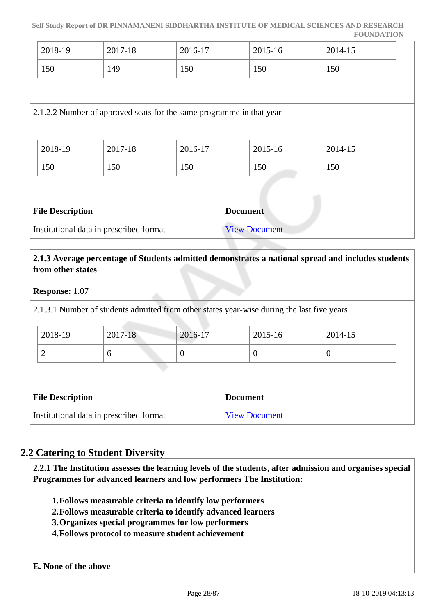| 2018-19                 | 2017-18 | 2016-17                                                              | 2015-16         | 2014-15 |
|-------------------------|---------|----------------------------------------------------------------------|-----------------|---------|
| 150                     | 149     | 150                                                                  | 150             | 150     |
|                         |         |                                                                      |                 |         |
|                         |         | 2.1.2.2 Number of approved seats for the same programme in that year |                 |         |
|                         |         |                                                                      |                 |         |
| 2018-19                 | 2017-18 | 2016-17                                                              | 2015-16         | 2014-15 |
| 150                     | 150     | 150                                                                  | 150             | 150     |
|                         |         |                                                                      |                 |         |
| <b>File Description</b> |         |                                                                      | <b>Document</b> |         |

## **2.1.3 Average percentage of Students admitted demonstrates a national spread and includes students from other states**

**Response:** 1.07

2.1.3.1 Number of students admitted from other states year-wise during the last five years

| $2018-19$ | 2017-18 | 2016-17 | 2015-16 | 2014-15 |
|-----------|---------|---------|---------|---------|
| ∼         | ◡       |         | U       |         |

| <b>File Description</b>                 | <b>Document</b>      |
|-----------------------------------------|----------------------|
| Institutional data in prescribed format | <b>View Document</b> |

## **2.2 Catering to Student Diversity**

 **2.2.1 The Institution assesses the learning levels of the students, after admission and organises special Programmes for advanced learners and low performers The Institution:**

- **1.Follows measurable criteria to identify low performers**
- **2.Follows measurable criteria to identify advanced learners**
- **3.Organizes special programmes for low performers**
- **4.Follows protocol to measure student achievement**

**E. None of the above**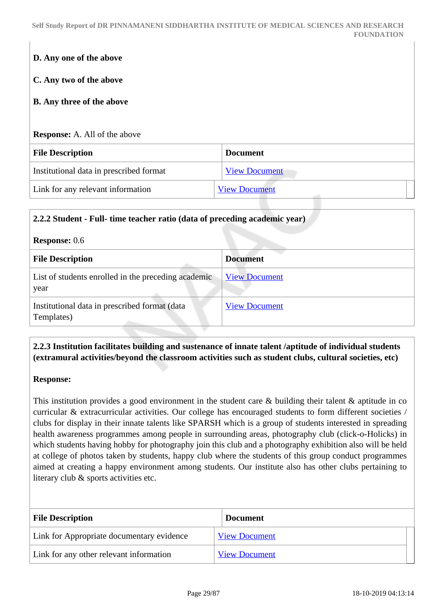**Self Study Report of DR PINNAMANENI SIDDHARTHA INSTITUTE OF MEDICAL SCIENCES AND RESEARCH FOUNDATION**

| D. Any one of the above |
|-------------------------|
|-------------------------|

**C. Any two of the above**

**B. Any three of the above**

#### **Response:** A. All of the above

| <b>File Description</b>                 | <b>Document</b>      |
|-----------------------------------------|----------------------|
| Institutional data in prescribed format | <b>View Document</b> |
| Link for any relevant information       | <b>View Document</b> |

| 2.2.2 Student - Full- time teacher ratio (data of preceding academic year) |                      |  |
|----------------------------------------------------------------------------|----------------------|--|
| <b>Response:</b> 0.6<br><b>File Description</b>                            | <b>Document</b>      |  |
| List of students enrolled in the preceding academic<br>year                | <b>View Document</b> |  |
| Institutional data in prescribed format (data<br>Templates)                | <b>View Document</b> |  |

## **2.2.3 Institution facilitates building and sustenance of innate talent /aptitude of individual students (extramural activities/beyond the classroom activities such as student clubs, cultural societies, etc)**

#### **Response:**

This institution provides a good environment in the student care & building their talent & aptitude in co curricular & extracurricular activities. Our college has encouraged students to form different societies / clubs for display in their innate talents like SPARSH which is a group of students interested in spreading health awareness programmes among people in surrounding areas, photography club (click-o-Holicks) in which students having hobby for photography join this club and a photography exhibition also will be held at college of photos taken by students, happy club where the students of this group conduct programmes aimed at creating a happy environment among students. Our institute also has other clubs pertaining to literary club & sports activities etc.

| <b>File Description</b>                          | <b>Document</b>      |
|--------------------------------------------------|----------------------|
| <b>Link for Appropriate documentary evidence</b> | <b>View Document</b> |
| Link for any other relevant information          | <b>View Document</b> |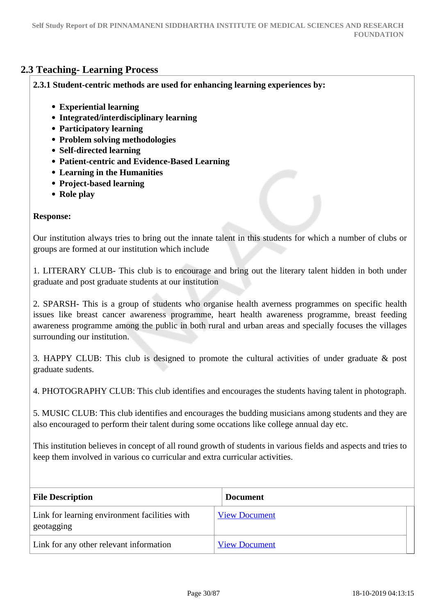## **2.3 Teaching- Learning Process**

**2.3.1 Student-centric methods are used for enhancing learning experiences by:**

- **Experiential learning**
- **Integrated/interdisciplinary learning**
- **Participatory learning**
- **Problem solving methodologies**
- **Self-directed learning**
- **Patient-centric and Evidence-Based Learning**
- **Learning in the Humanities**
- **Project-based learning**
- **Role play**

## **Response:**

Our institution always tries to bring out the innate talent in this students for which a number of clubs or groups are formed at our institution which include

1. LITERARY CLUB- This club is to encourage and bring out the literary talent hidden in both under graduate and post graduate students at our institution

2. SPARSH- This is a group of students who organise health averness programmes on specific health issues like breast cancer awareness programme, heart health awareness programme, breast feeding awareness programme among the public in both rural and urban areas and specially focuses the villages surrounding our institution.

3. HAPPY CLUB: This club is designed to promote the cultural activities of under graduate & post graduate sudents.

4. PHOTOGRAPHY CLUB: This club identifies and encourages the students having talent in photograph.

5. MUSIC CLUB: This club identifies and encourages the budding musicians among students and they are also encouraged to perform their talent during some occations like college annual day etc.

This institution believes in concept of all round growth of students in various fields and aspects and tries to keep them involved in various co curricular and extra curricular activities.

| <b>File Description</b>                                     | <b>Document</b>      |
|-------------------------------------------------------------|----------------------|
| Link for learning environment facilities with<br>geotagging | <b>View Document</b> |
| Link for any other relevant information                     | <b>View Document</b> |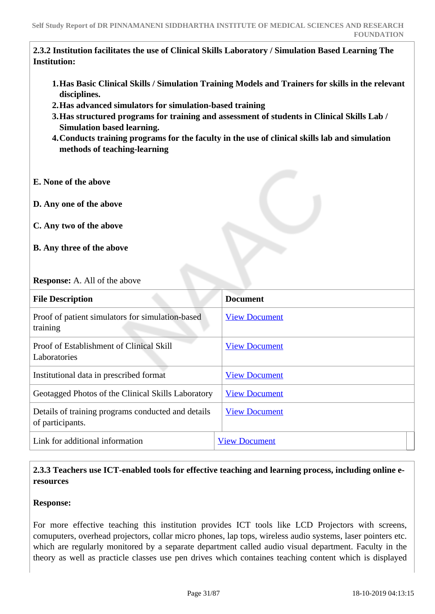**2.3.2 Institution facilitates the use of Clinical Skills Laboratory / Simulation Based Learning The Institution:**

- **1.Has Basic Clinical Skills / Simulation Training Models and Trainers for skills in the relevant disciplines.**
- **2.Has advanced simulators for simulation-based training**
- **3.Has structured programs for training and assessment of students in Clinical Skills Lab / Simulation based learning.**
- **4.Conducts training programs for the faculty in the use of clinical skills lab and simulation methods of teaching-learning**
- **E. None of the above**
- **D. Any one of the above**
- **C. Any two of the above**
- **B. Any three of the above**

#### **Response:** A. All of the above

| <b>File Description</b>                                                | <b>Document</b>      |
|------------------------------------------------------------------------|----------------------|
| Proof of patient simulators for simulation-based<br>training           | <b>View Document</b> |
| Proof of Establishment of Clinical Skill<br>Laboratories               | <b>View Document</b> |
| Institutional data in prescribed format                                | <b>View Document</b> |
| Geotagged Photos of the Clinical Skills Laboratory                     | <b>View Document</b> |
| Details of training programs conducted and details<br>of participants. | <b>View Document</b> |
| Link for additional information                                        | <b>View Document</b> |

## **2.3.3 Teachers use ICT-enabled tools for effective teaching and learning process, including online eresources**

## **Response:**

For more effective teaching this institution provides ICT tools like LCD Projectors with screens, comuputers, overhead projectors, collar micro phones, lap tops, wireless audio systems, laser pointers etc. which are regularly monitored by a separate department called audio visual department. Faculty in the theory as well as practicle classes use pen drives which containes teaching content which is displayed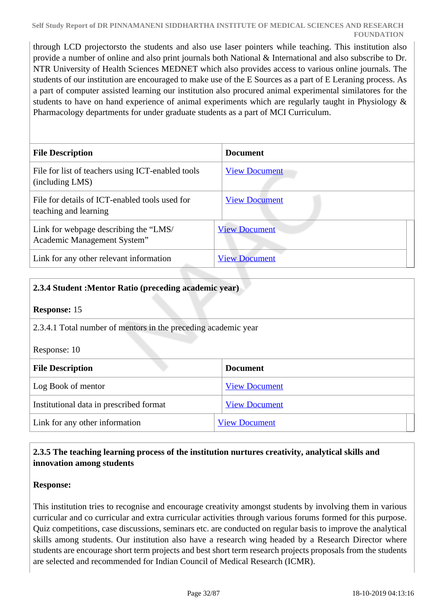through LCD projectorsto the students and also use laser pointers while teaching. This institution also provide a number of online and also print journals both National & International and also subscribe to Dr. NTR University of Health Sciences MEDNET which also provides access to various online journals. The students of our institution are encouraged to make use of the E Sources as a part of E Leraning process. As a part of computer assisted learning our institution also procured animal experimental similatores for the students to have on hand experience of animal experiments which are regularly taught in Physiology  $\&$ Pharmacology departments for under graduate students as a part of MCI Curriculum.

| <b>File Description</b>                                                 | <b>Document</b>      |
|-------------------------------------------------------------------------|----------------------|
| File for list of teachers using ICT-enabled tools<br>(including LMS)    | <b>View Document</b> |
| File for details of ICT-enabled tools used for<br>teaching and learning | <b>View Document</b> |
| Link for webpage describing the "LMS/<br>Academic Management System"    | <b>View Document</b> |
| Link for any other relevant information                                 | <b>View Document</b> |

| 2.3.4 Student : Mentor Ratio (preceding academic year)         |                      |  |
|----------------------------------------------------------------|----------------------|--|
| <b>Response: 15</b>                                            |                      |  |
| 2.3.4.1 Total number of mentors in the preceding academic year |                      |  |
| Response: 10                                                   |                      |  |
| <b>File Description</b>                                        | <b>Document</b>      |  |
| Log Book of mentor                                             | <b>View Document</b> |  |
| Institutional data in prescribed format                        | <b>View Document</b> |  |
| Link for any other information                                 | <b>View Document</b> |  |

## **2.3.5 The teaching learning process of the institution nurtures creativity, analytical skills and innovation among students**

## **Response:**

This institution tries to recognise and encourage creativity amongst students by involving them in various curricular and co curricular and extra curricular activities through various forums formed for this purpose. Quiz competitions, case discussions, seminars etc. are conducted on regular basis to improve the analytical skills among students. Our institution also have a research wing headed by a Research Director where students are encourage short term projects and best short term research projects proposals from the students are selected and recommended for Indian Council of Medical Research (ICMR).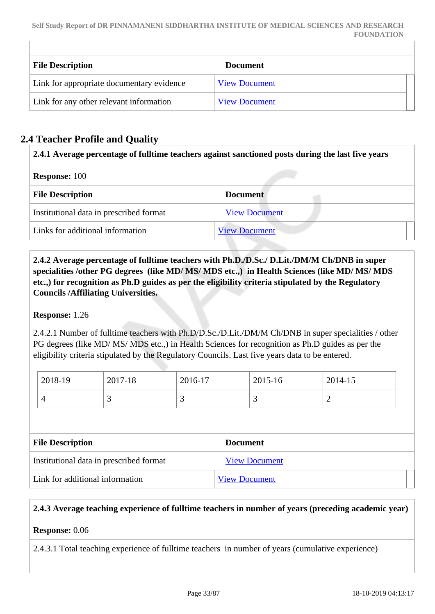| <b>File Description</b>                   | <b>Document</b>      |
|-------------------------------------------|----------------------|
| Link for appropriate documentary evidence | <b>View Document</b> |
| Link for any other relevant information   | <b>View Document</b> |

## **2.4 Teacher Profile and Quality**

**2.4.1 Average percentage of fulltime teachers against sanctioned posts during the last five years**

## **Response:** 100

| <b>File Description</b>                 | <b>Document</b>      |
|-----------------------------------------|----------------------|
| Institutional data in prescribed format | <b>View Document</b> |
| Links for additional information        | <b>View Document</b> |

 **2.4.2 Average percentage of fulltime teachers with Ph.D./D.Sc./ D.Lit./DM/M Ch/DNB in super specialities /other PG degrees (like MD/ MS/ MDS etc.,) in Health Sciences (like MD/ MS/ MDS etc.,) for recognition as Ph.D guides as per the eligibility criteria stipulated by the Regulatory Councils /Affiliating Universities.**

## **Response:** 1.26

2.4.2.1 Number of fulltime teachers with Ph.D/D.Sc./D.Lit./DM/M Ch/DNB in super specialities / other PG degrees (like MD/ MS/ MDS etc.,) in Health Sciences for recognition as Ph.D guides as per the eligibility criteria stipulated by the Regulatory Councils. Last five years data to be entered.

| 2018-19 | 2017-18 | 2016-17 | 2015-16 | 2014-15 |
|---------|---------|---------|---------|---------|
|         |         | ັ       |         |         |

| <b>File Description</b>                 | <b>Document</b>      |
|-----------------------------------------|----------------------|
| Institutional data in prescribed format | <b>View Document</b> |
| Link for additional information         | <b>View Document</b> |

## **2.4.3 Average teaching experience of fulltime teachers in number of years (preceding academic year)**

## **Response:** 0.06

2.4.3.1 Total teaching experience of fulltime teachers in number of years (cumulative experience)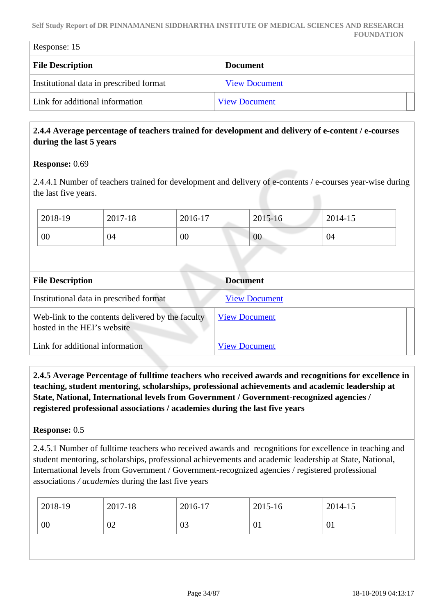| Response: 15                            |                      |  |
|-----------------------------------------|----------------------|--|
| <b>File Description</b>                 | <b>Document</b>      |  |
| Institutional data in prescribed format | <b>View Document</b> |  |
| Link for additional information         | <b>View Document</b> |  |

## **2.4.4 Average percentage of teachers trained for development and delivery of e-content / e-courses during the last 5 years**

## **Response:** 0.69

2.4.4.1 Number of teachers trained for development and delivery of e-contents / e-courses year-wise during the last five years.

| 2018-19 | 2017-18 | 2016-17 | 2015-16 | 2014-15 |
|---------|---------|---------|---------|---------|
| 00      | 04      | 00      | 00      | 04      |

| <b>File Description</b>                                                          | <b>Document</b>      |
|----------------------------------------------------------------------------------|----------------------|
| Institutional data in prescribed format                                          | <b>View Document</b> |
| Web-link to the contents delivered by the faculty<br>hosted in the HEI's website | <b>View Document</b> |
| Link for additional information                                                  | <b>View Document</b> |

 **2.4.5 Average Percentage of fulltime teachers who received awards and recognitions for excellence in teaching, student mentoring, scholarships, professional achievements and academic leadership at State, National, International levels from Government / Government-recognized agencies / registered professional associations / academies during the last five years**

## **Response:** 0.5

2.4.5.1 Number of fulltime teachers who received awards and recognitions for excellence in teaching and student mentoring, scholarships, professional achievements and academic leadership at State, National, International levels from Government / Government-recognized agencies / registered professional associations */ academies* during the last five years

| 2018-19  | 2017-18 | 2016-17 | 2015-16 | 2014-15 |
|----------|---------|---------|---------|---------|
| 00<br>02 |         | 03      | 01      | 01      |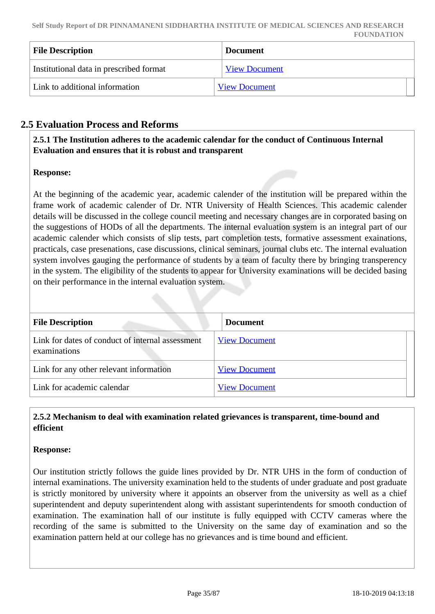| <b>File Description</b>                 | <b>Document</b>      |
|-----------------------------------------|----------------------|
| Institutional data in prescribed format | <b>View Document</b> |
| Link to additional information          | <b>View Document</b> |

## **2.5 Evaluation Process and Reforms**

 **2.5.1 The Institution adheres to the academic calendar for the conduct of Continuous Internal Evaluation and ensures that it is robust and transparent**

## **Response:**

At the beginning of the academic year, academic calender of the institution will be prepared within the frame work of academic calender of Dr. NTR University of Health Sciences. This academic calender details will be discussed in the college council meeting and necessary changes are in corporated basing on the suggestions of HODs of all the departments. The internal evaluation system is an integral part of our academic calender which consists of slip tests, part completion tests, formative assessment exainations, practicals, case presenations, case discussions, clinical seminars, journal clubs etc. The internal evaluation system involves gauging the performance of students by a team of faculty there by bringing transperency in the system. The eligibility of the students to appear for University examinations will be decided basing on their performance in the internal evaluation system.

| <b>File Description</b>                                          | <b>Document</b>      |
|------------------------------------------------------------------|----------------------|
| Link for dates of conduct of internal assessment<br>examinations | <b>View Document</b> |
| Link for any other relevant information                          | <b>View Document</b> |
| Link for academic calendar                                       | <b>View Document</b> |

## **2.5.2 Mechanism to deal with examination related grievances is transparent, time-bound and efficient**

## **Response:**

Our institution strictly follows the guide lines provided by Dr. NTR UHS in the form of conduction of internal examinations. The university examination held to the students of under graduate and post graduate is strictly monitored by university where it appoints an observer from the university as well as a chief superintendent and deputy superintendent along with assistant superintendents for smooth conduction of examination. The examination hall of our institute is fully equipped with CCTV cameras where the recording of the same is submitted to the University on the same day of examination and so the examination pattern held at our college has no grievances and is time bound and efficient.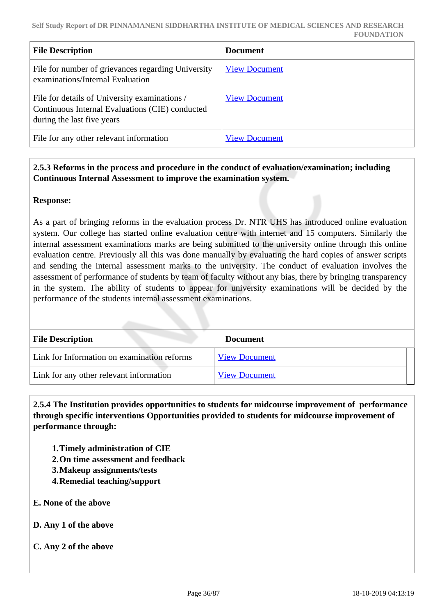| <b>File Description</b>                                                                                                        | <b>Document</b>      |
|--------------------------------------------------------------------------------------------------------------------------------|----------------------|
| File for number of grievances regarding University<br>examinations/Internal Evaluation                                         | <b>View Document</b> |
| File for details of University examinations /<br>Continuous Internal Evaluations (CIE) conducted<br>during the last five years | <b>View Document</b> |
| File for any other relevant information                                                                                        | <b>View Document</b> |

## **2.5.3 Reforms in the process and procedure in the conduct of evaluation/examination; including Continuous Internal Assessment to improve the examination system.**

## **Response:**

As a part of bringing reforms in the evaluation process Dr. NTR UHS has introduced online evaluation system. Our college has started online evaluation centre with internet and 15 computers. Similarly the internal assessment examinations marks are being submitted to the university online through this online evaluation centre. Previously all this was done manually by evaluating the hard copies of answer scripts and sending the internal assessment marks to the university. The conduct of evaluation involves the assessment of performance of students by team of faculty without any bias, there by bringing transparency in the system. The ability of students to appear for university examinations will be decided by the performance of the students internal assessment examinations.

| <b>File Description</b>                     | <b>Document</b>      |
|---------------------------------------------|----------------------|
| Link for Information on examination reforms | <b>View Document</b> |
| Link for any other relevant information     | <b>View Document</b> |

 **2.5.4 The Institution provides opportunities to students for midcourse improvement of performance through specific interventions Opportunities provided to students for midcourse improvement of performance through:**

- **1.Timely administration of CIE**
- **2.On time assessment and feedback**
- **3.Makeup assignments/tests**
- **4.Remedial teaching/support**
- **E. None of the above**
- **D. Any 1 of the above**
- **C. Any 2 of the above**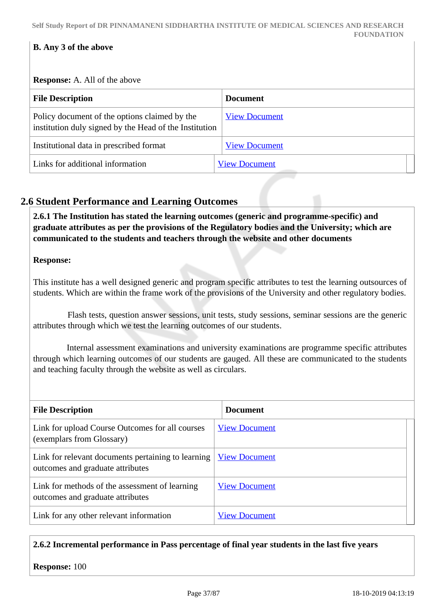### **B. Any 3 of the above**

**Response:** A. All of the above

| <b>File Description</b>                                                                                 | <b>Document</b>      |
|---------------------------------------------------------------------------------------------------------|----------------------|
| Policy document of the options claimed by the<br>institution duly signed by the Head of the Institution | <b>View Document</b> |
| Institutional data in prescribed format                                                                 | <b>View Document</b> |
| Links for additional information                                                                        | <b>View Document</b> |

# **2.6 Student Performance and Learning Outcomes**

 **2.6.1 The Institution has stated the learning outcomes (generic and programme-specific) and graduate attributes as per the provisions of the Regulatory bodies and the University; which are communicated to the students and teachers through the website and other documents**

### **Response:**

This institute has a well designed generic and program specific attributes to test the learning outsources of students. Which are within the frame work of the provisions of the University and other regulatory bodies.

 Flash tests, question answer sessions, unit tests, study sessions, seminar sessions are the generic attributes through which we test the learning outcomes of our students.

 Internal assessment examinations and university examinations are programme specific attributes through which learning outcomes of our students are gauged. All these are communicated to the students and teaching faculty through the website as well as circulars.

| <b>File Description</b>                                                                | <b>Document</b>      |
|----------------------------------------------------------------------------------------|----------------------|
| Link for upload Course Outcomes for all courses<br>(exemplars from Glossary)           | <b>View Document</b> |
| Link for relevant documents pertaining to learning<br>outcomes and graduate attributes | <b>View Document</b> |
| Link for methods of the assessment of learning<br>outcomes and graduate attributes     | <b>View Document</b> |
| Link for any other relevant information                                                | <b>View Document</b> |

### **2.6.2 Incremental performance in Pass percentage of final year students in the last five years**

### **Response:** 100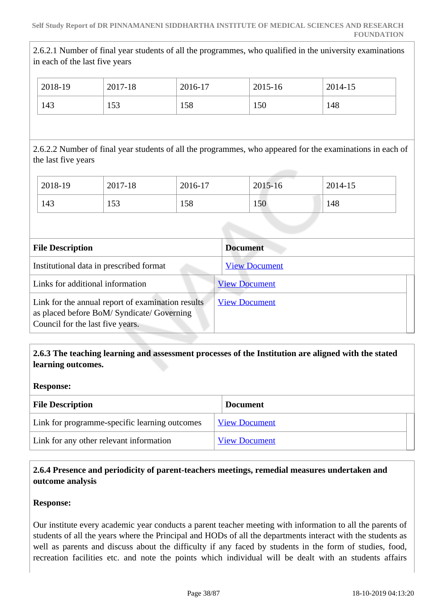#### **Self Study Report of DR PINNAMANENI SIDDHARTHA INSTITUTE OF MEDICAL SCIENCES AND RESEARCH FOUNDATION**

2.6.2.1 Number of final year students of all the programmes, who qualified in the university examinations in each of the last five years

| 2018-19 | 2017-18     | 2016-17 | 2015-16 | 2014-15 |
|---------|-------------|---------|---------|---------|
| 143     | 53<br>1 J J | 158     | 150     | 148     |

2.6.2.2 Number of final year students of all the programmes, who appeared for the examinations in each of the last five years

| 2018-19 | 2017-18 | 2016-17 | 2015-16 | 2014-15 |
|---------|---------|---------|---------|---------|
| 143     | 153     | 158     | 150     | 148     |

| <b>File Description</b>                                                                                                           | <b>Document</b>      |
|-----------------------------------------------------------------------------------------------------------------------------------|----------------------|
| Institutional data in prescribed format                                                                                           | <b>View Document</b> |
| Links for additional information                                                                                                  | <b>View Document</b> |
| Link for the annual report of examination results<br>as placed before BoM/Syndicate/Governing<br>Council for the last five years. | <b>View Document</b> |

## **2.6.3 The teaching learning and assessment processes of the Institution are aligned with the stated learning outcomes.**

#### **Response:**

| <b>File Description</b>                       | <b>Document</b>      |
|-----------------------------------------------|----------------------|
| Link for programme-specific learning outcomes | <b>View Document</b> |
| Link for any other relevant information       | <b>View Document</b> |

# **2.6.4 Presence and periodicity of parent-teachers meetings, remedial measures undertaken and outcome analysis**

### **Response:**

Our institute every academic year conducts a parent teacher meeting with information to all the parents of students of all the years where the Principal and HODs of all the departments interact with the students as well as parents and discuss about the difficulty if any faced by students in the form of studies, food, recreation facilities etc. and note the points which individual will be dealt with an students affairs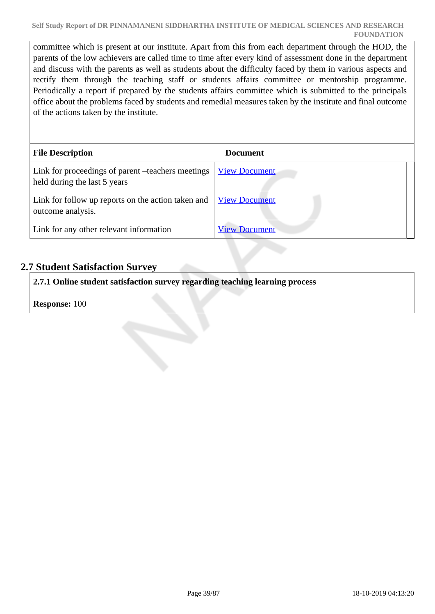committee which is present at our institute. Apart from this from each department through the HOD, the parents of the low achievers are called time to time after every kind of assessment done in the department and discuss with the parents as well as students about the difficulty faced by them in various aspects and rectify them through the teaching staff or students affairs committee or mentorship programme. Periodically a report if prepared by the students affairs committee which is submitted to the principals office about the problems faced by students and remedial measures taken by the institute and final outcome of the actions taken by the institute.

| <b>File Description</b>                                                           | <b>Document</b>      |
|-----------------------------------------------------------------------------------|----------------------|
| Link for proceedings of parent –teachers meetings<br>held during the last 5 years | <b>View Document</b> |
| Link for follow up reports on the action taken and<br>outcome analysis.           | <b>View Document</b> |
| Link for any other relevant information                                           | <b>View Document</b> |

# **2.7 Student Satisfaction Survey**

**2.7.1 Online student satisfaction survey regarding teaching learning process**

**Response:** 100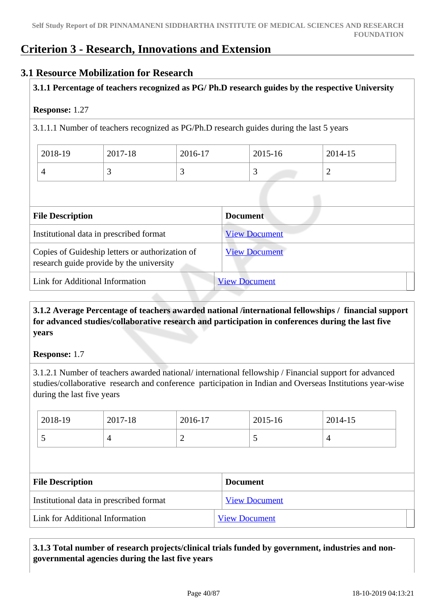# **Criterion 3 - Research, Innovations and Extension**

# **3.1 Resource Mobilization for Research**

# **3.1.1 Percentage of teachers recognized as PG/ Ph.D research guides by the respective University**

### **Response:** 1.27

3.1.1.1 Number of teachers recognized as PG/Ph.D research guides during the last 5 years

| 2018-19 | 2017-18 | 2016-17 | 2015-16                  | 2014-15 |
|---------|---------|---------|--------------------------|---------|
|         | ت       | ັ       | $\overline{\phantom{0}}$ | -       |

| <b>File Description</b>                                                                     | <b>Document</b>      |  |  |  |
|---------------------------------------------------------------------------------------------|----------------------|--|--|--|
| Institutional data in prescribed format                                                     | <b>View Document</b> |  |  |  |
| Copies of Guideship letters or authorization of<br>research guide provide by the university | <b>View Document</b> |  |  |  |
| Link for Additional Information                                                             | <b>View Document</b> |  |  |  |

# **3.1.2 Average Percentage of teachers awarded national /international fellowships / financial support for advanced studies/collaborative research and participation in conferences during the last five years**

### **Response:** 1.7

3.1.2.1 Number of teachers awarded national/ international fellowship / Financial support for advanced studies/collaborative research and conference participation in Indian and Overseas Institutions year-wise during the last five years

|                                         | 2018-19                         | 2017-18        | 2016-17              |                      | 2015-16         | 2014-15        |  |
|-----------------------------------------|---------------------------------|----------------|----------------------|----------------------|-----------------|----------------|--|
|                                         | 5                               | $\overline{4}$ | 2                    |                      | 5               | $\overline{4}$ |  |
|                                         |                                 |                |                      |                      |                 |                |  |
|                                         | <b>File Description</b>         |                |                      |                      | <b>Document</b> |                |  |
| Institutional data in prescribed format |                                 |                | <b>View Document</b> |                      |                 |                |  |
|                                         | Link for Additional Information |                |                      | <b>View Document</b> |                 |                |  |

 **3.1.3 Total number of research projects/clinical trials funded by government, industries and nongovernmental agencies during the last five years**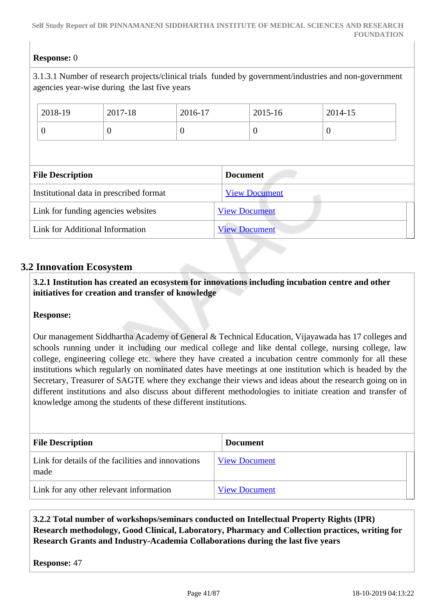# **Response:** 0

3.1.3.1 Number of research projects/clinical trials funded by government/industries and non-government agencies year-wise during the last five years

|                         | 2018-19                                 | 2017-18  | 2016-17  |                      | 2015-16              | 2014-15        |  |
|-------------------------|-----------------------------------------|----------|----------|----------------------|----------------------|----------------|--|
|                         | $\theta$                                | $\theta$ | $\theta$ |                      | $\theta$             | $\overline{0}$ |  |
|                         |                                         |          |          |                      |                      |                |  |
| <b>File Description</b> |                                         |          |          |                      |                      |                |  |
|                         |                                         |          |          | <b>Document</b>      |                      |                |  |
|                         | Institutional data in prescribed format |          |          |                      | <b>View Document</b> |                |  |
|                         | Link for funding agencies websites      |          |          | <b>View Document</b> |                      |                |  |

# **3.2 Innovation Ecosystem**

 **3.2.1 Institution has created an ecosystem for innovations including incubation centre and other initiatives for creation and transfer of knowledge**

**Response:** 

Our management Siddhartha Academy of General & Technical Education, Vijayawada has 17 colleges and schools running under it including our medical college and like dental college, nursing college, law college, engineering college etc. where they have created a incubation centre commonly for all these institutions which regularly on nominated dates have meetings at one institution which is headed by the Secretary, Treasurer of SAGTE where they exchange their views and ideas about the research going on in different institutions and also discuss about different methodologies to initiate creation and transfer of knowledge among the students of these different institutions.

| <b>File Description</b>                                    | <b>Document</b>      |  |
|------------------------------------------------------------|----------------------|--|
| Link for details of the facilities and innovations<br>made | <b>View Document</b> |  |
| Link for any other relevant information                    | <b>View Document</b> |  |

 **3.2.2 Total number of workshops/seminars conducted on Intellectual Property Rights (IPR) Research methodology, Good Clinical, Laboratory, Pharmacy and Collection practices, writing for Research Grants and Industry-Academia Collaborations during the last five years**

**Response:** 47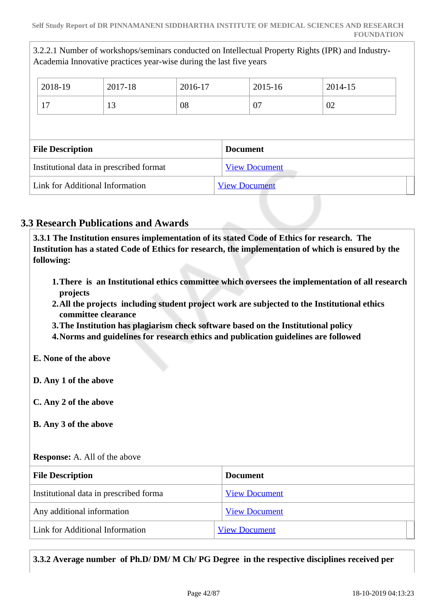3.2.2.1 Number of workshops/seminars conducted on Intellectual Property Rights (IPR) and Industry-Academia Innovative practices year-wise during the last five years

| 2018-19                                 | 2017-18 | 2016-17 |                 | 2015-16              | 2014-15 |  |
|-----------------------------------------|---------|---------|-----------------|----------------------|---------|--|
| 17                                      | 13      | 08      |                 | 07                   | 02      |  |
|                                         |         |         |                 |                      |         |  |
|                                         |         |         |                 |                      |         |  |
| <b>File Description</b>                 |         |         | <b>Document</b> |                      |         |  |
| Institutional data in prescribed format |         |         |                 | <b>View Document</b> |         |  |

# **3.3 Research Publications and Awards**

 **3.3.1 The Institution ensures implementation of its stated Code of Ethics for research. The Institution has a stated Code of Ethics for research, the implementation of which is ensured by the following:**

- **1.There is an Institutional ethics committee which oversees the implementation of all research projects**
- **2.All the projects including student project work are subjected to the Institutional ethics committee clearance**
- **3.The Institution has plagiarism check software based on the Institutional policy**
- **4.Norms and guidelines for research ethics and publication guidelines are followed**

**E. None of the above**

- **D. Any 1 of the above**
- **C. Any 2 of the above**
- **B. Any 3 of the above**

### **Response:** A. All of the above

| <b>File Description</b>                | <b>Document</b>      |
|----------------------------------------|----------------------|
| Institutional data in prescribed forma | <b>View Document</b> |
| Any additional information             | <b>View Document</b> |
| Link for Additional Information        | <b>View Document</b> |

# **3.3.2 Average number of Ph.D/ DM/ M Ch/ PG Degree in the respective disciplines received per**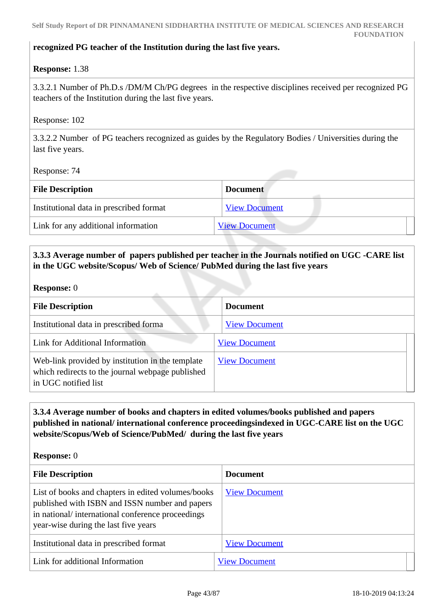### **recognized PG teacher of the Institution during the last five years.**

### **Response:** 1.38

3.3.2.1 Number of Ph.D.s /DM/M Ch/PG degrees in the respective disciplines received per recognized PG teachers of the Institution during the last five years.

#### Response: 102

3.3.2.2 Number of PG teachers recognized as guides by the Regulatory Bodies / Universities during the last five years.

Response: 74

| <b>File Description</b>                 | <b>Document</b>      |
|-----------------------------------------|----------------------|
| Institutional data in prescribed format | <b>View Document</b> |
| Link for any additional information     | <b>View Document</b> |
|                                         |                      |

# **3.3.3 Average number of papers published per teacher in the Journals notified on UGC -CARE list in the UGC website/Scopus/ Web of Science/ PubMed during the last five years**

**Response:** 0

| <b>File Description</b>                                                                                                      | <b>Document</b>      |
|------------------------------------------------------------------------------------------------------------------------------|----------------------|
| Institutional data in prescribed forma                                                                                       | <b>View Document</b> |
| <b>Link for Additional Information</b>                                                                                       | <b>View Document</b> |
| Web-link provided by institution in the template<br>which redirects to the journal webpage published<br>in UGC notified list | <b>View Document</b> |

# **3.3.4 Average number of books and chapters in edited volumes/books published and papers published in national/ international conference proceedingsindexed in UGC-CARE list on the UGC website/Scopus/Web of Science/PubMed/ during the last five years**

**Response:** 0

| <b>File Description</b>                                                                                                                                                                          | <b>Document</b>      |
|--------------------------------------------------------------------------------------------------------------------------------------------------------------------------------------------------|----------------------|
| List of books and chapters in edited volumes/books<br>published with ISBN and ISSN number and papers<br>in national/international conference proceedings<br>year-wise during the last five years | <b>View Document</b> |
| Institutional data in prescribed format                                                                                                                                                          | <b>View Document</b> |
| Link for additional Information                                                                                                                                                                  | <b>View Document</b> |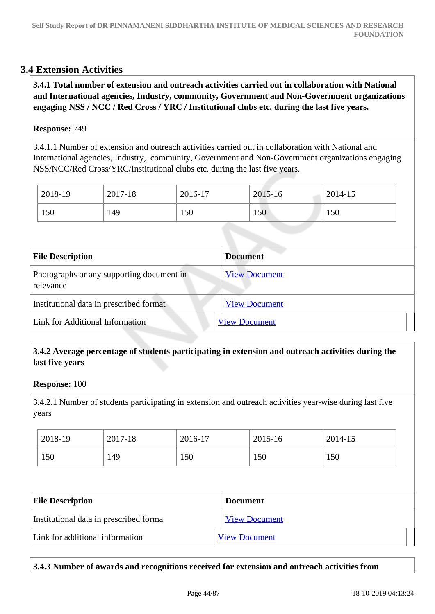# **3.4 Extension Activities**

 **3.4.1 Total number of extension and outreach activities carried out in collaboration with National and International agencies, Industry, community, Government and Non-Government organizations engaging NSS / NCC / Red Cross / YRC / Institutional clubs etc. during the last five years.**

## **Response:** 749

3.4.1.1 Number of extension and outreach activities carried out in collaboration with National and International agencies, Industry, community, Government and Non-Government organizations engaging NSS/NCC/Red Cross/YRC/Institutional clubs etc. during the last five years.

| 2018-19 | 2017-18 | 2016-17 | 2015-16 | 2014-15 |
|---------|---------|---------|---------|---------|
| 150     | 149     | 150     | 150     | 150     |

| <b>File Description</b>                                | <b>Document</b>      |
|--------------------------------------------------------|----------------------|
| Photographs or any supporting document in<br>relevance | <b>View Document</b> |
| Institutional data in prescribed format                | <b>View Document</b> |
| Link for Additional Information                        | <b>View Document</b> |

# **3.4.2 Average percentage of students participating in extension and outreach activities during the last five years**

### **Response:** 100

3.4.2.1 Number of students participating in extension and outreach activities year-wise during last five years

| 2018-19 | 2017-18 | 2016-17 | 2015-16 | 2014-15 |
|---------|---------|---------|---------|---------|
| 150     | 149     | 150     | 150     | 150     |

| <b>File Description</b>                | <b>Document</b>      |
|----------------------------------------|----------------------|
| Institutional data in prescribed forma | <b>View Document</b> |
| Link for additional information        | <b>View Document</b> |

### **3.4.3 Number of awards and recognitions received for extension and outreach activities from**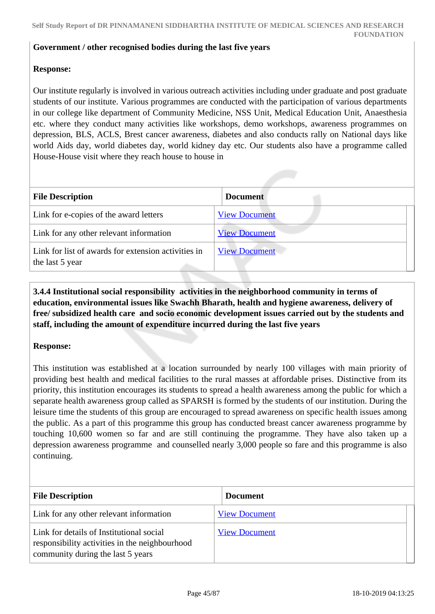#### **Government / other recognised bodies during the last five years**

### **Response:**

Our institute regularly is involved in various outreach activities including under graduate and post graduate students of our institute. Various programmes are conducted with the participation of various departments in our college like department of Community Medicine, NSS Unit, Medical Education Unit, Anaesthesia etc. where they conduct many activities like workshops, demo workshops, awareness programmes on depression, BLS, ACLS, Brest cancer awareness, diabetes and also conducts rally on National days like world Aids day, world diabetes day, world kidney day etc. Our students also have a programme called House-House visit where they reach house to house in

| <b>File Description</b>                                                | <b>Document</b>      |  |
|------------------------------------------------------------------------|----------------------|--|
| Link for e-copies of the award letters                                 | <b>View Document</b> |  |
| Link for any other relevant information                                | <b>View Document</b> |  |
| Link for list of awards for extension activities in<br>the last 5 year | <b>View Document</b> |  |

 **3.4.4 Institutional social responsibility activities in the neighborhood community in terms of education, environmental issues like Swachh Bharath, health and hygiene awareness, delivery of free/ subsidized health care and socio economic development issues carried out by the students and staff, including the amount of expenditure incurred during the last five years** 

#### **Response:**

This institution was established at a location surrounded by nearly 100 villages with main priority of providing best health and medical facilities to the rural masses at affordable prises. Distinctive from its priority, this institution encourages its students to spread a health awareness among the public for which a separate health awareness group called as SPARSH is formed by the students of our institution. During the leisure time the students of this group are encouraged to spread awareness on specific health issues among the public. As a part of this programme this group has conducted breast cancer awareness programme by touching 10,600 women so far and are still continuing the programme. They have also taken up a depression awareness programme and counselled nearly 3,000 people so fare and this programme is also continuing.

| <b>File Description</b>                                                                                                         | <b>Document</b>      |
|---------------------------------------------------------------------------------------------------------------------------------|----------------------|
| Link for any other relevant information                                                                                         | <b>View Document</b> |
| Link for details of Institutional social<br>responsibility activities in the neighbourhood<br>community during the last 5 years | <b>View Document</b> |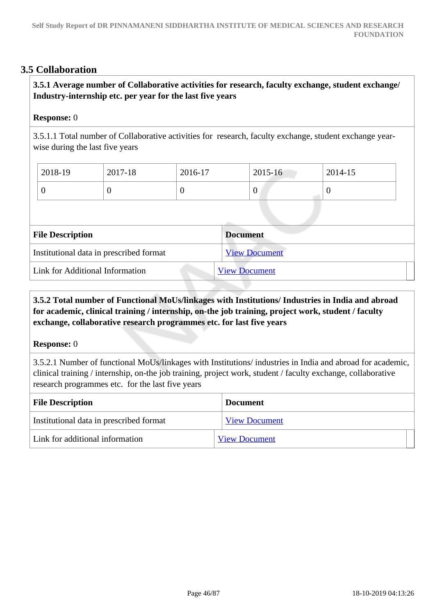# **3.5 Collaboration**

# **3.5.1 Average number of Collaborative activities for research, faculty exchange, student exchange/ Industry-internship etc. per year for the last five years**

### **Response:** 0

3.5.1.1 Total number of Collaborative activities for research, faculty exchange, student exchange yearwise during the last five years

| $12018-19$ | 2017-18 | 2016-17 | $2015 - 16$ | 2014-15 |
|------------|---------|---------|-------------|---------|
|            |         |         | ν           |         |

| <b>File Description</b>                 | <b>Document</b>      |
|-----------------------------------------|----------------------|
| Institutional data in prescribed format | <b>View Document</b> |
| Link for Additional Information         | <b>View Document</b> |

# **3.5.2 Total number of Functional MoUs/linkages with Institutions/ Industries in India and abroad for academic, clinical training / internship, on-the job training, project work, student / faculty exchange, collaborative research programmes etc. for last five years**

### **Response:** 0

3.5.2.1 Number of functional MoUs/linkages with Institutions/ industries in India and abroad for academic, clinical training / internship, on-the job training, project work, student / faculty exchange, collaborative research programmes etc. for the last five years

| <b>File Description</b>                 | <b>Document</b>      |
|-----------------------------------------|----------------------|
| Institutional data in prescribed format | <b>View Document</b> |
| Link for additional information         | <b>View Document</b> |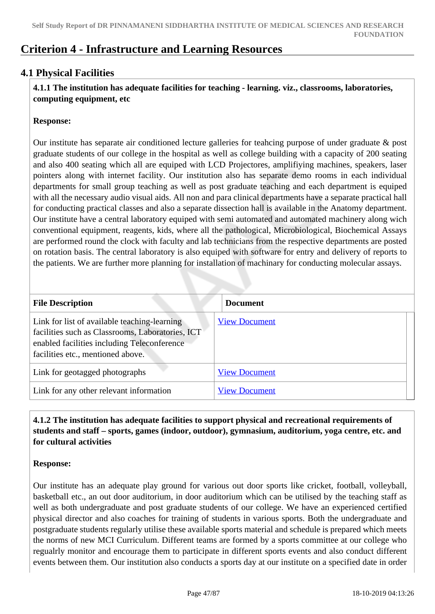# **Criterion 4 - Infrastructure and Learning Resources**

# **4.1 Physical Facilities**

 **4.1.1 The institution has adequate facilities for teaching - learning. viz., classrooms, laboratories, computing equipment, etc**

## **Response:**

Our institute has separate air conditioned lecture galleries for teahcing purpose of under graduate & post graduate students of our college in the hospital as well as college building with a capacity of 200 seating and also 400 seating which all are equiped with LCD Projectores, amplifiying machines, speakers, laser pointers along with internet facility. Our institution also has separate demo rooms in each individual departments for small group teaching as well as post graduate teaching and each department is equiped with all the necessary audio visual aids. All non and para clinical departments have a separate practical hall for conducting practical classes and also a separate dissection hall is available in the Anatomy department. Our institute have a central laboratory equiped with semi automated and automated machinery along wich conventional equipment, reagents, kids, where all the pathological, Microbiological, Biochemical Assays are performed round the clock with faculty and lab technicians from the respective departments are posted on rotation basis. The central laboratory is also equiped with software for entry and delivery of reports to the patients. We are further more planning for installation of machinary for conducting molecular assays.

| <b>File Description</b>                                                                                                                                                              | <b>Document</b>      |
|--------------------------------------------------------------------------------------------------------------------------------------------------------------------------------------|----------------------|
| Link for list of available teaching-learning<br>facilities such as Classrooms, Laboratories, ICT<br>enabled facilities including Teleconference<br>facilities etc., mentioned above. | <b>View Document</b> |
| Link for geotagged photographs                                                                                                                                                       | <b>View Document</b> |
| Link for any other relevant information                                                                                                                                              | <b>View Document</b> |

# **4.1.2 The institution has adequate facilities to support physical and recreational requirements of students and staff – sports, games (indoor, outdoor), gymnasium, auditorium, yoga centre, etc. and for cultural activities**

# **Response:**

Our institute has an adequate play ground for various out door sports like cricket, football, volleyball, basketball etc., an out door auditorium, in door auditorium which can be utilised by the teaching staff as well as both undergraduate and post graduate students of our college. We have an experienced certified physical director and also coaches for training of students in various sports. Both the undergraduate and postgraduate students regularly utilise these available sports material and schedule is prepared which meets the norms of new MCI Curriculum. Different teams are formed by a sports committee at our college who regualrly monitor and encourage them to participate in different sports events and also conduct different events between them. Our institution also conducts a sports day at our institute on a specified date in order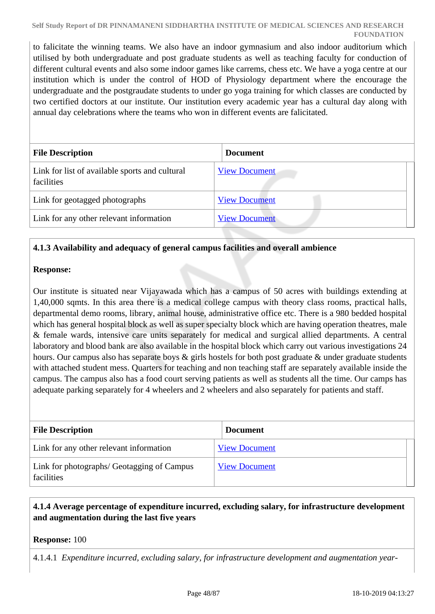to falicitate the winning teams. We also have an indoor gymnasium and also indoor auditorium which utilised by both undergraduate and post graduate students as well as teaching faculty for conduction of different cultural events and also some indoor games like carrems, chess etc. We have a yoga centre at our institution which is under the control of HOD of Physiology department where the encourage the undergraduate and the postgraudate students to under go yoga training for which classes are conducted by two certified doctors at our institute. Our institution every academic year has a cultural day along with annual day celebrations where the teams who won in different events are falicitated.

| <b>File Description</b>                                             | <b>Document</b>      |
|---------------------------------------------------------------------|----------------------|
| Link for list of available sports and cultural<br><b>facilities</b> | <b>View Document</b> |
| Link for geotagged photographs                                      | <b>View Document</b> |
| Link for any other relevant information                             | <b>View Document</b> |

# **4.1.3 Availability and adequacy of general campus facilities and overall ambience**

## **Response:**

Our institute is situated near Vijayawada which has a campus of 50 acres with buildings extending at 1,40,000 sqmts. In this area there is a medical college campus with theory class rooms, practical halls, departmental demo rooms, library, animal house, administrative office etc. There is a 980 bedded hospital which has general hospital block as well as super specialty block which are having operation theatres, male & female wards, intensive care units separately for medical and surgical allied departments. A central laboratory and blood bank are also available in the hospital block which carry out various investigations 24 hours. Our campus also has separate boys & girls hostels for both post graduate & under graduate students with attached student mess. Quarters for teaching and non teaching staff are separately available inside the campus. The campus also has a food court serving patients as well as students all the time. Our camps has adequate parking separately for 4 wheelers and 2 wheelers and also separately for patients and staff.

| <b>File Description</b>                                         | <b>Document</b>      |
|-----------------------------------------------------------------|----------------------|
| Link for any other relevant information                         | <b>View Document</b> |
| Link for photographs/ Geotagging of Campus<br><b>facilities</b> | <b>View Document</b> |

# **4.1.4 Average percentage of expenditure incurred, excluding salary, for infrastructure development and augmentation during the last five years**

**Response:** 100

4.1.4.1 *Expenditure incurred, excluding salary, for infrastructure development and augmentation year-*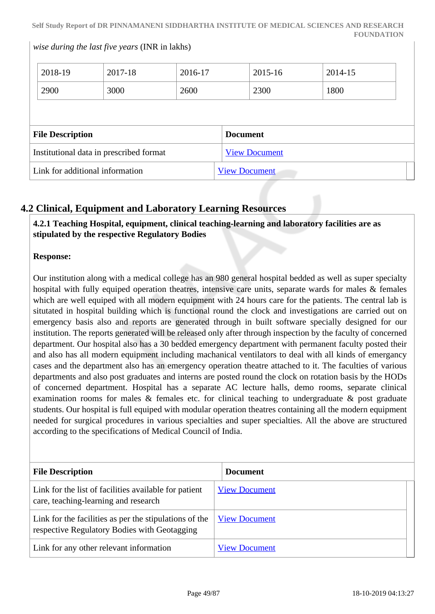*wise during the last five years* (INR in lakhs)

| 2018-19                 | 2017-18                                 | 2016-17 |                 | 2015-16              | 2014-15 |  |
|-------------------------|-----------------------------------------|---------|-----------------|----------------------|---------|--|
| 2900                    | 3000                                    | 2600    |                 | 2300                 | 1800    |  |
|                         |                                         |         |                 |                      |         |  |
| <b>File Description</b> |                                         |         |                 |                      |         |  |
|                         |                                         |         | <b>Document</b> |                      |         |  |
|                         | Institutional data in prescribed format |         |                 | <b>View Document</b> |         |  |

# **4.2 Clinical, Equipment and Laboratory Learning Resources**

 **4.2.1 Teaching Hospital, equipment, clinical teaching-learning and laboratory facilities are as stipulated by the respective Regulatory Bodies** 

## **Response:**

Our institution along with a medical college has an 980 general hospital bedded as well as super specialty hospital with fully equiped operation theatres, intensive care units, separate wards for males & females which are well equiped with all modern equipment with 24 hours care for the patients. The central lab is situtated in hospital building which is functional round the clock and investigations are carried out on emergency basis also and reports are generated through in built software specially designed for our institution. The reports generated will be released only after through inspection by the faculty of concerned department. Our hospital also has a 30 bedded emergency department with permanent faculty posted their and also has all modern equipment including machanical ventilators to deal with all kinds of emergancy cases and the department also has an emergency operation theatre attached to it. The faculties of various departments and also post graduates and interns are posted round the clock on rotation basis by the HODs of concerned department. Hospital has a separate AC lecture halls, demo rooms, separate clinical examination rooms for males & females etc. for clinical teaching to undergraduate & post graduate students. Our hospital is full equiped with modular operation theatres containing all the modern equipment needed for surgical procedures in various specialties and super specialties. All the above are structured according to the specifications of Medical Council of India.

| <b>File Description</b>                                                                                | <b>Document</b>      |
|--------------------------------------------------------------------------------------------------------|----------------------|
| Link for the list of facilities available for patient<br>care, teaching-learning and research          | <b>View Document</b> |
| Link for the facilities as per the stipulations of the<br>respective Regulatory Bodies with Geotagging | <b>View Document</b> |
| Link for any other relevant information                                                                | <b>View Document</b> |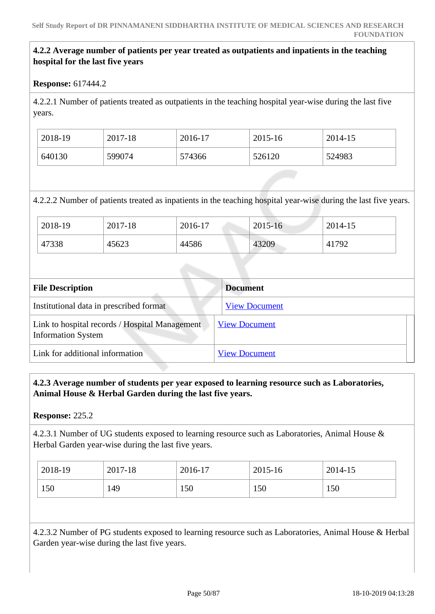## **4.2.2 Average number of patients per year treated as outpatients and inpatients in the teaching hospital for the last five years**

### **Response:** 617444.2

4.2.2.1 Number of patients treated as outpatients in the teaching hospital year-wise during the last five years.

| 2018-19 | 2017-18 | 2016-17 | 2015-16 | 2014-15 |
|---------|---------|---------|---------|---------|
| 640130  | 599074  | 574366  | 526120  | 524983  |

4.2.2.2 Number of patients treated as inpatients in the teaching hospital year-wise during the last five years.

| 2018-19 | 2017-18 | 2016-17 | $2015 - 16$ | 2014-15 |
|---------|---------|---------|-------------|---------|
| 47338   | 45623   | 44586   | 43209       | 41792   |

| <b>File Description</b>                                                     | <b>Document</b>      |
|-----------------------------------------------------------------------------|----------------------|
| Institutional data in prescribed format                                     | <b>View Document</b> |
| Link to hospital records / Hospital Management<br><b>Information System</b> | <b>View Document</b> |
| Link for additional information                                             | <b>View Document</b> |

 **4.2.3 Average number of students per year exposed to learning resource such as Laboratories, Animal House & Herbal Garden during the last five years.**

#### **Response:** 225.2

4.2.3.1 Number of UG students exposed to learning resource such as Laboratories, Animal House & Herbal Garden year-wise during the last five years.

| 2018-19 | 2017-18 | 2016-17 | 2015-16 | 2014-15 |
|---------|---------|---------|---------|---------|
| 150     | 149     | 150     | 150     | 150     |

4.2.3.2 Number of PG students exposed to learning resource such as Laboratories, Animal House & Herbal Garden year-wise during the last five years.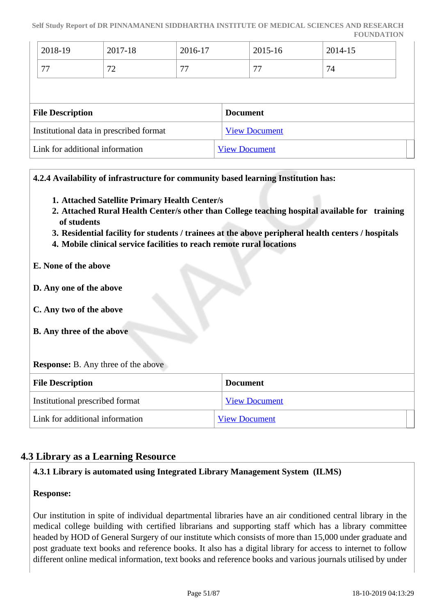| 2018-19        | 2017-18                       | 2016-17                  | 2015-16        | 2014-15              |
|----------------|-------------------------------|--------------------------|----------------|----------------------|
| $\overline{a}$ | $\overline{\phantom{a}}$<br>- | $\overline{\phantom{a}}$ | $\overline{a}$ | $\overline{ }$<br>74 |

| <b>File Description</b>                 | <b>Document</b>      |
|-----------------------------------------|----------------------|
| Institutional data in prescribed format | <b>View Document</b> |
| Link for additional information         | <b>View Document</b> |

**4.2.4 Availability of infrastructure for community based learning Institution has:**

- **1. Attached Satellite Primary Health Center/s**
- **2. Attached Rural Health Center/s other than College teaching hospital available for training of students**
- **3. Residential facility for students / trainees at the above peripheral health centers / hospitals**
- **4. Mobile clinical service facilities to reach remote rural locations**

### **E. None of the above**

- **D. Any one of the above**
- **C. Any two of the above**
- **B. Any three of the above**

#### **Response:** B. Any three of the above

| <b>File Description</b>         | <b>Document</b>      |
|---------------------------------|----------------------|
| Institutional prescribed format | <b>View Document</b> |
| Link for additional information | <b>View Document</b> |

# **4.3 Library as a Learning Resource**

# **4.3.1 Library is automated using Integrated Library Management System (ILMS)**

#### **Response:**

Our institution in spite of individual departmental libraries have an air conditioned central library in the medical college building with certified librarians and supporting staff which has a library committee headed by HOD of General Surgery of our institute which consists of more than 15,000 under graduate and post graduate text books and reference books. It also has a digital library for access to internet to follow different online medical information, text books and reference books and various journals utilised by under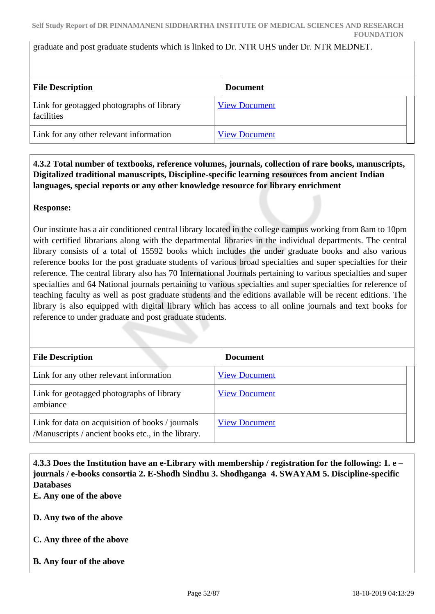graduate and post graduate students which is linked to Dr. NTR UHS under Dr. NTR MEDNET.

| <b>File Description</b>                                 | <b>Document</b>      |
|---------------------------------------------------------|----------------------|
| Link for geotagged photographs of library<br>facilities | <b>View Document</b> |
| Link for any other relevant information                 | <b>View Document</b> |

 **4.3.2 Total number of textbooks, reference volumes, journals, collection of rare books, manuscripts, Digitalized traditional manuscripts, Discipline-specific learning resources from ancient Indian languages, special reports or any other knowledge resource for library enrichment** 

### **Response:**

Our institute has a air conditioned central library located in the college campus working from 8am to 10pm with certified librarians along with the departmental libraries in the individual departments. The central library consists of a total of 15592 books which includes the under graduate books and also various reference books for the post graduate students of various broad specialties and super specialties for their reference. The central library also has 70 International Journals pertaining to various specialties and super specialties and 64 National journals pertaining to various specialties and super specialties for reference of teaching faculty as well as post graduate students and the editions available will be recent editions. The library is also equipped with digital library which has access to all online journals and text books for reference to under graduate and post graduate students.

| <b>File Description</b>                                                                                | <b>Document</b>      |  |
|--------------------------------------------------------------------------------------------------------|----------------------|--|
| Link for any other relevant information                                                                | <b>View Document</b> |  |
| Link for geotagged photographs of library<br>ambiance                                                  | <b>View Document</b> |  |
| Link for data on acquisition of books / journals<br>/Manuscripts / ancient books etc., in the library. | <b>View Document</b> |  |

 **4.3.3 Does the Institution have an e-Library with membership / registration for the following: 1. e – journals / e-books consortia 2. E-Shodh Sindhu 3. Shodhganga 4. SWAYAM 5. Discipline-specific Databases**

**E. Any one of the above**

- **D. Any two of the above**
- **C. Any three of the above**
- **B. Any four of the above**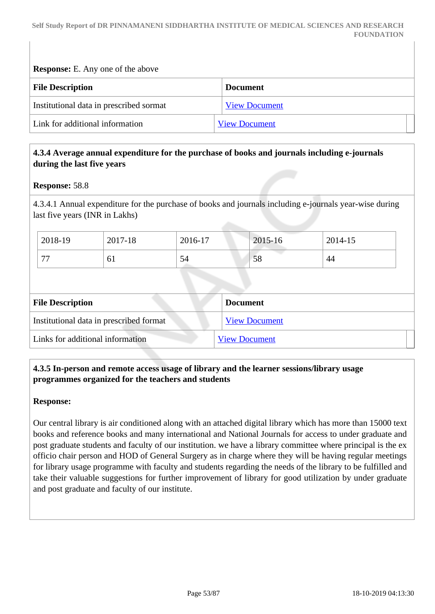**Response:** E. Any one of the above **File Description Document** Institutional data in prescribed sormat [View Document](https://assessmentonline.naac.gov.in/storage/app/hei/SSR/102562/4.3.3_1570266988_3467.xlsx) Link for additional information [View Document](https://drpinnamanenisimsrf.edu.in/)

# **4.3.4 Average annual expenditure for the purchase of books and journals including e-journals during the last five years**

#### **Response:** 58.8

4.3.4.1 Annual expenditure for the purchase of books and journals including e-journals year-wise during last five years (INR in Lakhs)

| 2018-19 | 2017-18 | 2016-17 | 2015-16            | 2014-15 |
|---------|---------|---------|--------------------|---------|
| 77      | 01      | 54      | $\epsilon$ o<br>J0 | 44      |

| <b>File Description</b>                 | <b>Document</b>      |
|-----------------------------------------|----------------------|
| Institutional data in prescribed format | <b>View Document</b> |
| Links for additional information        | <b>View Document</b> |

## **4.3.5 In-person and remote access usage of library and the learner sessions/library usage programmes organized for the teachers and students**

#### **Response:**

Our central library is air conditioned along with an attached digital library which has more than 15000 text books and reference books and many international and National Journals for access to under graduate and post graduate students and faculty of our institution. we have a library committee where principal is the ex officio chair person and HOD of General Surgery as in charge where they will be having regular meetings for library usage programme with faculty and students regarding the needs of the library to be fulfilled and take their valuable suggestions for further improvement of library for good utilization by under graduate and post graduate and faculty of our institute.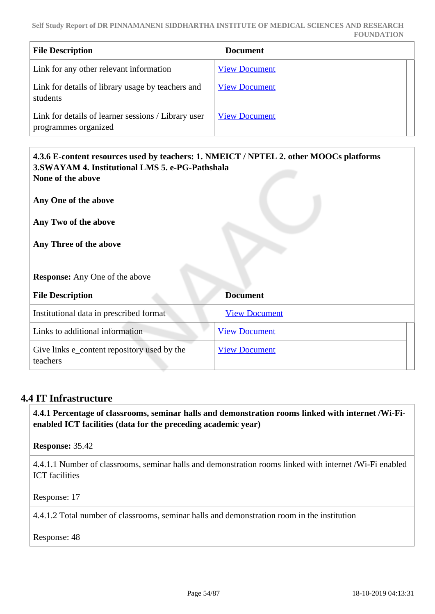| <b>File Description</b>                                                     | <b>Document</b>      |
|-----------------------------------------------------------------------------|----------------------|
| Link for any other relevant information                                     | <b>View Document</b> |
| Link for details of library usage by teachers and<br>students               | <b>View Document</b> |
| Link for details of learner sessions / Library user<br>programmes organized | <b>View Document</b> |

| 3. SWAYAM 4. Institutional LMS 5. e-PG-Pathshala<br>None of the above | 4.3.6 E-content resources used by teachers: 1. NMEICT / NPTEL 2. other MOOCs platforms |
|-----------------------------------------------------------------------|----------------------------------------------------------------------------------------|
| Any One of the above                                                  |                                                                                        |
| Any Two of the above                                                  |                                                                                        |
| Any Three of the above                                                |                                                                                        |
|                                                                       |                                                                                        |
| <b>Response:</b> Any One of the above                                 |                                                                                        |
| <b>File Description</b>                                               | <b>Document</b>                                                                        |
| Institutional data in prescribed format                               | <b>View Document</b>                                                                   |
| Links to additional information                                       | <b>View Document</b>                                                                   |

# **4.4 IT Infrastructure**

 **4.4.1 Percentage of classrooms, seminar halls and demonstration rooms linked with internet /Wi-Fienabled ICT facilities (data for the preceding academic year)**

**Response:** 35.42

4.4.1.1 Number of classrooms, seminar halls and demonstration rooms linked with internet /Wi-Fi enabled ICT facilities

Response: 17

4.4.1.2 Total number of classrooms, seminar halls and demonstration room in the institution

Response: 48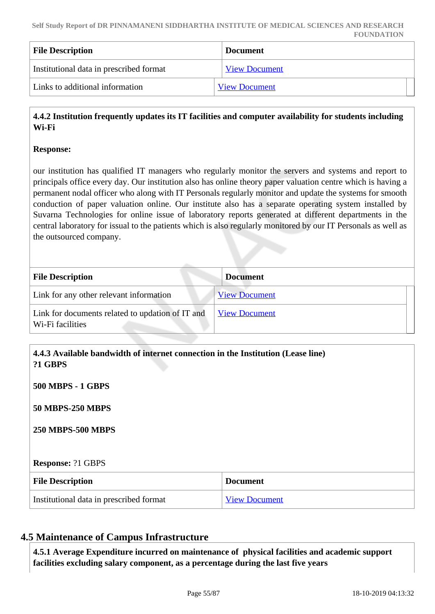| <b>File Description</b>                 | <b>Document</b>      |
|-----------------------------------------|----------------------|
| Institutional data in prescribed format | <b>View Document</b> |
| Links to additional information         | <b>View Document</b> |

### **4.4.2 Institution frequently updates its IT facilities and computer availability for students including Wi-Fi**

### **Response:**

our institution has qualified IT managers who regularly monitor the servers and systems and report to principals office every day. Our institution also has online theory paper valuation centre which is having a permanent nodal officer who along with IT Personals regularly monitor and update the systems for smooth conduction of paper valuation online. Our institute also has a separate operating system installed by Suvarna Technologies for online issue of laboratory reports generated at different departments in the central laboratory for issual to the patients which is also regularly monitored by our IT Personals as well as the outsourced company.

| <b>File Description</b>                                              | <b>Document</b>      |  |
|----------------------------------------------------------------------|----------------------|--|
| Link for any other relevant information                              | <b>View Document</b> |  |
| Link for documents related to updation of IT and<br>Wi-Fi facilities | <b>View Document</b> |  |

# **4.4.3 Available bandwidth of internet connection in the Institution (Lease line) ?1 GBPS**

**500 MBPS - 1 GBPS**

**50 MBPS-250 MBPS**

### **250 MBPS-500 MBPS**

### **Response:** ?1 GBPS

| <b>File Description</b>                 | <b>Document</b>      |
|-----------------------------------------|----------------------|
| Institutional data in prescribed format | <b>View Document</b> |

# **4.5 Maintenance of Campus Infrastructure**

 **4.5.1 Average Expenditure incurred on maintenance of physical facilities and academic support facilities excluding salary component, as a percentage during the last five years**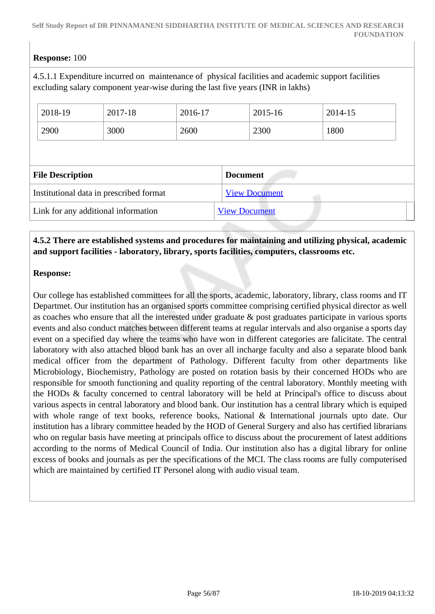# **Response:** 100

4.5.1.1 Expenditure incurred on maintenance of physical facilities and academic support facilities excluding salary component year-wise during the last five years (INR in lakhs)

| 2018-19                 | 2017-18                                 | 2016-17 | 2015-16              | 2014-15 |
|-------------------------|-----------------------------------------|---------|----------------------|---------|
| 2900                    | 3000                                    | 2600    | 2300                 | 1800    |
|                         |                                         |         |                      |         |
|                         |                                         |         |                      |         |
| <b>File Description</b> |                                         |         | <b>Document</b>      |         |
|                         | Institutional data in prescribed format |         | <b>View Document</b> |         |

# **4.5.2 There are established systems and procedures for maintaining and utilizing physical, academic and support facilities - laboratory, library, sports facilities, computers, classrooms etc.**

## **Response:**

Our college has established committees for all the sports, academic, laboratory, library, class rooms and IT Departmet. Our institution has an organised sports committee comprising certified physical director as well as coaches who ensure that all the interested under graduate & post graduates participate in various sports events and also conduct matches between different teams at regular intervals and also organise a sports day event on a specified day where the teams who have won in different categories are falicitate. The central laboratory with also attached blood bank has an over all incharge faculty and also a separate blood bank medical officer from the department of Pathology. Different faculty from other departments like Microbiology, Biochemistry, Pathology are posted on rotation basis by their concerned HODs who are responsible for smooth functioning and quality reporting of the central laboratory. Monthly meeting with the HODs & faculty concerned to central laboratory will be held at Principal's office to discuss about various aspects in central laboratory and blood bank. Our institution has a central library which is equiped with whole range of text books, reference books, National & International journals upto date. Our institution has a library committee headed by the HOD of General Surgery and also has certified librarians who on regular basis have meeting at principals office to discuss about the procurement of latest additions according to the norms of Medical Council of India. Our institution also has a digital library for online excess of books and journals as per the specifications of the MCI. The class rooms are fully computerised which are maintained by certified IT Personel along with audio visual team.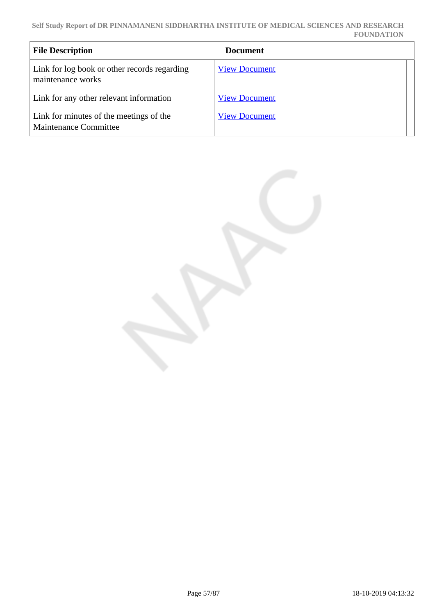| <b>File Description</b>                                           | <b>Document</b>      |
|-------------------------------------------------------------------|----------------------|
| Link for log book or other records regarding<br>maintenance works | <b>View Document</b> |
| Link for any other relevant information                           | <b>View Document</b> |
| Link for minutes of the meetings of the<br>Maintenance Committee  | <b>View Document</b> |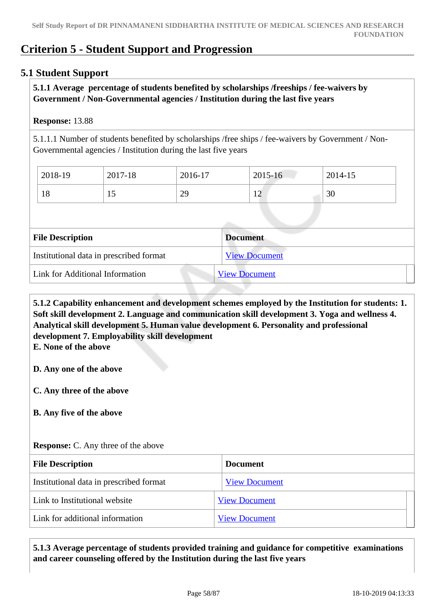# **Criterion 5 - Student Support and Progression**

# **5.1 Student Support**

### **5.1.1 Average percentage of students benefited by scholarships /freeships / fee-waivers by Government / Non-Governmental agencies / Institution during the last five years**

### **Response:** 13.88

5.1.1.1 Number of students benefited by scholarships /free ships / fee-waivers by Government / Non-Governmental agencies / Institution during the last five years

| 2018-19 | 2017-18 | 2016-17 | 2015-16                        | 2014-15 |
|---------|---------|---------|--------------------------------|---------|
| 18      | ⊥୰      | 29      | $1^{\wedge}$<br>$\overline{1}$ | 30      |

| <b>File Description</b>                 | <b>Document</b>      |
|-----------------------------------------|----------------------|
| Institutional data in prescribed format | <b>View Document</b> |
| Link for Additional Information         | <b>View Document</b> |

 **5.1.2 Capability enhancement and development schemes employed by the Institution for students: 1. Soft skill development 2. Language and communication skill development 3. Yoga and wellness 4. Analytical skill development 5. Human value development 6. Personality and professional development 7. Employability skill development E. None of the above**

**D. Any one of the above**

**C. Any three of the above**

**B. Any five of the above**

### **Response:** C. Any three of the above

| <b>File Description</b>                 | <b>Document</b>      |
|-----------------------------------------|----------------------|
| Institutional data in prescribed format | <b>View Document</b> |
| Link to Institutional website           | <b>View Document</b> |
| Link for additional information         | <b>View Document</b> |

 **5.1.3 Average percentage of students provided training and guidance for competitive examinations and career counseling offered by the Institution during the last five years**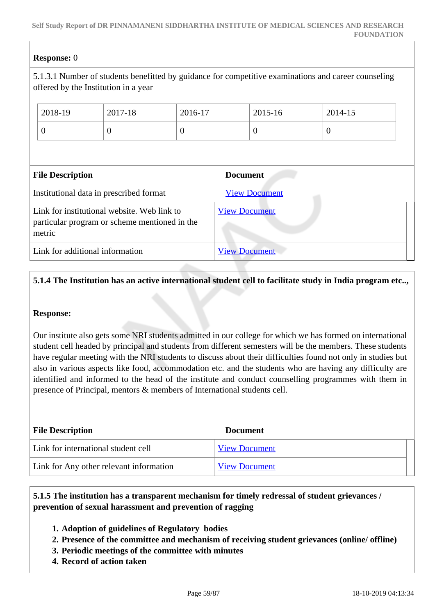# **Response:** 0

5.1.3.1 Number of students benefitted by guidance for competitive examinations and career counseling offered by the Institution in a year

|                                                                                                        | 2018-19                 | 2017-18              | 2016-17        |                 | 2015-16        | 2014-15  |  |
|--------------------------------------------------------------------------------------------------------|-------------------------|----------------------|----------------|-----------------|----------------|----------|--|
|                                                                                                        | $\theta$                | $\theta$             | $\overline{0}$ |                 | $\overline{0}$ | $\theta$ |  |
|                                                                                                        |                         |                      |                |                 |                |          |  |
|                                                                                                        | <b>File Description</b> |                      |                | <b>Document</b> |                |          |  |
| Institutional data in prescribed format                                                                |                         | <b>View Document</b> |                |                 |                |          |  |
| Link for institutional website. Web link to<br>particular program or scheme mentioned in the<br>metric |                         | <b>View Document</b> |                |                 |                |          |  |
| Link for additional information                                                                        |                         | <b>View Document</b> |                |                 |                |          |  |

## **5.1.4 The Institution has an active international student cell to facilitate study in India program etc..,**

### **Response:**

Our institute also gets some NRI students admitted in our college for which we has formed on international student cell headed by principal and students from different semesters will be the members. These students have regular meeting with the NRI students to discuss about their difficulties found not only in studies but also in various aspects like food, accommodation etc. and the students who are having any difficulty are identified and informed to the head of the institute and conduct counselling programmes with them in presence of Principal, mentors & members of International students cell.

| <b>File Description</b>                 | <b>Document</b>      |
|-----------------------------------------|----------------------|
| Link for international student cell     | <b>View Document</b> |
| Link for Any other relevant information | <b>View Document</b> |

# **5.1.5 The institution has a transparent mechanism for timely redressal of student grievances / prevention of sexual harassment and prevention of ragging**

- **1. Adoption of guidelines of Regulatory bodies**
- **2. Presence of the committee and mechanism of receiving student grievances (online/ offline)**
- **3. Periodic meetings of the committee with minutes**
- **4. Record of action taken**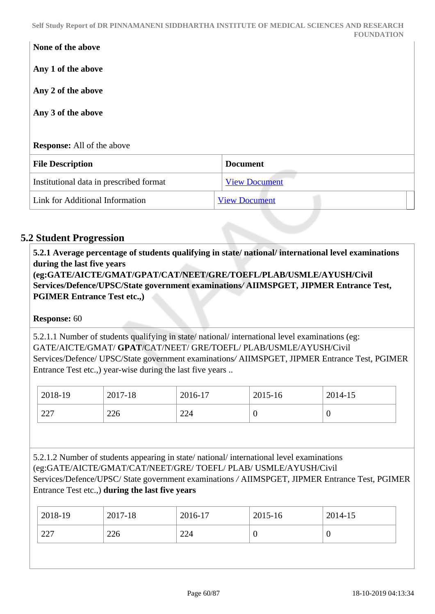**Self Study Report of DR PINNAMANENI SIDDHARTHA INSTITUTE OF MEDICAL SCIENCES AND RESEARCH FOUNDATION**

| None of the above                       |                      |
|-----------------------------------------|----------------------|
| Any 1 of the above                      |                      |
| Any 2 of the above                      |                      |
| Any 3 of the above                      |                      |
|                                         |                      |
| <b>Response:</b> All of the above       |                      |
| <b>File Description</b>                 | <b>Document</b>      |
| Institutional data in prescribed format | <b>View Document</b> |
| Link for Additional Information         | <b>View Document</b> |

# **5.2 Student Progression**

 **5.2.1 Average percentage of students qualifying in state/ national/ international level examinations during the last five years**

**(eg:GATE/AICTE/GMAT/GPAT/CAT/NEET/GRE/TOEFL/PLAB/USMLE/AYUSH/Civil Services/Defence/UPSC/State government examinations***/* **AIIMSPGET, JIPMER Entrance Test, PGIMER Entrance Test etc.,)**

### **Response:** 60

5.2.1.1 Number of students qualifying in state/ national/ international level examinations (eg: GATE/AICTE/GMAT/ **GPAT**/CAT/NEET/ GRE/TOEFL/ PLAB/USMLE/AYUSH/Civil Services/Defence/ UPSC/State government examinations*/* AIIMSPGET, JIPMER Entrance Test, PGIMER Entrance Test etc.,) year-wise during the last five years ..

| 2018-19 | 2017-18 | 2016-17 | 2015-16 | 2014-15 |
|---------|---------|---------|---------|---------|
| 227     | 226     | 224     |         |         |

5.2.1.2 Number of students appearing in state/ national/ international level examinations (eg:GATE/AICTE/GMAT/CAT/NEET/GRE/ TOEFL/ PLAB/ USMLE/AYUSH/Civil Services/Defence/UPSC/ State government examinations */* AIIMSPGET, JIPMER Entrance Test, PGIMER Entrance Test etc.,) **during the last five years**

| 2018-19       | 2017-18 | 2016-17 | 2015-16 | 2014-15 |
|---------------|---------|---------|---------|---------|
| 227<br>ا سے ب | 226     | 224     |         | ν       |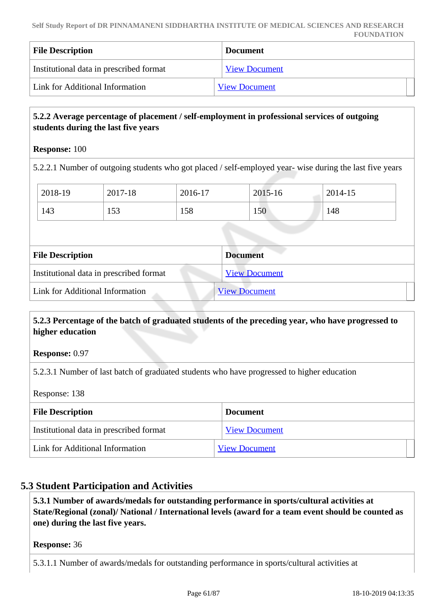| <b>File Description</b>                 | <b>Document</b>      |
|-----------------------------------------|----------------------|
| Institutional data in prescribed format | <b>View Document</b> |
| Link for Additional Information         | <b>View Document</b> |

# **5.2.2 Average percentage of placement / self-employment in professional services of outgoing students during the last five years**

#### **Response:** 100

5.2.2.1 Number of outgoing students who got placed / self-employed year- wise during the last five years

| Institutional data in prescribed format |         |         | <b>View Document</b> |         |
|-----------------------------------------|---------|---------|----------------------|---------|
| <b>File Description</b>                 |         |         | <b>Document</b>      |         |
|                                         |         |         |                      |         |
| 143                                     | 153     | 158     | 150                  | 148     |
| 2018-19                                 | 2017-18 | 2016-17 | 2015-16              | 2014-15 |

Link for Additional Information [View Document](https://drpinnamanenisimsrf.edu.in/)

# **5.2.3 Percentage of the batch of graduated students of the preceding year, who have progressed to higher education**

### **Response:** 0.97

5.2.3.1 Number of last batch of graduated students who have progressed to higher education

### Response: 138

| <b>File Description</b>                 | <b>Document</b>      |
|-----------------------------------------|----------------------|
| Institutional data in prescribed format | <b>View Document</b> |
| Link for Additional Information         | <b>View Document</b> |

# **5.3 Student Participation and Activities**

 **5.3.1 Number of awards/medals for outstanding performance in sports/cultural activities at State/Regional (zonal)/ National / International levels (award for a team event should be counted as one) during the last five years.**

#### **Response:** 36

5.3.1.1 Number of awards/medals for outstanding performance in sports/cultural activities at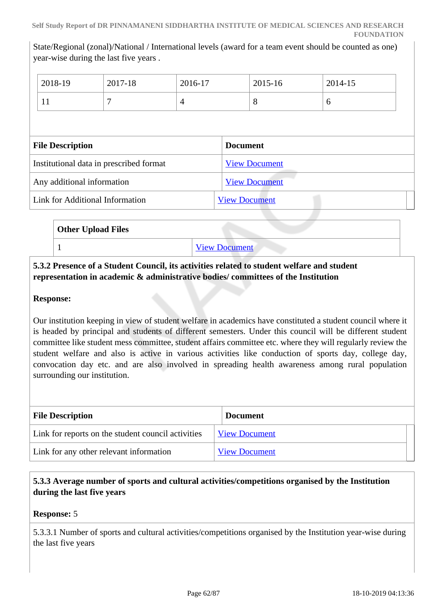State/Regional (zonal)/National / International levels (award for a team event should be counted as one) year-wise during the last five years .

| 2018-19                                 | 2017-18 | 2016-17              | 2015-16              |  | 2014-15 |  |
|-----------------------------------------|---------|----------------------|----------------------|--|---------|--|
| 11                                      | 7       | 4                    | 8                    |  | 6       |  |
|                                         |         |                      |                      |  |         |  |
| <b>File Description</b>                 |         |                      | <b>Document</b>      |  |         |  |
| Institutional data in prescribed format |         | <b>View Document</b> |                      |  |         |  |
| Any additional information              |         |                      | <b>View Document</b> |  |         |  |

| <b>Other Upload Files</b> |                      |
|---------------------------|----------------------|
|                           | <b>View Document</b> |

 **5.3.2 Presence of a Student Council, its activities related to student welfare and student representation in academic & administrative bodies/ committees of the Institution**

Link for Additional Information [View Document](https://drpinnamanenisimsrf.edu.in/)

### **Response:**

Our institution keeping in view of student welfare in academics have constituted a student council where it is headed by principal and students of different semesters. Under this council will be different student committee like student mess committee, student affairs committee etc. where they will regularly review the student welfare and also is active in various activities like conduction of sports day, college day, convocation day etc. and are also involved in spreading health awareness among rural population surrounding our institution.

| <b>File Description</b>                            | <b>Document</b>      |  |
|----------------------------------------------------|----------------------|--|
| Link for reports on the student council activities | <b>View Document</b> |  |
| Link for any other relevant information            | <b>View Document</b> |  |

# **5.3.3 Average number of sports and cultural activities/competitions organised by the Institution during the last five years**

### **Response:** 5

5.3.3.1 Number of sports and cultural activities/competitions organised by the Institution year-wise during the last five years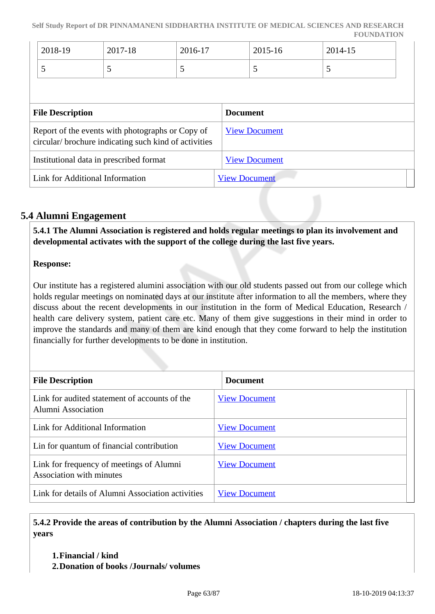| 2018-19                                 | 2017-18                                                                                                  | 2016-17 |                      | 2015-16              | 2014-15 |  |
|-----------------------------------------|----------------------------------------------------------------------------------------------------------|---------|----------------------|----------------------|---------|--|
| 5                                       | 5                                                                                                        | 5       |                      | 5                    | 5       |  |
|                                         |                                                                                                          |         |                      |                      |         |  |
| <b>File Description</b>                 |                                                                                                          |         | <b>Document</b>      |                      |         |  |
|                                         | Report of the events with photographs or Copy of<br>circular/brochure indicating such kind of activities |         |                      | <b>View Document</b> |         |  |
| Institutional data in prescribed format |                                                                                                          |         |                      | <b>View Document</b> |         |  |
| Link for Additional Information         |                                                                                                          |         | <b>View Document</b> |                      |         |  |
|                                         |                                                                                                          |         |                      |                      |         |  |

# **5.4 Alumni Engagement**

 **5.4.1 The Alumni Association is registered and holds regular meetings to plan its involvement and developmental activates with the support of the college during the last five years.** 

## **Response:**

Our institute has a registered alumini association with our old students passed out from our college which holds regular meetings on nominated days at our institute after information to all the members, where they discuss about the recent developments in our institution in the form of Medical Education, Research / health care delivery system, patient care etc. Many of them give suggestions in their mind in order to improve the standards and many of them are kind enough that they come forward to help the institution financially for further developments to be done in institution.

| <b>File Description</b>                                              | <b>Document</b>      |
|----------------------------------------------------------------------|----------------------|
| Link for audited statement of accounts of the<br>Alumni Association  | <b>View Document</b> |
| Link for Additional Information                                      | <b>View Document</b> |
| Lin for quantum of financial contribution                            | <b>View Document</b> |
| Link for frequency of meetings of Alumni<br>Association with minutes | <b>View Document</b> |
| Link for details of Alumni Association activities                    | <b>View Document</b> |

 **5.4.2 Provide the areas of contribution by the Alumni Association / chapters during the last five years**

### **1.Financial / kind**

**2.Donation of books /Journals/ volumes**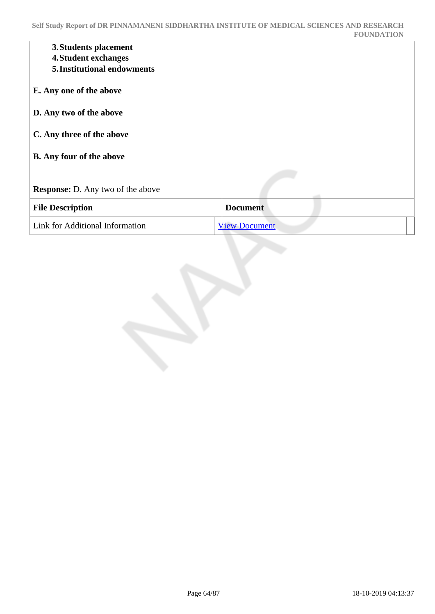|                                          | Self Study Report of DR PINNAMANENI SIDDHARTHA INSTITUTE OF MEDICAL SCIENCES AND RESEARCH<br><b>FOUNDATION</b> |
|------------------------------------------|----------------------------------------------------------------------------------------------------------------|
| 3. Students placement                    |                                                                                                                |
| <b>4. Student exchanges</b>              |                                                                                                                |
| <b>5. Institutional endowments</b>       |                                                                                                                |
| E. Any one of the above                  |                                                                                                                |
| D. Any two of the above                  |                                                                                                                |
| C. Any three of the above                |                                                                                                                |
| <b>B.</b> Any four of the above          |                                                                                                                |
|                                          |                                                                                                                |
| <b>Response:</b> D. Any two of the above |                                                                                                                |
| <b>File Description</b>                  | <b>Document</b>                                                                                                |
| Link for Additional Information          | <b>View Document</b>                                                                                           |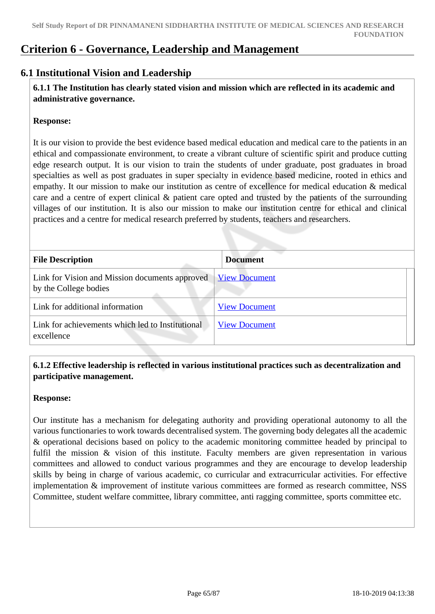# **Criterion 6 - Governance, Leadership and Management**

# **6.1 Institutional Vision and Leadership**

 **6.1.1 The Institution has clearly stated vision and mission which are reflected in its academic and administrative governance.**

#### **Response:**

It is our vision to provide the best evidence based medical education and medical care to the patients in an ethical and compassionate environment, to create a vibrant culture of scientific spirit and produce cutting edge research output. It is our vision to train the students of under graduate, post graduates in broad specialties as well as post graduates in super specialty in evidence based medicine, rooted in ethics and empathy. It our mission to make our institution as centre of excellence for medical education & medical care and a centre of expert clinical & patient care opted and trusted by the patients of the surrounding villages of our institution. It is also our mission to make our institution centre for ethical and clinical practices and a centre for medical research preferred by students, teachers and researchers.

| <b>File Description</b>                                                 | <b>Document</b>      |
|-------------------------------------------------------------------------|----------------------|
| Link for Vision and Mission documents approved<br>by the College bodies | <b>View Document</b> |
| Link for additional information                                         | <b>View Document</b> |
| Link for achievements which led to Institutional<br>excellence          | <b>View Document</b> |

# **6.1.2 Effective leadership is reflected in various institutional practices such as decentralization and participative management.**

#### **Response:**

Our institute has a mechanism for delegating authority and providing operational autonomy to all the various functionaries to work towards decentralised system. The governing body delegates all the academic & operational decisions based on policy to the academic monitoring committee headed by principal to fulfil the mission & vision of this institute. Faculty members are given representation in various committees and allowed to conduct various programmes and they are encourage to develop leadership skills by being in charge of various academic, co curricular and extracurricular activities. For effective implementation & improvement of institute various committees are formed as research committee, NSS Committee, student welfare committee, library committee, anti ragging committee, sports committee etc.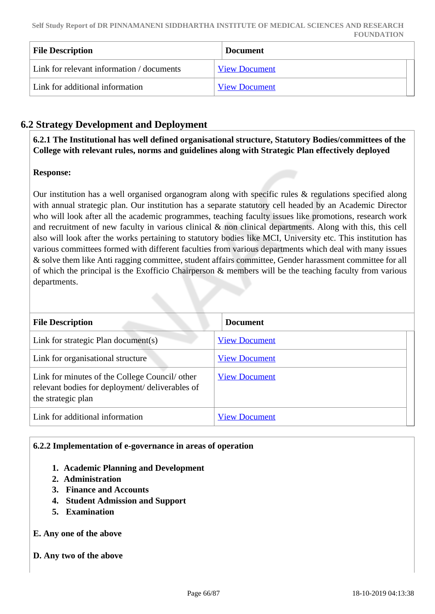| <b>File Description</b>                   | <b>Document</b>      |
|-------------------------------------------|----------------------|
| Link for relevant information / documents | <b>View Document</b> |
| Link for additional information           | <b>View Document</b> |

# **6.2 Strategy Development and Deployment**

 **6.2.1 The Institutional has well defined organisational structure, Statutory Bodies/committees of the College with relevant rules, norms and guidelines along with Strategic Plan effectively deployed**

## **Response:**

Our institution has a well organised organogram along with specific rules & regulations specified along with annual strategic plan. Our institution has a separate statutory cell headed by an Academic Director who will look after all the academic programmes, teaching faculty issues like promotions, research work and recruitment of new faculty in various clinical  $\&$  non clinical departments. Along with this, this cell also will look after the works pertaining to statutory bodies like MCI, University etc. This institution has various committees formed with different faculties from various departments which deal with many issues & solve them like Anti ragging committee, student affairs committee, Gender harassment committee for all of which the principal is the Exofficio Chairperson & members will be the teaching faculty from various departments.

| <b>File Description</b>                                                                                                 | <b>Document</b>      |
|-------------------------------------------------------------------------------------------------------------------------|----------------------|
| Link for strategic Plan document(s)                                                                                     | <b>View Document</b> |
| Link for organisational structure                                                                                       | <b>View Document</b> |
| Link for minutes of the College Council/ other<br>relevant bodies for deployment/ deliverables of<br>the strategic plan | <b>View Document</b> |
| Link for additional information                                                                                         | <b>View Document</b> |

### **6.2.2 Implementation of e-governance in areas of operation**

- **1. Academic Planning and Development**
- **2. Administration**
- **3. Finance and Accounts**
- **4. Student Admission and Support**
- **5. Examination**

### **E. Any one of the above**

**D. Any two of the above**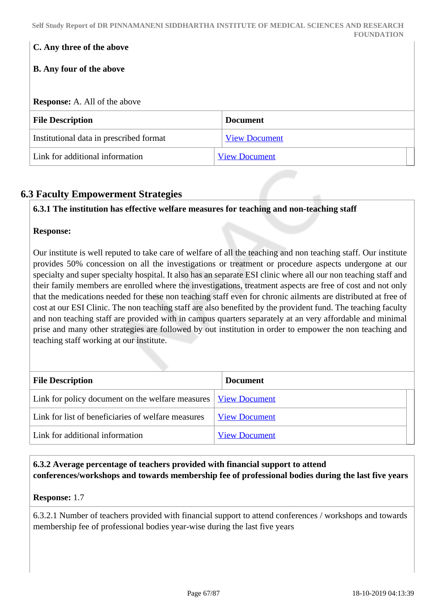| C. Any three of the above               |                      |
|-----------------------------------------|----------------------|
| <b>B.</b> Any four of the above         |                      |
|                                         |                      |
| <b>Response:</b> A. All of the above    |                      |
| <b>File Description</b>                 | <b>Document</b>      |
| Institutional data in prescribed format | <b>View Document</b> |
| Link for additional information         | <b>View Document</b> |

# **6.3 Faculty Empowerment Strategies**

### **6.3.1 The institution has effective welfare measures for teaching and non-teaching staff**

#### **Response:**

Our institute is well reputed to take care of welfare of all the teaching and non teaching staff. Our institute provides 50% concession on all the investigations or treatment or procedure aspects undergone at our specialty and super specialty hospital. It also has an separate ESI clinic where all our non teaching staff and their family members are enrolled where the investigations, treatment aspects are free of cost and not only that the medications needed for these non teaching staff even for chronic ailments are distributed at free of cost at our ESI Clinic. The non teaching staff are also benefited by the provident fund. The teaching faculty and non teaching staff are provided with in campus quarters separately at an very affordable and minimal prise and many other strategies are followed by out institution in order to empower the non teaching and teaching staff working at our institute.

| <b>File Description</b>                                                 | <b>Document</b>      |
|-------------------------------------------------------------------------|----------------------|
| Link for policy document on the welfare measures   <u>View Document</u> |                      |
| Link for list of beneficiaries of welfare measures                      | <b>View Document</b> |
| Link for additional information                                         | <b>View Document</b> |

 **6.3.2 Average percentage of teachers provided with financial support to attend conferences/workshops and towards membership fee of professional bodies during the last five years**

#### **Response:** 1.7

6.3.2.1 Number of teachers provided with financial support to attend conferences / workshops and towards membership fee of professional bodies year-wise during the last five years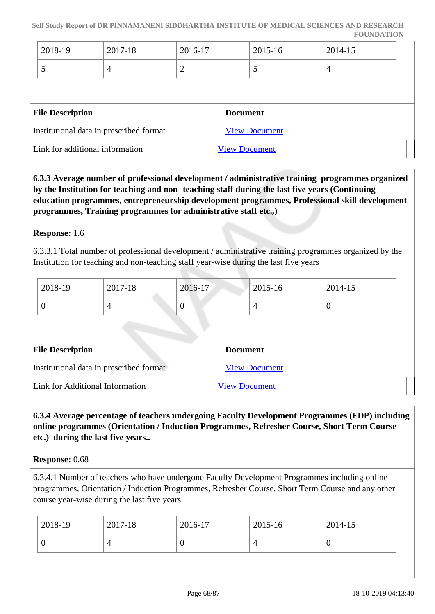| 2018-19 | 2017-18 | 2016-17 | 2015-16 | 2014-15 |
|---------|---------|---------|---------|---------|
|         |         | ∼       |         | -       |

| <b>File Description</b>                 | <b>Document</b>      |
|-----------------------------------------|----------------------|
| Institutional data in prescribed format | <b>View Document</b> |
| Link for additional information         | <b>View Document</b> |

 **6.3.3 Average number of professional development / administrative training programmes organized by the Institution for teaching and non- teaching staff during the last five years (Continuing education programmes, entrepreneurship development programmes, Professional skill development programmes, Training programmes for administrative staff etc.,)**

## **Response:** 1.6

6.3.3.1 Total number of professional development / administrative training programmes organized by the Institution for teaching and non-teaching staff year-wise during the last five years

| 2018-19 | 2017-18 | 2016-17 | 2015-16 | 2014-15 |
|---------|---------|---------|---------|---------|
| ິ       |         | ν       |         | U       |

| <b>File Description</b>                 | <b>Document</b>      |
|-----------------------------------------|----------------------|
| Institutional data in prescribed format | <b>View Document</b> |
| Link for Additional Information         | <b>View Document</b> |

 **6.3.4 Average percentage of teachers undergoing Faculty Development Programmes (FDP) including online programmes (Orientation / Induction Programmes, Refresher Course, Short Term Course etc.) during the last five years..**

### **Response:** 0.68

6.3.4.1 Number of teachers who have undergone Faculty Development Programmes including online programmes, Orientation / Induction Programmes, Refresher Course, Short Term Course and any other course year-wise during the last five years

| $2018-19$ | 2017-18 | 2016-17 | 2015-16 | 2014-15 |
|-----------|---------|---------|---------|---------|
|           |         | ν       |         | U       |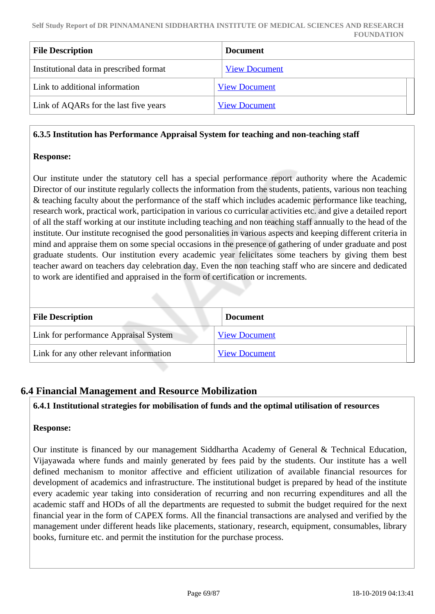| <b>File Description</b>                 | <b>Document</b>      |
|-----------------------------------------|----------------------|
| Institutional data in prescribed format | <b>View Document</b> |
| Link to additional information          | <b>View Document</b> |
| Link of AQARs for the last five years   | <b>View Document</b> |

# **6.3.5 Institution has Performance Appraisal System for teaching and non-teaching staff**

# **Response:**

Our institute under the statutory cell has a special performance report authority where the Academic Director of our institute regularly collects the information from the students, patients, various non teaching & teaching faculty about the performance of the staff which includes academic performance like teaching, research work, practical work, participation in various co curricular activities etc. and give a detailed report of all the staff working at our institute including teaching and non teaching staff annually to the head of the institute. Our institute recognised the good personalities in various aspects and keeping different criteria in mind and appraise them on some special occasions in the presence of gathering of under graduate and post graduate students. Our institution every academic year felicitates some teachers by giving them best teacher award on teachers day celebration day. Even the non teaching staff who are sincere and dedicated to work are identified and appraised in the form of certification or increments.

| <b>File Description</b>                 | <b>Document</b>      |
|-----------------------------------------|----------------------|
| Link for performance Appraisal System   | <b>View Document</b> |
| Link for any other relevant information | <b>View Document</b> |

# **6.4 Financial Management and Resource Mobilization**

# **6.4.1 Institutional strategies for mobilisation of funds and the optimal utilisation of resources**

### **Response:**

Our institute is financed by our management Siddhartha Academy of General & Technical Education, Vijayawada where funds and mainly generated by fees paid by the students. Our institute has a well defined mechanism to monitor affective and efficient utilization of available financial resources for development of academics and infrastructure. The institutional budget is prepared by head of the institute every academic year taking into consideration of recurring and non recurring expenditures and all the academic staff and HODs of all the departments are requested to submit the budget required for the next financial year in the form of CAPEX forms. All the financial transactions are analysed and verified by the management under different heads like placements, stationary, research, equipment, consumables, library books, furniture etc. and permit the institution for the purchase process.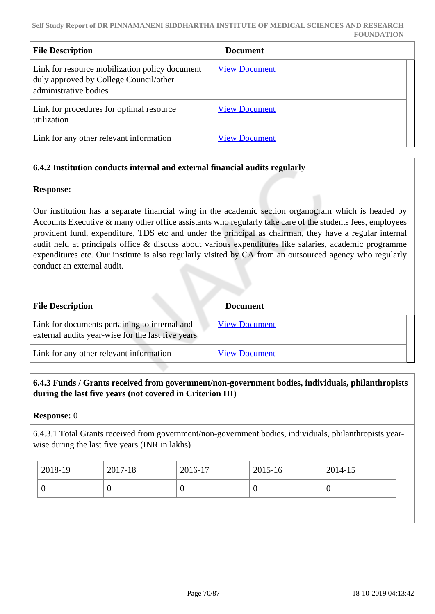| <b>File Description</b>                                                                                           | <b>Document</b>      |
|-------------------------------------------------------------------------------------------------------------------|----------------------|
| Link for resource mobilization policy document<br>duly approved by College Council/other<br>administrative bodies | <b>View Document</b> |
| Link for procedures for optimal resource<br>utilization                                                           | <b>View Document</b> |
| Link for any other relevant information                                                                           | <b>View Document</b> |

# **6.4.2 Institution conducts internal and external financial audits regularly**

### **Response:**

Our institution has a separate financial wing in the academic section organogram which is headed by Accounts Executive & many other office assistants who regularly take care of the students fees, employees provident fund, expenditure, TDS etc and under the principal as chairman, they have a regular internal audit held at principals office & discuss about various expenditures like salaries, academic programme expenditures etc. Our institute is also regularly visited by CA from an outsourced agency who regularly conduct an external audit.

| <b>File Description</b>                                                                            | <b>Document</b>      |
|----------------------------------------------------------------------------------------------------|----------------------|
| Link for documents pertaining to internal and<br>external audits year-wise for the last five years | <b>View Document</b> |
| Link for any other relevant information                                                            | <b>View Document</b> |

## **6.4.3 Funds / Grants received from government/non-government bodies, individuals, philanthropists during the last five years (not covered in Criterion III)**

### **Response:** 0

6.4.3.1 Total Grants received from government/non-government bodies, individuals, philanthropists yearwise during the last five years (INR in lakhs)

| $12018-19$ | 2017-18 | 2016-17 | 2015-16 | $2014 - 15$ |
|------------|---------|---------|---------|-------------|
|            |         | ν       |         | U           |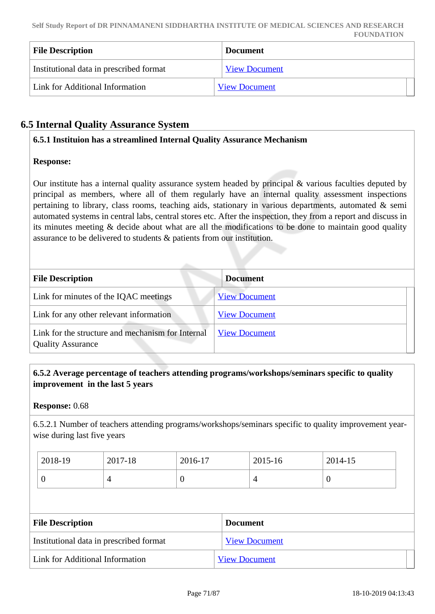| <b>File Description</b>                 | <b>Document</b>      |
|-----------------------------------------|----------------------|
| Institutional data in prescribed format | <b>View Document</b> |
| Link for Additional Information         | <b>View Document</b> |

# **6.5 Internal Quality Assurance System**

### **6.5.1 Instituion has a streamlined Internal Quality Assurance Mechanism**

### **Response:**

Our institute has a internal quality assurance system headed by principal  $\&$  various faculties deputed by principal as members, where all of them regularly have an internal quality assessment inspections pertaining to library, class rooms, teaching aids, stationary in various departments, automated & semi automated systems in central labs, central stores etc. After the inspection, they from a report and discuss in its minutes meeting & decide about what are all the modifications to be done to maintain good quality assurance to be delivered to students & patients from our institution.

| <b>File Description</b>                                                       | <b>Document</b>      |
|-------------------------------------------------------------------------------|----------------------|
| Link for minutes of the IQAC meetings                                         | <b>View Document</b> |
| Link for any other relevant information                                       | <b>View Document</b> |
| Link for the structure and mechanism for Internal<br><b>Quality Assurance</b> | <b>View Document</b> |

## **6.5.2 Average percentage of teachers attending programs/workshops/seminars specific to quality improvement in the last 5 years**

#### **Response:** 0.68

6.5.2.1 Number of teachers attending programs/workshops/seminars specific to quality improvement yearwise during last five years

| 2018-19 | 2017-18 | 2016-17 | $2015 - 16$ | 2014-15 |
|---------|---------|---------|-------------|---------|
|         |         | ν       |             |         |

| <b>File Description</b>                 | Document             |
|-----------------------------------------|----------------------|
| Institutional data in prescribed format | <b>View Document</b> |
| Link for Additional Information         | <b>View Document</b> |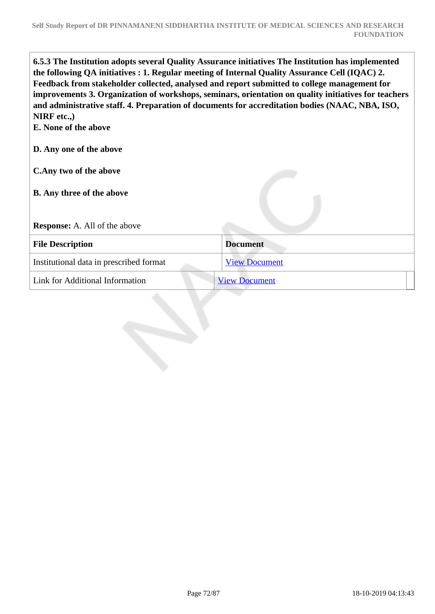**6.5.3 The Institution adopts several Quality Assurance initiatives The Institution has implemented the following QA initiatives : 1. Regular meeting of Internal Quality Assurance Cell (IQAC) 2. Feedback from stakeholder collected, analysed and report submitted to college management for improvements 3. Organization of workshops, seminars, orientation on quality initiatives for teachers and administrative staff. 4. Preparation of documents for accreditation bodies (NAAC, NBA, ISO, NIRF etc.,)** 

**E. None of the above**

# **D. Any one of the above**

**C.Any two of the above**

**B. Any three of the above**

**Response:** A. All of the above

| <b>File Description</b>                 | <b>Document</b>      |
|-----------------------------------------|----------------------|
| Institutional data in prescribed format | <b>View Document</b> |
| Link for Additional Information         | <b>View Document</b> |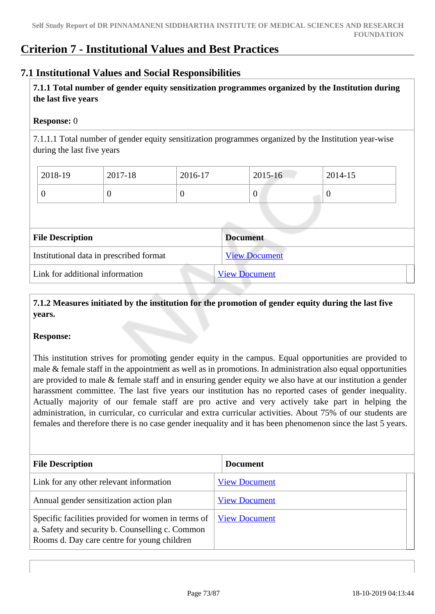# **Criterion 7 - Institutional Values and Best Practices**

Link for additional information [View Document](https://drpinnamanenisimsrf.edu.in/)

# **7.1 Institutional Values and Social Responsibilities**

## **7.1.1 Total number of gender equity sensitization programmes organized by the Institution during the last five years**

#### **Response:** 0

7.1.1.1 Total number of gender equity sensitization programmes organized by the Institution year-wise during the last five years

| Institutional data in prescribed format |         | <b>View Document</b> |                 |          |  |
|-----------------------------------------|---------|----------------------|-----------------|----------|--|
| <b>File Description</b>                 |         |                      | <b>Document</b> |          |  |
|                                         |         |                      |                 |          |  |
| O                                       | O       | $\theta$             | $\theta$        | $\theta$ |  |
| 2018-19                                 | 2017-18 | 2016-17              | 2015-16         | 2014-15  |  |

# **7.1.2 Measures initiated by the institution for the promotion of gender equity during the last five years.**

#### **Response:**

This institution strives for promoting gender equity in the campus. Equal opportunities are provided to male & female staff in the appointment as well as in promotions. In administration also equal opportunities are provided to male & female staff and in ensuring gender equity we also have at our institution a gender harassment committee. The last five years our institution has no reported cases of gender inequality. Actually majority of our female staff are pro active and very actively take part in helping the administration, in curricular, co curricular and extra curricular activities. About 75% of our students are females and therefore there is no case gender inequality and it has been phenomenon since the last 5 years.

| <b>File Description</b>                                                                                                                              | <b>Document</b>      |
|------------------------------------------------------------------------------------------------------------------------------------------------------|----------------------|
| Link for any other relevant information                                                                                                              | <b>View Document</b> |
| Annual gender sensitization action plan                                                                                                              | <b>View Document</b> |
| Specific facilities provided for women in terms of<br>a. Safety and security b. Counselling c. Common<br>Rooms d. Day care centre for young children | <b>View Document</b> |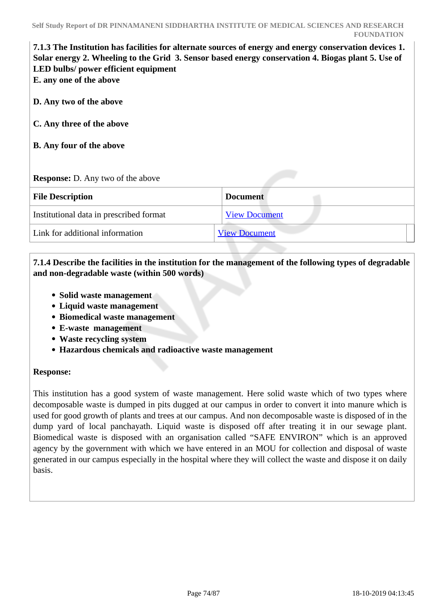| 7.1.3 The Institution has facilities for alternate sources of energy and energy conservation devices 1.<br>Solar energy 2. Wheeling to the Grid 3. Sensor based energy conservation 4. Biogas plant 5. Use of<br>LED bulbs/ power efficient equipment<br>E. any one of the above |                      |  |
|----------------------------------------------------------------------------------------------------------------------------------------------------------------------------------------------------------------------------------------------------------------------------------|----------------------|--|
| D. Any two of the above                                                                                                                                                                                                                                                          |                      |  |
| C. Any three of the above                                                                                                                                                                                                                                                        |                      |  |
| <b>B.</b> Any four of the above                                                                                                                                                                                                                                                  |                      |  |
| <b>Response:</b> D. Any two of the above                                                                                                                                                                                                                                         |                      |  |
| <b>File Description</b>                                                                                                                                                                                                                                                          | <b>Document</b>      |  |
| Institutional data in prescribed format                                                                                                                                                                                                                                          | <b>View Document</b> |  |
| Link for additional information                                                                                                                                                                                                                                                  | <b>View Document</b> |  |

# **7.1.4 Describe the facilities in the institution for the management of the following types of degradable and non-degradable waste (within 500 words)**

- **Solid waste management**
- **Liquid waste management**
- **Biomedical waste management**
- **E-waste management**
- **Waste recycling system**
- **Hazardous chemicals and radioactive waste management**

#### **Response:**

This institution has a good system of waste management. Here solid waste which of two types where decomposable waste is dumped in pits dugged at our campus in order to convert it into manure which is used for good growth of plants and trees at our campus. And non decomposable waste is disposed of in the dump yard of local panchayath. Liquid waste is disposed off after treating it in our sewage plant. Biomedical waste is disposed with an organisation called "SAFE ENVIRON" which is an approved agency by the government with which we have entered in an MOU for collection and disposal of waste generated in our campus especially in the hospital where they will collect the waste and dispose it on daily basis.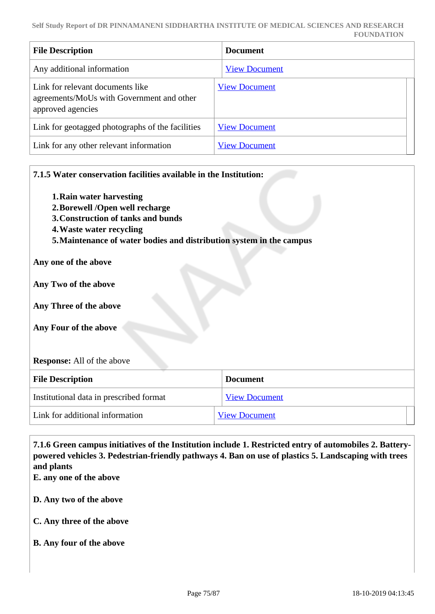| <b>File Description</b>                                                                            | <b>Document</b>      |
|----------------------------------------------------------------------------------------------------|----------------------|
| Any additional information                                                                         | <b>View Document</b> |
| Link for relevant documents like<br>agreements/MoUs with Government and other<br>approved agencies | <b>View Document</b> |
| Link for geotagged photographs of the facilities                                                   | <b>View Document</b> |
| Link for any other relevant information                                                            | <b>View Document</b> |

| 7.1.5 Water conservation facilities available in the Institution:                                                                                                                                     |                      |  |
|-------------------------------------------------------------------------------------------------------------------------------------------------------------------------------------------------------|----------------------|--|
| 1. Rain water harvesting<br>2. Borewell /Open well recharge<br>3. Construction of tanks and bunds<br>4. Waste water recycling<br>5. Maintenance of water bodies and distribution system in the campus |                      |  |
| Any one of the above                                                                                                                                                                                  |                      |  |
| Any Two of the above                                                                                                                                                                                  |                      |  |
| Any Three of the above                                                                                                                                                                                |                      |  |
| Any Four of the above                                                                                                                                                                                 |                      |  |
| <b>Response:</b> All of the above                                                                                                                                                                     |                      |  |
| <b>File Description</b>                                                                                                                                                                               | <b>Document</b>      |  |
| Institutional data in prescribed format                                                                                                                                                               | <b>View Document</b> |  |
| Link for additional information                                                                                                                                                                       | <b>View Document</b> |  |

 **7.1.6 Green campus initiatives of the Institution include 1. Restricted entry of automobiles 2. Batterypowered vehicles 3. Pedestrian-friendly pathways 4. Ban on use of plastics 5. Landscaping with trees and plants** 

**E. any one of the above**

**D. Any two of the above**

**C. Any three of the above**

**B. Any four of the above**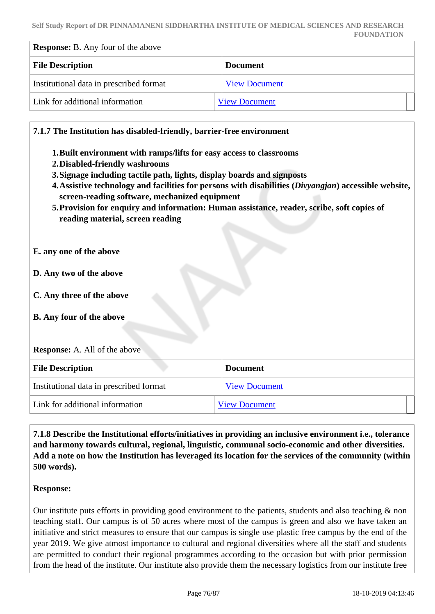**Response:** B. Any four of the above

| <b>File Description</b>                 | <b>Document</b>      |
|-----------------------------------------|----------------------|
| Institutional data in prescribed format | <b>View Document</b> |
| Link for additional information         | <b>View Document</b> |

**7.1.7 The Institution has disabled-friendly, barrier-free environment**

- **1.Built environment with ramps/lifts for easy access to classrooms**
- **2.Disabled-friendly washrooms**
- **3.Signage including tactile path, lights, display boards and signposts**
- **4.Assistive technology and facilities for persons with disabilities (***Divyangjan***) accessible website, screen-reading software, mechanized equipment**
- **5.Provision for enquiry and information: Human assistance, reader, scribe, soft copies of reading material, screen reading**

**E. any one of the above**

- **D. Any two of the above**
- **C. Any three of the above**
- **B. Any four of the above**

#### **Response:** A. All of the above

| <b>File Description</b>                 | <b>Document</b>      |
|-----------------------------------------|----------------------|
| Institutional data in prescribed format | <b>View Document</b> |
| Link for additional information         | <b>View Document</b> |

 **7.1.8 Describe the Institutional efforts/initiatives in providing an inclusive environment i.e., tolerance and harmony towards cultural, regional, linguistic, communal socio-economic and other diversities. Add a note on how the Institution has leveraged its location for the services of the community (within 500 words).**

#### **Response:**

Our institute puts efforts in providing good environment to the patients, students and also teaching  $\&$  non teaching staff. Our campus is of 50 acres where most of the campus is green and also we have taken an initiative and strict measures to ensure that our campus is single use plastic free campus by the end of the year 2019. We give atmost importance to cultural and regional diversities where all the staff and students are permitted to conduct their regional programmes according to the occasion but with prior permission from the head of the institute. Our institute also provide them the necessary logistics from our institute free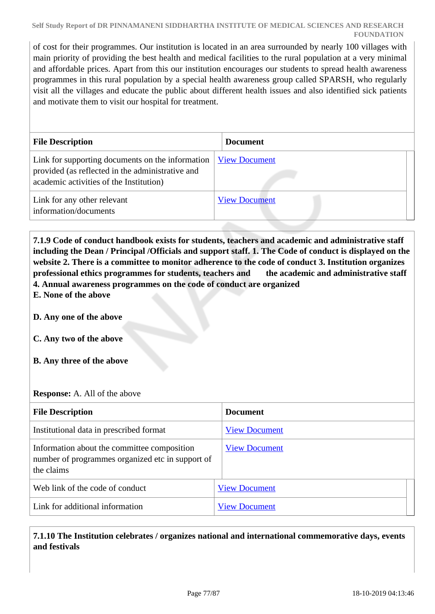of cost for their programmes. Our institution is located in an area surrounded by nearly 100 villages with main priority of providing the best health and medical facilities to the rural population at a very minimal and affordable prices. Apart from this our institution encourages our students to spread health awareness programmes in this rural population by a special health awareness group called SPARSH, who regularly visit all the villages and educate the public about different health issues and also identified sick patients and motivate them to visit our hospital for treatment.

| <b>File Description</b>                                                                                                                         | <b>Document</b>      |
|-------------------------------------------------------------------------------------------------------------------------------------------------|----------------------|
| Link for supporting documents on the information<br>provided (as reflected in the administrative and<br>academic activities of the Institution) | <b>View Document</b> |
| Link for any other relevant<br>information/documents                                                                                            | <b>View Document</b> |

 **7.1.9 Code of conduct handbook exists for students, teachers and academic and administrative staff including the Dean / Principal /Officials and support staff. 1. The Code of conduct is displayed on the website 2. There is a committee to monitor adherence to the code of conduct 3. Institution organizes professional ethics programmes for students, teachers and the academic and administrative staff 4. Annual awareness programmes on the code of conduct are organized**

**E. None of the above**

# **D. Any one of the above**

- **C. Any two of the above**
- **B. Any three of the above**

#### **Response:** A. All of the above

| <b>File Description</b>                                                                                       | <b>Document</b>      |
|---------------------------------------------------------------------------------------------------------------|----------------------|
| Institutional data in prescribed format                                                                       | <b>View Document</b> |
| Information about the committee composition<br>number of programmes organized etc in support of<br>the claims | <b>View Document</b> |
| Web link of the code of conduct                                                                               | <b>View Document</b> |
| Link for additional information                                                                               | <b>View Document</b> |

 **7.1.10 The Institution celebrates / organizes national and international commemorative days, events and festivals**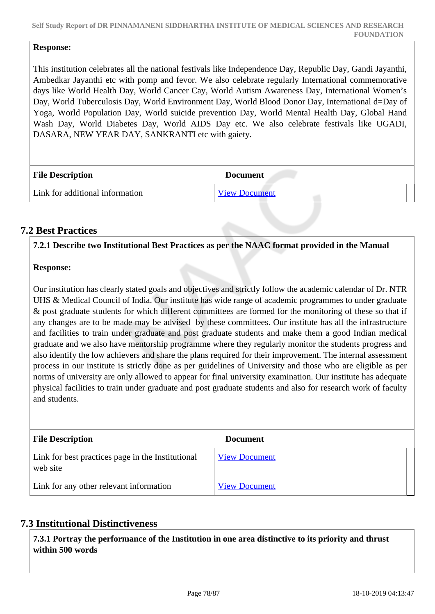#### **Response:**

This institution celebrates all the national festivals like Independence Day, Republic Day, Gandi Jayanthi, Ambedkar Jayanthi etc with pomp and fevor. We also celebrate regularly International commemorative days like World Health Day, World Cancer Cay, World Autism Awareness Day, International Women's Day, World Tuberculosis Day, World Environment Day, World Blood Donor Day, International d=Day of Yoga, World Population Day, World suicide prevention Day, World Mental Health Day, Global Hand Wash Day, World Diabetes Day, World AIDS Day etc. We also celebrate festivals like UGADI, DASARA, NEW YEAR DAY, SANKRANTI etc with gaiety.

| <b>File Description</b>         | <b>Document</b>      |
|---------------------------------|----------------------|
| Link for additional information | <b>View Document</b> |

# **7.2 Best Practices**

**7.2.1 Describe two Institutional Best Practices as per the NAAC format provided in the Manual**

#### **Response:**

Our institution has clearly stated goals and objectives and strictly follow the academic calendar of Dr. NTR UHS & Medical Council of India. Our institute has wide range of academic programmes to under graduate & post graduate students for which different committees are formed for the monitoring of these so that if any changes are to be made may be advised by these committees. Our institute has all the infrastructure and facilities to train under graduate and post graduate students and make them a good Indian medical graduate and we also have mentorship programme where they regularly monitor the students progress and also identify the low achievers and share the plans required for their improvement. The internal assessment process in our institute is strictly done as per guidelines of University and those who are eligible as per norms of university are only allowed to appear for final university examination. Our institute has adequate physical facilities to train under graduate and post graduate students and also for research work of faculty and students.

| <b>File Description</b>                                       | <b>Document</b>      |
|---------------------------------------------------------------|----------------------|
| Link for best practices page in the Institutional<br>web site | <b>View Document</b> |
| Link for any other relevant information                       | <b>View Document</b> |

# **7.3 Institutional Distinctiveness**

 **7.3.1 Portray the performance of the Institution in one area distinctive to its priority and thrust within 500 words**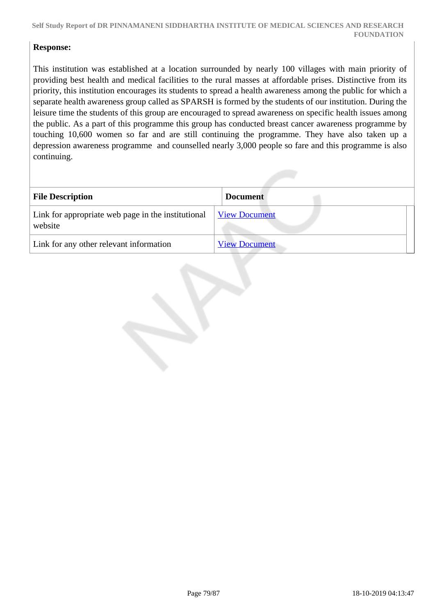#### **Response:**

This institution was established at a location surrounded by nearly 100 villages with main priority of providing best health and medical facilities to the rural masses at affordable prises. Distinctive from its priority, this institution encourages its students to spread a health awareness among the public for which a separate health awareness group called as SPARSH is formed by the students of our institution. During the leisure time the students of this group are encouraged to spread awareness on specific health issues among the public. As a part of this programme this group has conducted breast cancer awareness programme by touching 10,600 women so far and are still continuing the programme. They have also taken up a depression awareness programme and counselled nearly 3,000 people so fare and this programme is also continuing.

| <b>File Description</b>                                       | <b>Document</b>      |  |
|---------------------------------------------------------------|----------------------|--|
| Link for appropriate web page in the institutional<br>website | <b>View Document</b> |  |
| Link for any other relevant information                       | <b>View Document</b> |  |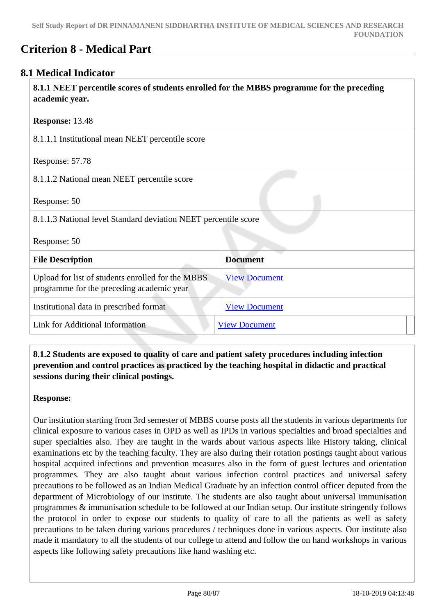# **Criterion 8 - Medical Part**

# **8.1 Medical Indicator**

 **8.1.1 NEET percentile scores of students enrolled for the MBBS programme for the preceding academic year.**

 **8.1.2 Students are exposed to quality of care and patient safety procedures including infection prevention and control practices as practiced by the teaching hospital in didactic and practical sessions during their clinical postings.**

#### **Response:**

Our institution starting from 3rd semester of MBBS course posts all the students in various departments for clinical exposure to various cases in OPD as well as IPDs in various specialties and broad specialties and super specialties also. They are taught in the wards about various aspects like History taking, clinical examinations etc by the teaching faculty. They are also during their rotation postings taught about various hospital acquired infections and prevention measures also in the form of guest lectures and orientation programmes. They are also taught about various infection control practices and universal safety precautions to be followed as an Indian Medical Graduate by an infection control officer deputed from the department of Microbiology of our institute. The students are also taught about universal immunisation programmes & immunisation schedule to be followed at our Indian setup. Our institute stringently follows the protocol in order to expose our students to quality of care to all the patients as well as safety precautions to be taken during various procedures / techniques done in various aspects. Our institute also made it mandatory to all the students of our college to attend and follow the on hand workshops in various aspects like following safety precautions like hand washing etc.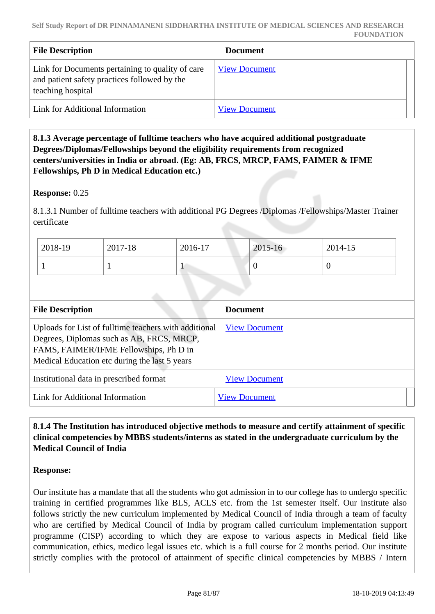| <b>File Description</b>                                                                                               | <b>Document</b>      |
|-----------------------------------------------------------------------------------------------------------------------|----------------------|
| Link for Documents pertaining to quality of care<br>and patient safety practices followed by the<br>teaching hospital | <b>View Document</b> |
| Link for Additional Information                                                                                       | <b>View Document</b> |

 **8.1.3 Average percentage of fulltime teachers who have acquired additional postgraduate Degrees/Diplomas/Fellowships beyond the eligibility requirements from recognized centers/universities in India or abroad. (Eg: AB, FRCS, MRCP, FAMS, FAIMER & IFME Fellowships, Ph D in Medical Education etc.)**

## **Response:** 0.25

8.1.3.1 Number of fulltime teachers with additional PG Degrees /Diplomas /Fellowships/Master Trainer certificate

| 2018-19 | 2017-18 | 2016-17 | 2015-16 | 2014-15 |
|---------|---------|---------|---------|---------|
|         |         |         |         | ν       |

| <b>File Description</b>                                                                                                                                                                       | <b>Document</b>      |
|-----------------------------------------------------------------------------------------------------------------------------------------------------------------------------------------------|----------------------|
| Uploads for List of fulltime teachers with additional<br>Degrees, Diplomas such as AB, FRCS, MRCP,<br>FAMS, FAIMER/IFME Fellowships, Ph D in<br>Medical Education etc during the last 5 years | <b>View Document</b> |
| Institutional data in prescribed format                                                                                                                                                       | <b>View Document</b> |
| Link for Additional Information                                                                                                                                                               | <b>View Document</b> |

# **8.1.4 The Institution has introduced objective methods to measure and certify attainment of specific clinical competencies by MBBS students/interns as stated in the undergraduate curriculum by the Medical Council of India**

# **Response:**

Our institute has a mandate that all the students who got admission in to our college has to undergo specific training in certified programmes like BLS, ACLS etc. from the 1st semester itself. Our institute also follows strictly the new curriculum implemented by Medical Council of India through a team of faculty who are certified by Medical Council of India by program called curriculum implementation support programme (CISP) according to which they are expose to various aspects in Medical field like communication, ethics, medico legal issues etc. which is a full course for 2 months period. Our institute strictly complies with the protocol of attainment of specific clinical competencies by MBBS / Intern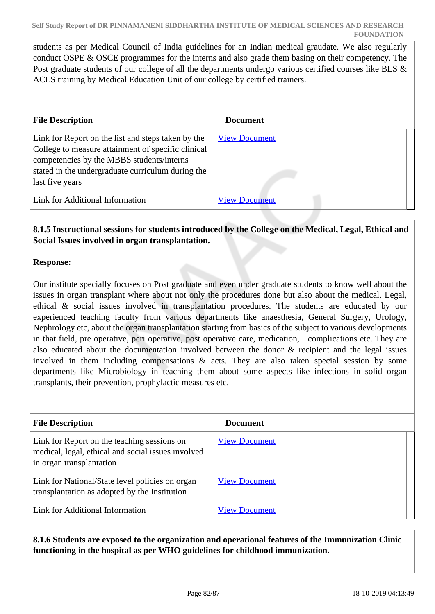students as per Medical Council of India guidelines for an Indian medical graudate. We also regularly conduct OSPE & OSCE programmes for the interns and also grade them basing on their competency. The Post graduate students of our college of all the departments undergo various certified courses like BLS & ACLS training by Medical Education Unit of our college by certified trainers.

| <b>File Description</b>                                                                                                                                                                                                       | <b>Document</b>      |
|-------------------------------------------------------------------------------------------------------------------------------------------------------------------------------------------------------------------------------|----------------------|
| Link for Report on the list and steps taken by the<br>College to measure attainment of specific clinical<br>competencies by the MBBS students/interns<br>stated in the undergraduate curriculum during the<br>last five years | <b>View Document</b> |
| Link for Additional Information                                                                                                                                                                                               | <b>View Document</b> |

# **8.1.5 Instructional sessions for students introduced by the College on the Medical, Legal, Ethical and Social Issues involved in organ transplantation.**

## **Response:**

Our institute specially focuses on Post graduate and even under graduate students to know well about the issues in organ transplant where about not only the procedures done but also about the medical, Legal, ethical & social issues involved in transplantation procedures. The students are educated by our experienced teaching faculty from various departments like anaesthesia, General Surgery, Urology, Nephrology etc, about the organ transplantation starting from basics of the subject to various developments in that field, pre operative, peri operative, post operative care, medication, complications etc. They are also educated about the documentation involved between the donor & recipient and the legal issues involved in them including compensations & acts. They are also taken special session by some departments like Microbiology in teaching them about some aspects like infections in solid organ transplants, their prevention, prophylactic measures etc.

| <b>File Description</b>                                                                                                       | <b>Document</b>      |
|-------------------------------------------------------------------------------------------------------------------------------|----------------------|
| Link for Report on the teaching sessions on<br>medical, legal, ethical and social issues involved<br>in organ transplantation | <b>View Document</b> |
| Link for National/State level policies on organ<br>transplantation as adopted by the Institution                              | <b>View Document</b> |
| Link for Additional Information                                                                                               | <b>View Document</b> |

 **8.1.6 Students are exposed to the organization and operational features of the Immunization Clinic functioning in the hospital as per WHO guidelines for childhood immunization.**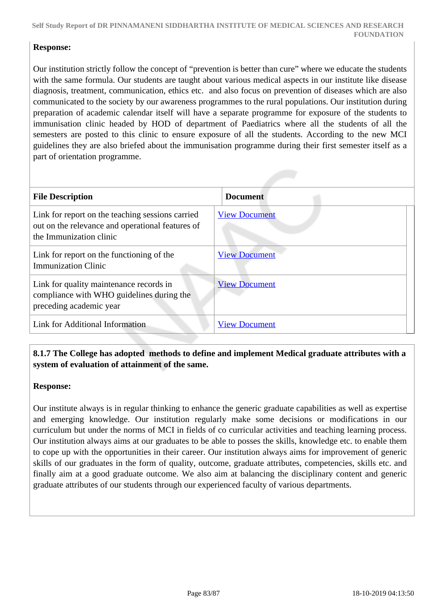## **Response:**

Our institution strictly follow the concept of "prevention is better than cure" where we educate the students with the same formula. Our students are taught about various medical aspects in our institute like disease diagnosis, treatment, communication, ethics etc. and also focus on prevention of diseases which are also communicated to the society by our awareness programmes to the rural populations. Our institution during preparation of academic calendar itself will have a separate programme for exposure of the students to immunisation clinic headed by HOD of department of Paediatrics where all the students of all the semesters are posted to this clinic to ensure exposure of all the students. According to the new MCI guidelines they are also briefed about the immunisation programme during their first semester itself as a part of orientation programme.

| <b>File Description</b>                                                                                                         | <b>Document</b>      |
|---------------------------------------------------------------------------------------------------------------------------------|----------------------|
| Link for report on the teaching sessions carried<br>out on the relevance and operational features of<br>the Immunization clinic | <b>View Document</b> |
| Link for report on the functioning of the<br><b>Immunization Clinic</b>                                                         | <b>View Document</b> |
| Link for quality maintenance records in<br>compliance with WHO guidelines during the<br>preceding academic year                 | <b>View Document</b> |
| Link for Additional Information                                                                                                 | <b>View Document</b> |

# **8.1.7 The College has adopted methods to define and implement Medical graduate attributes with a system of evaluation of attainment of the same.**

#### **Response:**

Our institute always is in regular thinking to enhance the generic graduate capabilities as well as expertise and emerging knowledge. Our institution regularly make some decisions or modifications in our curriculum but under the norms of MCI in fields of co curricular activities and teaching learning process. Our institution always aims at our graduates to be able to posses the skills, knowledge etc. to enable them to cope up with the opportunities in their career. Our institution always aims for improvement of generic skills of our graduates in the form of quality, outcome, graduate attributes, competencies, skills etc. and finally aim at a good graduate outcome. We also aim at balancing the disciplinary content and generic graduate attributes of our students through our experienced faculty of various departments.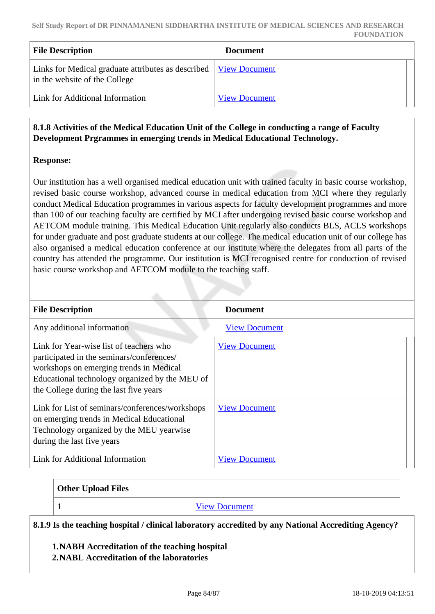| <b>File Description</b>                                                                                  | <b>Document</b>      |
|----------------------------------------------------------------------------------------------------------|----------------------|
| Links for Medical graduate attributes as described <u>View Document</u><br>in the website of the College |                      |
| Link for Additional Information                                                                          | <b>View Document</b> |

# **8.1.8 Activities of the Medical Education Unit of the College in conducting a range of Faculty Development Prgrammes in emerging trends in Medical Educational Technology.**

# **Response:**

Our institution has a well organised medical education unit with trained faculty in basic course workshop, revised basic course workshop, advanced course in medical education from MCI where they regularly conduct Medical Education programmes in various aspects for faculty development programmes and more than 100 of our teaching faculty are certified by MCI after undergoing revised basic course workshop and AETCOM module training. This Medical Education Unit regularly also conducts BLS, ACLS workshops for under graduate and post graduate students at our college. The medical education unit of our college has also organised a medical education conference at our institute where the delegates from all parts of the country has attended the programme. Our institution is MCI recognised centre for conduction of revised basic course workshop and AETCOM module to the teaching staff.

| <b>File Description</b>                                                                                                                                                                                                     | <b>Document</b>      |
|-----------------------------------------------------------------------------------------------------------------------------------------------------------------------------------------------------------------------------|----------------------|
| Any additional information                                                                                                                                                                                                  | <b>View Document</b> |
| Link for Year-wise list of teachers who<br>participated in the seminars/conferences/<br>workshops on emerging trends in Medical<br>Educational technology organized by the MEU of<br>the College during the last five years | <b>View Document</b> |
| Link for List of seminars/conferences/workshops<br>on emerging trends in Medical Educational<br>Technology organized by the MEU yearwise<br>during the last five years                                                      | <b>View Document</b> |
| Link for Additional Information                                                                                                                                                                                             | <b>View Document</b> |

| <b>Other Upload Files</b> |                      |
|---------------------------|----------------------|
|                           | <b>View Document</b> |

**8.1.9 Is the teaching hospital / clinical laboratory accredited by any National Accrediting Agency?**

**1.NABH Accreditation of the teaching hospital**

**2.NABL Accreditation of the laboratories**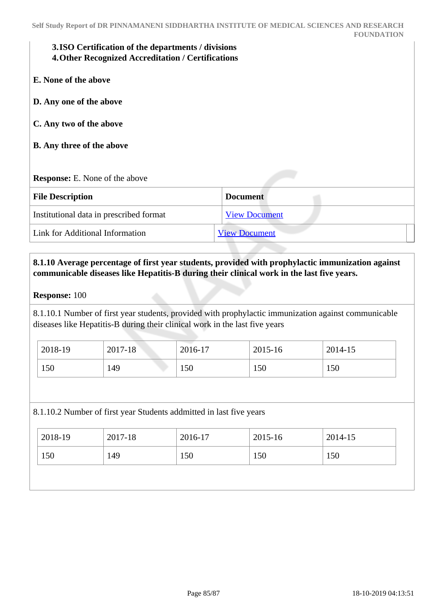| Self Study Report of DR PINNAMANENI SIDDHARTHA INSTITUTE OF MEDICAL SCIENCES AND RESEARCH |                   |
|-------------------------------------------------------------------------------------------|-------------------|
|                                                                                           | <b>FOUNDATION</b> |

#### **3.ISO Certification of the departments / divisions 4.Other Recognized Accreditation / Certifications**

- **E. None of the above**
- **D. Any one of the above**
- **C. Any two of the above**
- **B. Any three of the above**

#### **Response:** E. None of the above

| <b>File Description</b>                 | <b>Document</b>      |
|-----------------------------------------|----------------------|
| Institutional data in prescribed format | <b>View Document</b> |
| Link for Additional Information         | <b>View Document</b> |

## **8.1.10 Average percentage of first year students, provided with prophylactic immunization against communicable diseases like Hepatitis-B during their clinical work in the last five years.**

#### **Response:** 100

8.1.10.1 Number of first year students, provided with prophylactic immunization against communicable diseases like Hepatitis-B during their clinical work in the last five years

| 2018-19 | 2017-18 | 2016-17 | 2015-16 | 2014-15 |
|---------|---------|---------|---------|---------|
| 150     | 149     | 150     | 150     | 150     |

#### 8.1.10.2 Number of first year Students addmitted in last five years

| $12018-19$ | 2017-18 | $2016-17$ | 2015-16 | 2014-15 |
|------------|---------|-----------|---------|---------|
| 150        | 149     | 150       | 150     | 150     |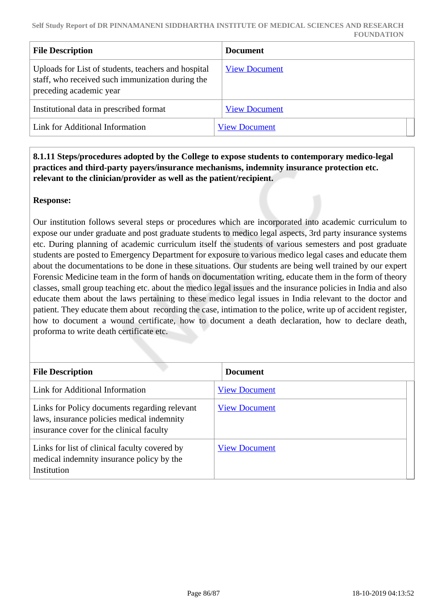| <b>File Description</b>                                                                                                            | <b>Document</b>      |
|------------------------------------------------------------------------------------------------------------------------------------|----------------------|
| Uploads for List of students, teachers and hospital<br>staff, who received such immunization during the<br>preceding academic year | <b>View Document</b> |
| Institutional data in prescribed format                                                                                            | <b>View Document</b> |
| Link for Additional Information                                                                                                    | <b>View Document</b> |

 **8.1.11 Steps/procedures adopted by the College to expose students to contemporary medico-legal practices and third-party payers/insurance mechanisms, indemnity insurance protection etc. relevant to the clinician/provider as well as the patient/recipient.** 

## **Response:**

Our institution follows several steps or procedures which are incorporated into academic curriculum to expose our under graduate and post graduate students to medico legal aspects, 3rd party insurance systems etc. During planning of academic curriculum itself the students of various semesters and post graduate students are posted to Emergency Department for exposure to various medico legal cases and educate them about the documentations to be done in these situations. Our students are being well trained by our expert Forensic Medicine team in the form of hands on documentation writing, educate them in the form of theory classes, small group teaching etc. about the medico legal issues and the insurance policies in India and also educate them about the laws pertaining to these medico legal issues in India relevant to the doctor and patient. They educate them about recording the case, intimation to the police, write up of accident register, how to document a wound certificate, how to document a death declaration, how to declare death, proforma to write death certificate etc.

| <b>File Description</b>                                                                                                                 | <b>Document</b>      |
|-----------------------------------------------------------------------------------------------------------------------------------------|----------------------|
| Link for Additional Information                                                                                                         | <b>View Document</b> |
| Links for Policy documents regarding relevant<br>laws, insurance policies medical indemnity<br>insurance cover for the clinical faculty | <b>View Document</b> |
| Links for list of clinical faculty covered by<br>medical indemnity insurance policy by the<br>Institution                               | <b>View Document</b> |